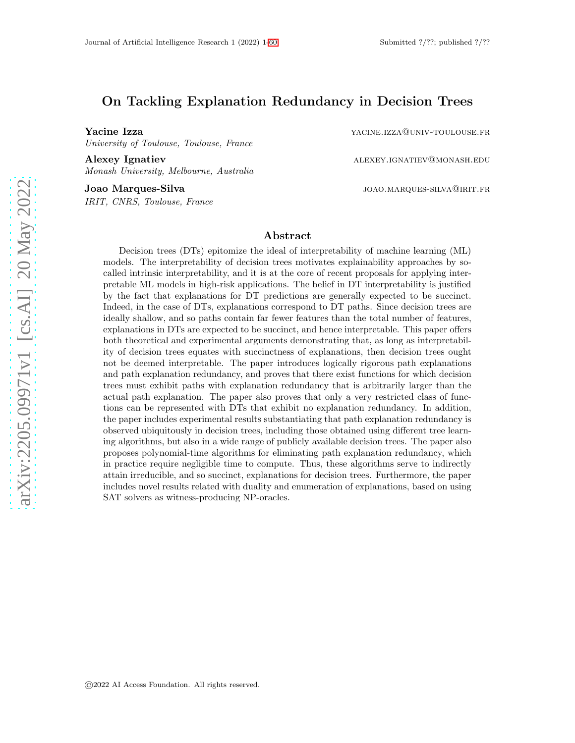# On Tackling Explanation Redundancy in Decision Trees

University of Toulouse, Toulouse, France

Alexey Ignatiev alexey.ignatiev alexey.ignatiev@monash.edu Monash University, Melbourne, Australia

IRIT, CNRS, Toulouse, France

Yacine Izza **yacine.** Izza yacine. The state of the state of the state of the state of the state of the state of the state of the state of the state of the state of the state of the state of the state of the state of the s

Joao Marques-Silva joao Marques-Silva joao Marques-Silva joao Marques-Silva (1990)

#### Abstract

Decision trees (DTs) epitomize the ideal of interpretability of machine learning (ML) models. The interpretability of decision trees motivates explainability approaches by socalled intrinsic interpretability, and it is at the core of recent proposals for applying interpretable ML models in high-risk applications. The belief in DT interpretability is justified by the fact that explanations for DT predictions are generally expected to be succinct. Indeed, in the case of DTs, explanations correspond to DT paths. Since decision trees are ideally shallow, and so paths contain far fewer features than the total number of features, explanations in DTs are expected to be succinct, and hence interpretable. This paper offers both theoretical and experimental arguments demonstrating that, as long as interpretability of decision trees equates with succinctness of explanations, then decision trees ought not be deemed interpretable. The paper introduces logically rigorous path explanations and path explanation redundancy, and proves that there exist functions for which decision trees must exhibit paths with explanation redundancy that is arbitrarily larger than the actual path explanation. The paper also proves that only a very restricted class of functions can be represented with DTs that exhibit no explanation redundancy. In addition, the paper includes experimental results substantiating that path explanation redundancy is observed ubiquitously in decision trees, including those obtained using different tree learning algorithms, but also in a wide range of publicly available decision trees. The paper also proposes polynomial-time algorithms for eliminating path explanation redundancy, which in practice require negligible time to compute. Thus, these algorithms serve to indirectly attain irreducible, and so succinct, explanations for decision trees. Furthermore, the paper includes novel results related with duality and enumeration of explanations, based on using SAT solvers as witness-producing NP-oracles.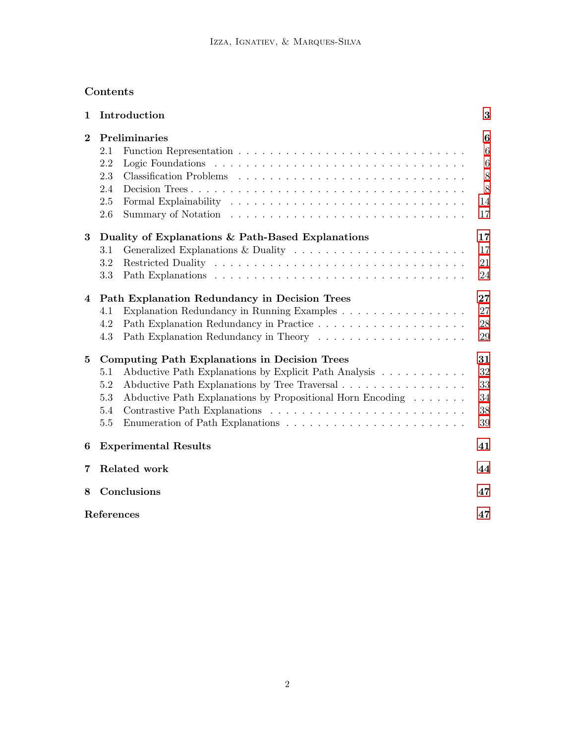# Contents

| $\mathbf 1$ | Introduction                                                                                                                                                                                                                                                        | 3                                                                        |  |  |  |  |
|-------------|---------------------------------------------------------------------------------------------------------------------------------------------------------------------------------------------------------------------------------------------------------------------|--------------------------------------------------------------------------|--|--|--|--|
| $\bf{2}$    | Preliminaries<br>2.1<br>2.2<br>2.3<br>2.4<br>2.5<br>2.6                                                                                                                                                                                                             | $\boldsymbol{6}$<br>$6\phantom{.}6$<br>$\,6\,$<br>$8\,$<br>8<br>14<br>17 |  |  |  |  |
| 3           | Duality of Explanations & Path-Based Explanations<br>Generalized Explanations & Duality<br>3.1<br>3.2<br>3.3                                                                                                                                                        | 17<br>17<br>21<br>24                                                     |  |  |  |  |
| 4           | Path Explanation Redundancy in Decision Trees<br>Explanation Redundancy in Running Examples<br>4.1<br>4.2<br>4.3                                                                                                                                                    | $27\,$<br>27<br>28<br>29                                                 |  |  |  |  |
| $\bf{5}$    | <b>Computing Path Explanations in Decision Trees</b><br>Abductive Path Explanations by Explicit Path Analysis<br>5.1<br>Abductive Path Explanations by Tree Traversal<br>5.2<br>Abductive Path Explanations by Propositional Horn Encoding<br>5.3<br>5.4<br>$5.5\,$ | 31<br>32<br>33<br>34<br>$38\,$<br>39                                     |  |  |  |  |
| 6           | <b>Experimental Results</b>                                                                                                                                                                                                                                         | 41                                                                       |  |  |  |  |
| 7           | Related work                                                                                                                                                                                                                                                        | 44                                                                       |  |  |  |  |
| 8           | Conclusions<br>47                                                                                                                                                                                                                                                   |                                                                          |  |  |  |  |
|             | References                                                                                                                                                                                                                                                          | 47                                                                       |  |  |  |  |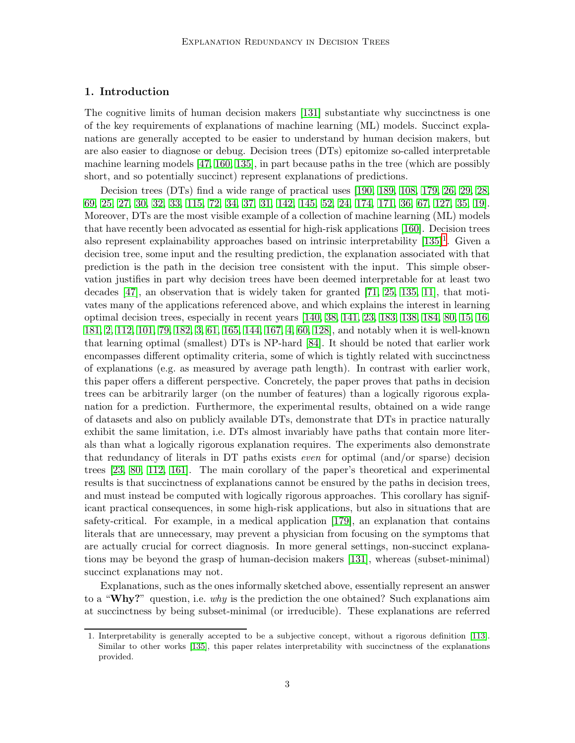# <span id="page-2-0"></span>1. Introduction

The cognitive limits of human decision makers [\[131\]](#page-55-0) substantiate why succinctness is one of the key requirements of explanations of machine learning (ML) models. Succinct explanations are generally accepted to be easier to understand by human decision makers, but are also easier to diagnose or debug. Decision trees (DTs) epitomize so-called interpretable machine learning models [\[47,](#page-50-0) [160,](#page-57-0) [135\]](#page-55-1), in part because paths in the tree (which are possibly short, and so potentially succinct) represent explanations of predictions.

Decision trees (DTs) find a wide range of practical uses [\[190,](#page-59-1) [189,](#page-58-0) [108,](#page-53-0) [179,](#page-58-1) [26,](#page-48-0) [29,](#page-48-1) [28,](#page-48-2) [69,](#page-51-0) [25,](#page-48-3) [27,](#page-48-4) [30,](#page-48-5) [32,](#page-49-0) [33,](#page-49-1) [115,](#page-54-0) [72,](#page-51-1) [34,](#page-49-2) [37,](#page-49-3) [31,](#page-49-4) [142,](#page-56-0) [145,](#page-56-1) [52,](#page-50-1) [24,](#page-48-6) [174,](#page-58-2) [171,](#page-57-1) [36,](#page-49-5) [67,](#page-51-2) [127,](#page-55-2) [35,](#page-49-6) [19\]](#page-48-7). Moreover, DTs are the most visible example of a collection of machine learning (ML) models that have recently been advocated as essential for high-risk applications [\[160\]](#page-57-0). Decision trees also represent explainability approaches based on intrinsic interpretability  $[135]$  $[135]$  $[135]$ <sup>1</sup>. Given a decision tree, some input and the resulting prediction, the explanation associated with that prediction is the path in the decision tree consistent with the input. This simple observation justifies in part why decision trees have been deemed interpretable for at least two decades [\[47\]](#page-50-0), an observation that is widely taken for granted [\[71,](#page-51-3) [25,](#page-48-3) [135,](#page-55-1) [11\]](#page-47-0), that motivates many of the applications referenced above, and which explains the interest in learning optimal decision trees, especially in recent years [\[140,](#page-55-3) [38,](#page-49-7) [141,](#page-55-4) [23,](#page-48-8) [183,](#page-58-3) [138,](#page-55-5) [184,](#page-58-4) [80,](#page-52-0) [15,](#page-47-1) [16,](#page-47-2) [181,](#page-58-5) [2,](#page-47-3) [112,](#page-54-1) [101,](#page-53-1) [79,](#page-52-1) [182,](#page-58-6) [3,](#page-47-4) [61,](#page-50-2) [165,](#page-57-2) [144,](#page-56-2) [167,](#page-57-3) [4,](#page-47-5) [60,](#page-50-3) [128\]](#page-55-6), and notably when it is well-known that learning optimal (smallest) DTs is NP-hard [\[84\]](#page-52-2). It should be noted that earlier work encompasses different optimality criteria, some of which is tightly related with succinctness of explanations (e.g. as measured by average path length). In contrast with earlier work, this paper offers a different perspective. Concretely, the paper proves that paths in decision trees can be arbitrarily larger (on the number of features) than a logically rigorous explanation for a prediction. Furthermore, the experimental results, obtained on a wide range of datasets and also on publicly available DTs, demonstrate that DTs in practice naturally exhibit the same limitation, i.e. DTs almost invariably have paths that contain more literals than what a logically rigorous explanation requires. The experiments also demonstrate that redundancy of literals in DT paths exists even for optimal (and/or sparse) decision trees [\[23,](#page-48-8) [80,](#page-52-0) [112,](#page-54-1) [161\]](#page-57-4). The main corollary of the paper's theoretical and experimental results is that succinctness of explanations cannot be ensured by the paths in decision trees, and must instead be computed with logically rigorous approaches. This corollary has significant practical consequences, in some high-risk applications, but also in situations that are safety-critical. For example, in a medical application [\[179\]](#page-58-1), an explanation that contains literals that are unnecessary, may prevent a physician from focusing on the symptoms that are actually crucial for correct diagnosis. In more general settings, non-succinct explanations may be beyond the grasp of human-decision makers [\[131\]](#page-55-0), whereas (subset-minimal) succinct explanations may not.

Explanations, such as the ones informally sketched above, essentially represent an answer to a "Why?" question, i.e. why is the prediction the one obtained? Such explanations aim at succinctness by being subset-minimal (or irreducible). These explanations are referred

<span id="page-2-1"></span><sup>1.</sup> Interpretability is generally accepted to be a subjective concept, without a rigorous definition [\[113\]](#page-54-2). Similar to other works [\[135\]](#page-55-1), this paper relates interpretability with succinctness of the explanations provided.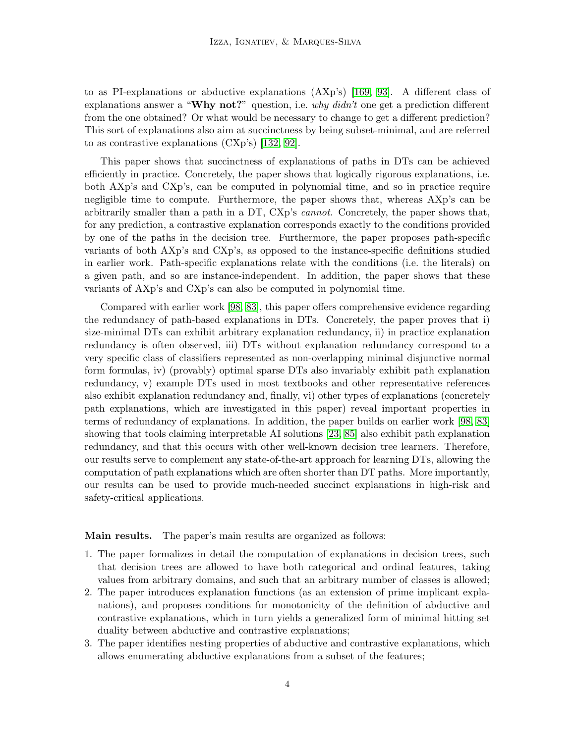to as PI-explanations or abductive explanations (AXp's) [\[169,](#page-57-5) [93\]](#page-52-3). A different class of explanations answer a "Why not?" question, i.e. why  $didn't$  one get a prediction different from the one obtained? Or what would be necessary to change to get a different prediction? This sort of explanations also aim at succinctness by being subset-minimal, and are referred to as contrastive explanations (CXp's) [\[132,](#page-55-7) [92\]](#page-52-4).

This paper shows that succinctness of explanations of paths in DTs can be achieved efficiently in practice. Concretely, the paper shows that logically rigorous explanations, i.e. both AXp's and CXp's, can be computed in polynomial time, and so in practice require negligible time to compute. Furthermore, the paper shows that, whereas AXp's can be arbitrarily smaller than a path in a DT, CXp's *cannot*. Concretely, the paper shows that, for any prediction, a contrastive explanation corresponds exactly to the conditions provided by one of the paths in the decision tree. Furthermore, the paper proposes path-specific variants of both AXp's and CXp's, as opposed to the instance-specific definitions studied in earlier work. Path-specific explanations relate with the conditions (i.e. the literals) on a given path, and so are instance-independent. In addition, the paper shows that these variants of AXp's and CXp's can also be computed in polynomial time.

Compared with earlier work [\[98,](#page-53-2) [83\]](#page-52-5), this paper offers comprehensive evidence regarding the redundancy of path-based explanations in DTs. Concretely, the paper proves that i) size-minimal DTs can exhibit arbitrary explanation redundancy, ii) in practice explanation redundancy is often observed, iii) DTs without explanation redundancy correspond to a very specific class of classifiers represented as non-overlapping minimal disjunctive normal form formulas, iv) (provably) optimal sparse DTs also invariably exhibit path explanation redundancy, v) example DTs used in most textbooks and other representative references also exhibit explanation redundancy and, finally, vi) other types of explanations (concretely path explanations, which are investigated in this paper) reveal important properties in terms of redundancy of explanations. In addition, the paper builds on earlier work [\[98,](#page-53-2) [83\]](#page-52-5) showing that tools claiming interpretable AI solutions [\[23,](#page-48-8) [85\]](#page-52-6) also exhibit path explanation redundancy, and that this occurs with other well-known decision tree learners. Therefore, our results serve to complement any state-of-the-art approach for learning DTs, allowing the computation of path explanations which are often shorter than DT paths. More importantly, our results can be used to provide much-needed succinct explanations in high-risk and safety-critical applications.

Main results. The paper's main results are organized as follows:

- 1. The paper formalizes in detail the computation of explanations in decision trees, such that decision trees are allowed to have both categorical and ordinal features, taking values from arbitrary domains, and such that an arbitrary number of classes is allowed;
- 2. The paper introduces explanation functions (as an extension of prime implicant explanations), and proposes conditions for monotonicity of the definition of abductive and contrastive explanations, which in turn yields a generalized form of minimal hitting set duality between abductive and contrastive explanations;
- 3. The paper identifies nesting properties of abductive and contrastive explanations, which allows enumerating abductive explanations from a subset of the features;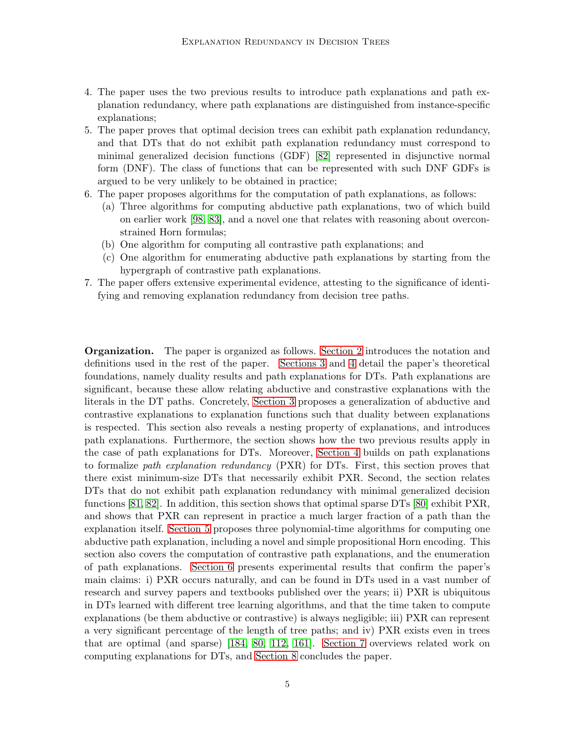- 4. The paper uses the two previous results to introduce path explanations and path explanation redundancy, where path explanations are distinguished from instance-specific explanations;
- 5. The paper proves that optimal decision trees can exhibit path explanation redundancy, and that DTs that do not exhibit path explanation redundancy must correspond to minimal generalized decision functions (GDF) [\[82\]](#page-52-7) represented in disjunctive normal form (DNF). The class of functions that can be represented with such DNF GDFs is argued to be very unlikely to be obtained in practice;
- 6. The paper proposes algorithms for the computation of path explanations, as follows:
	- (a) Three algorithms for computing abductive path explanations, two of which build on earlier work [\[98,](#page-53-2) [83\]](#page-52-5), and a novel one that relates with reasoning about overconstrained Horn formulas;
	- (b) One algorithm for computing all contrastive path explanations; and
	- (c) One algorithm for enumerating abductive path explanations by starting from the hypergraph of contrastive path explanations.
- 7. The paper offers extensive experimental evidence, attesting to the significance of identifying and removing explanation redundancy from decision tree paths.

Organization. The paper is organized as follows. [Section 2](#page-5-0) introduces the notation and definitions used in the rest of the paper. [Sections 3](#page-16-1) and [4](#page-26-0) detail the paper's theoretical foundations, namely duality results and path explanations for DTs. Path explanations are significant, because these allow relating abductive and constrastive explanations with the literals in the DT paths. Concretely, [Section 3](#page-16-1) proposes a generalization of abductive and contrastive explanations to explanation functions such that duality between explanations is respected. This section also reveals a nesting property of explanations, and introduces path explanations. Furthermore, the section shows how the two previous results apply in the case of path explanations for DTs. Moreover, [Section 4](#page-26-0) builds on path explanations to formalize path explanation redundancy  $(PXR)$  for DTs. First, this section proves that there exist minimum-size DTs that necessarily exhibit PXR. Second, the section relates DTs that do not exhibit path explanation redundancy with minimal generalized decision functions [\[81,](#page-52-8) [82\]](#page-52-7). In addition, this section shows that optimal sparse DTs [\[80\]](#page-52-0) exhibit PXR, and shows that PXR can represent in practice a much larger fraction of a path than the explanation itself. [Section 5](#page-30-0) proposes three polynomial-time algorithms for computing one abductive path explanation, including a novel and simple propositional Horn encoding. This section also covers the computation of contrastive path explanations, and the enumeration of path explanations. [Section 6](#page-40-0) presents experimental results that confirm the paper's main claims: i) PXR occurs naturally, and can be found in DTs used in a vast number of research and survey papers and textbooks published over the years; ii) PXR is ubiquitous in DTs learned with different tree learning algorithms, and that the time taken to compute explanations (be them abductive or contrastive) is always negligible; iii) PXR can represent a very significant percentage of the length of tree paths; and iv) PXR exists even in trees that are optimal (and sparse) [\[184,](#page-58-4) [80,](#page-52-0) [112,](#page-54-1) [161\]](#page-57-4). [Section 7](#page-43-0) overviews related work on computing explanations for DTs, and [Section 8](#page-46-0) concludes the paper.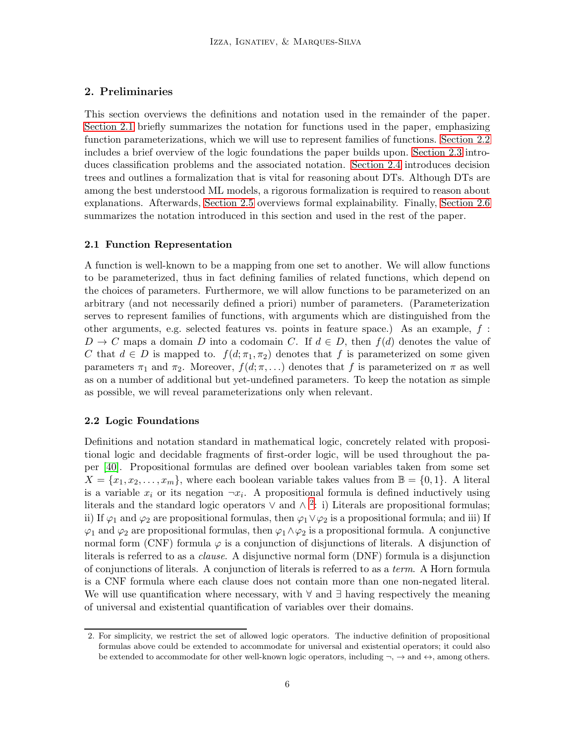# <span id="page-5-0"></span>2. Preliminaries

This section overviews the definitions and notation used in the remainder of the paper. [Section 2.1](#page-5-1) briefly summarizes the notation for functions used in the paper, emphasizing function parameterizations, which we will use to represent families of functions. [Section 2.2](#page-5-2) includes a brief overview of the logic foundations the paper builds upon. [Section 2.3](#page-7-0) introduces classification problems and the associated notation. [Section 2.4](#page-7-1) introduces decision trees and outlines a formalization that is vital for reasoning about DTs. Although DTs are among the best understood ML models, a rigorous formalization is required to reason about explanations. Afterwards, [Section 2.5](#page-13-0) overviews formal explainability. Finally, [Section 2.6](#page-16-0) summarizes the notation introduced in this section and used in the rest of the paper.

## <span id="page-5-1"></span>2.1 Function Representation

A function is well-known to be a mapping from one set to another. We will allow functions to be parameterized, thus in fact defining families of related functions, which depend on the choices of parameters. Furthermore, we will allow functions to be parameterized on an arbitrary (and not necessarily defined a priori) number of parameters. (Parameterization serves to represent families of functions, with arguments which are distinguished from the other arguments, e.g. selected features vs. points in feature space.) As an example, f :  $D \to C$  maps a domain D into a codomain C. If  $d \in D$ , then  $f(d)$  denotes the value of C that  $d \in D$  is mapped to.  $f(d; \pi_1, \pi_2)$  denotes that f is parameterized on some given parameters  $\pi_1$  and  $\pi_2$ . Moreover,  $f(d; \pi, ...)$  denotes that f is parameterized on  $\pi$  as well as on a number of additional but yet-undefined parameters. To keep the notation as simple as possible, we will reveal parameterizations only when relevant.

# <span id="page-5-2"></span>2.2 Logic Foundations

Definitions and notation standard in mathematical logic, concretely related with propositional logic and decidable fragments of first-order logic, will be used throughout the paper [\[40\]](#page-49-8). Propositional formulas are defined over boolean variables taken from some set  $X = \{x_1, x_2, \ldots, x_m\}$ , where each boolean variable takes values from  $\mathbb{B} = \{0, 1\}$ . A literal is a variable  $x_i$  or its negation  $\neg x_i$ . A propositional formula is defined inductively using literals and the standard logic operators  $\vee$  and  $\wedge$  <sup>[2](#page-5-3)</sup>: i) Literals are propositional formulas; ii) If  $\varphi_1$  and  $\varphi_2$  are propositional formulas, then  $\varphi_1 \vee \varphi_2$  is a propositional formula; and iii) If  $\varphi_1$  and  $\varphi_2$  are propositional formulas, then  $\varphi_1 \wedge \varphi_2$  is a propositional formula. A conjunctive normal form (CNF) formula  $\varphi$  is a conjunction of disjunctions of literals. A disjunction of literals is referred to as a clause. A disjunctive normal form (DNF) formula is a disjunction of conjunctions of literals. A conjunction of literals is referred to as a term. A Horn formula is a CNF formula where each clause does not contain more than one non-negated literal. We will use quantification where necessary, with ∀ and ∃ having respectively the meaning of universal and existential quantification of variables over their domains.

<span id="page-5-3"></span><sup>2.</sup> For simplicity, we restrict the set of allowed logic operators. The inductive definition of propositional formulas above could be extended to accommodate for universal and existential operators; it could also be extended to accommodate for other well-known logic operators, including  $\neg$ ,  $\rightarrow$  and  $\nleftrightarrow$ , among others.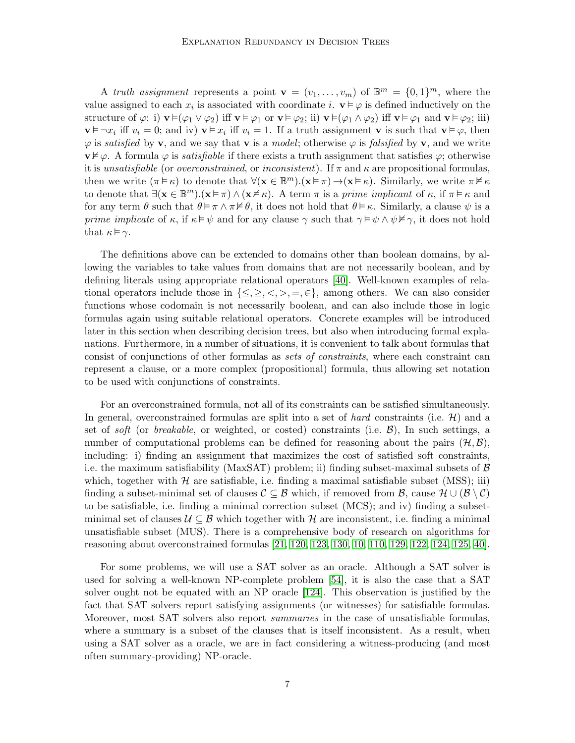A truth assignment represents a point  $\mathbf{v} = (v_1, \dots, v_m)$  of  $\mathbb{B}^m = \{0,1\}^m$ , where the value assigned to each  $x_i$  is associated with coordinate i.  $\mathbf{v} \models \varphi$  is defined inductively on the structure of  $\varphi$ : i)  $\mathbf{v} \models (\varphi_1 \lor \varphi_2)$  iff  $\mathbf{v} \models \varphi_1$  or  $\mathbf{v} \models \varphi_2$ ; ii)  $\mathbf{v} \models (\varphi_1 \land \varphi_2)$  iff  $\mathbf{v} \models \varphi_1$  and  $\mathbf{v} \models \varphi_2$ ; iii)  $\mathbf{v} \models \neg x_i$  iff  $v_i = 0$ ; and iv)  $\mathbf{v} \models x_i$  iff  $v_i = 1$ . If a truth assignment  $\mathbf{v}$  is such that  $\mathbf{v} \models \varphi$ , then  $\varphi$  is satisfied by v, and we say that v is a model; otherwise  $\varphi$  is falsified by v, and we write  $\mathbf{v} \not\models \varphi$ . A formula  $\varphi$  is *satisfiable* if there exists a truth assignment that satisfies  $\varphi$ ; otherwise it is unsatisfiable (or *overconstrained*, or *inconsistent*). If  $\pi$  and  $\kappa$  are propositional formulas, then we write  $(\pi \models \kappa)$  to denote that  $\forall (\mathbf{x} \in \mathbb{B}^m) . (\mathbf{x} \models \pi) \rightarrow (\mathbf{x} \models \kappa)$ . Similarly, we write  $\pi \nvDash \kappa$ to denote that  $\exists (\mathbf{x} \in \mathbb{B}^m) . (\mathbf{x} \models \pi) \land (\mathbf{x} \nvDash \kappa)$ . A term  $\pi$  is a prime implicant of  $\kappa$ , if  $\pi \models \kappa$  and for any term  $\theta$  such that  $\theta \models \pi \land \pi \not\vDash \theta$ , it does not hold that  $\theta \models \kappa$ . Similarly, a clause  $\psi$  is a prime implicate of  $\kappa$ , if  $\kappa \models \psi$  and for any clause  $\gamma$  such that  $\gamma \models \psi \land \psi \nvDash \gamma$ , it does not hold that  $\kappa \models \gamma$ .

The definitions above can be extended to domains other than boolean domains, by allowing the variables to take values from domains that are not necessarily boolean, and by defining literals using appropriate relational operators [\[40\]](#page-49-8). Well-known examples of relational operators include those in  $\{\leq,\geq,<,\geq,=,\in\}$ , among others. We can also consider functions whose codomain is not necessarily boolean, and can also include those in logic formulas again using suitable relational operators. Concrete examples will be introduced later in this section when describing decision trees, but also when introducing formal explanations. Furthermore, in a number of situations, it is convenient to talk about formulas that consist of conjunctions of other formulas as sets of constraints, where each constraint can represent a clause, or a more complex (propositional) formula, thus allowing set notation to be used with conjunctions of constraints.

For an overconstrained formula, not all of its constraints can be satisfied simultaneously. In general, overconstrained formulas are split into a set of *hard* constraints (i.e.  $\mathcal{H}$ ) and a set of soft (or breakable, or weighted, or costed) constraints (i.e.  $\mathcal{B}$ ), In such settings, a number of computational problems can be defined for reasoning about the pairs  $(\mathcal{H}, \mathcal{B})$ , including: i) finding an assignment that maximizes the cost of satisfied soft constraints, i.e. the maximum satisfiability (MaxSAT) problem; ii) finding subset-maximal subsets of  $\beta$ which, together with  $H$  are satisfiable, i.e. finding a maximal satisfiable subset (MSS); iii) finding a subset-minimal set of clauses  $\mathcal{C} \subseteq \mathcal{B}$  which, if removed from  $\mathcal{B}$ , cause  $\mathcal{H} \cup (\mathcal{B} \setminus \mathcal{C})$ to be satisfiable, i.e. finding a minimal correction subset (MCS); and iv) finding a subsetminimal set of clauses  $\mathcal{U} \subseteq \mathcal{B}$  which together with  $\mathcal{H}$  are inconsistent, i.e. finding a minimal unsatisfiable subset (MUS). There is a comprehensive body of research on algorithms for reasoning about overconstrained formulas [\[21,](#page-48-9) [120,](#page-54-3) [123,](#page-54-4) [130,](#page-55-8) [10,](#page-47-6) [110,](#page-54-5) [129,](#page-55-9) [122,](#page-54-6) [124,](#page-54-7) [125,](#page-54-8) [40\]](#page-49-8).

For some problems, we will use a SAT solver as an oracle. Although a SAT solver is used for solving a well-known NP-complete problem [\[54\]](#page-50-4), it is also the case that a SAT solver ought not be equated with an NP oracle [\[124\]](#page-54-7). This observation is justified by the fact that SAT solvers report satisfying assignments (or witnesses) for satisfiable formulas. Moreover, most SAT solvers also report *summaries* in the case of unsatisfiable formulas, where a summary is a subset of the clauses that is itself inconsistent. As a result, when using a SAT solver as a oracle, we are in fact considering a witness-producing (and most often summary-providing) NP-oracle.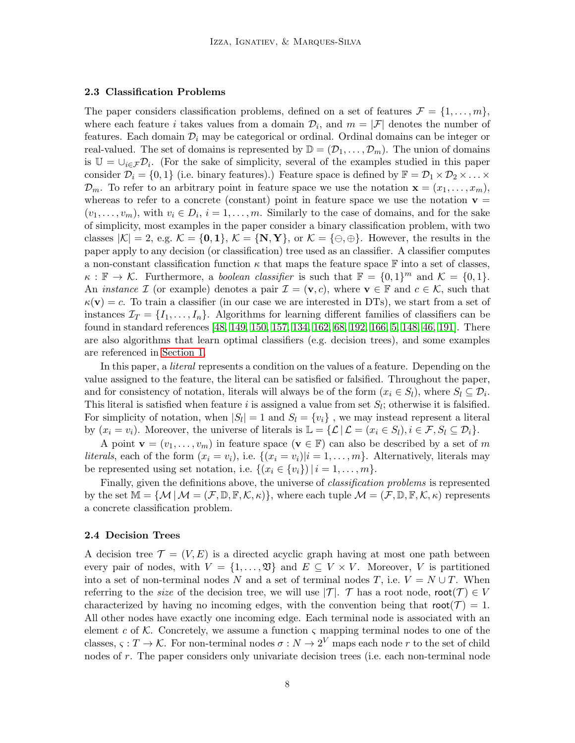#### <span id="page-7-0"></span>2.3 Classification Problems

The paper considers classification problems, defined on a set of features  $\mathcal{F} = \{1, \ldots, m\}$ , where each feature *i* takes values from a domain  $\mathcal{D}_i$ , and  $m = |\mathcal{F}|$  denotes the number of features. Each domain  $\mathcal{D}_i$  may be categorical or ordinal. Ordinal domains can be integer or real-valued. The set of domains is represented by  $\mathbb{D} = (\mathcal{D}_1, \ldots, \mathcal{D}_m)$ . The union of domains is  $\mathbb{U} = \cup_{i \in \mathcal{F}} \mathcal{D}_i$ . (For the sake of simplicity, several of the examples studied in this paper consider  $\mathcal{D}_i = \{0,1\}$  (i.e. binary features).) Feature space is defined by  $\mathbb{F} = \mathcal{D}_1 \times \mathcal{D}_2 \times \ldots \times$  $\mathcal{D}_m$ . To refer to an arbitrary point in feature space we use the notation  $\mathbf{x} = (x_1, \ldots, x_m)$ , whereas to refer to a concrete (constant) point in feature space we use the notation  $\mathbf{v} =$  $(v_1, \ldots, v_m)$ , with  $v_i \in D_i$ ,  $i = 1, \ldots, m$ . Similarly to the case of domains, and for the sake of simplicity, most examples in the paper consider a binary classification problem, with two classes  $|\mathcal{K}| = 2$ , e.g.  $\mathcal{K} = \{0, 1\}$ ,  $\mathcal{K} = \{N, Y\}$ , or  $\mathcal{K} = \{\ominus, \oplus\}$ . However, the results in the paper apply to any decision (or classification) tree used as an classifier. A classifier computes a non-constant classification function  $\kappa$  that maps the feature space F into a set of classes,  $\kappa : \mathbb{F} \to \mathcal{K}$ . Furthermore, a *boolean classifier* is such that  $\mathbb{F} = \{0,1\}^m$  and  $\mathcal{K} = \{0,1\}$ . An *instance* I (or example) denotes a pair  $\mathcal{I} = (\mathbf{v}, c)$ , where  $\mathbf{v} \in \mathbb{F}$  and  $c \in \mathcal{K}$ , such that  $\kappa(\mathbf{v}) = c$ . To train a classifier (in our case we are interested in DTs), we start from a set of instances  $\mathcal{I}_T = \{I_1, \ldots, I_n\}$ . Algorithms for learning different families of classifiers can be found in standard references [\[48,](#page-50-5) [149,](#page-56-3) [150,](#page-56-4) [157,](#page-56-5) [134,](#page-55-10) [162,](#page-57-6) [68,](#page-51-4) [192,](#page-59-2) [166,](#page-57-7) [5,](#page-47-7) [148,](#page-56-6) [46,](#page-50-6) [191\]](#page-59-3). There are also algorithms that learn optimal classifiers (e.g. decision trees), and some examples are referenced in [Section 1.](#page-2-0)

In this paper, a literal represents a condition on the values of a feature. Depending on the value assigned to the feature, the literal can be satisfied or falsified. Throughout the paper, and for consistency of notation, literals will always be of the form  $(x_i \in S_l)$ , where  $S_l \subseteq \mathcal{D}_i$ . This literal is satisfied when feature i is assigned a value from set  $S_l$ ; otherwise it is falsified. For simplicity of notation, when  $|S_l| = 1$  and  $S_l = \{v_i\}$ , we may instead represent a literal by  $(x_i = v_i)$ . Moreover, the universe of literals is  $\mathbb{L} = \{ \mathcal{L} \mid \mathcal{L} = (x_i \in S_l), i \in \mathcal{F}, S_l \subseteq \mathcal{D}_i \}.$ 

A point  $\mathbf{v} = (v_1, \dots, v_m)$  in feature space  $(\mathbf{v} \in \mathbb{F})$  can also be described by a set of m literals, each of the form  $(x_i = v_i)$ , i.e.  $\{(x_i = v_i)|i = 1, \ldots, m\}$ . Alternatively, literals may be represented using set notation, i.e.  $\{(x_i \in \{v_i\}) \mid i = 1, \ldots, m\}.$ 

Finally, given the definitions above, the universe of classification problems is represented by the set  $\mathbb{M} = \{ \mathcal{M} | \mathcal{M} = (\mathcal{F}, \mathbb{D}, \mathbb{F}, \mathcal{K}, \kappa) \}$ , where each tuple  $\mathcal{M} = (\mathcal{F}, \mathbb{D}, \mathbb{F}, \mathcal{K}, \kappa)$  represents a concrete classification problem.

#### <span id="page-7-1"></span>2.4 Decision Trees

A decision tree  $\mathcal{T} = (V, E)$  is a directed acyclic graph having at most one path between every pair of nodes, with  $V = \{1, ..., \mathfrak{V}\}\$ and  $E \subseteq V \times V$ . Moreover, V is partitioned into a set of non-terminal nodes N and a set of terminal nodes T, i.e.  $V = N \cup T$ . When referring to the size of the decision tree, we will use  $|\mathcal{T}|$ . T has a root node, root $(\mathcal{T}) \in V$ characterized by having no incoming edges, with the convention being that  $\text{root}(\mathcal{T}) = 1$ . All other nodes have exactly one incoming edge. Each terminal node is associated with an element c of  $K$ . Concretely, we assume a function  $\varsigma$  mapping terminal nodes to one of the classes,  $\varsigma : T \to \mathcal{K}$ . For non-terminal nodes  $\sigma : N \to 2^V$  maps each node r to the set of child nodes of r. The paper considers only univariate decision trees (i.e. each non-terminal node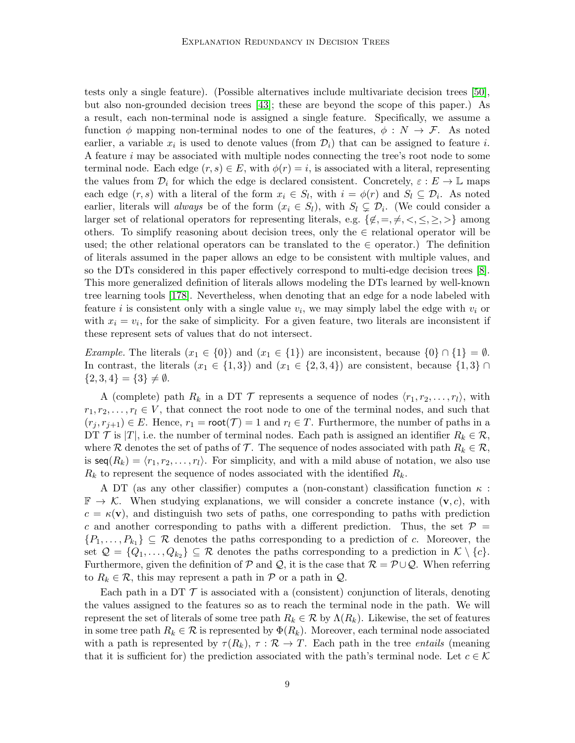tests only a single feature). (Possible alternatives include multivariate decision trees [\[50\]](#page-50-7), but also non-grounded decision trees [\[43\]](#page-49-9); these are beyond the scope of this paper.) As a result, each non-terminal node is assigned a single feature. Specifically, we assume a function  $\phi$  mapping non-terminal nodes to one of the features,  $\phi : N \to \mathcal{F}$ . As noted earlier, a variable  $x_i$  is used to denote values (from  $\mathcal{D}_i$ ) that can be assigned to feature *i*. A feature i may be associated with multiple nodes connecting the tree's root node to some terminal node. Each edge  $(r, s) \in E$ , with  $\phi(r) = i$ , is associated with a literal, representing the values from  $\mathcal{D}_i$  for which the edge is declared consistent. Concretely,  $\varepsilon : E \to \mathbb{L}$  maps each edge  $(r, s)$  with a literal of the form  $x_i \in S_l$ , with  $i = \phi(r)$  and  $S_l \subseteq \mathcal{D}_i$ . As noted earlier, literals will *always* be of the form  $(x_i \in S_l)$ , with  $S_l \subsetneq \mathcal{D}_i$ . (We could consider a larger set of relational operators for representing literals, e.g.  $\{\notin, =, \neq, \leq, \leq, \geq\}$  among others. To simplify reasoning about decision trees, only the  $\in$  relational operator will be used; the other relational operators can be translated to the  $\in$  operator.) The definition of literals assumed in the paper allows an edge to be consistent with multiple values, and so the DTs considered in this paper effectively correspond to multi-edge decision trees [\[8\]](#page-47-8). This more generalized definition of literals allows modeling the DTs learned by well-known tree learning tools [\[178\]](#page-58-7). Nevertheless, when denoting that an edge for a node labeled with feature *i* is consistent only with a single value  $v_i$ , we may simply label the edge with  $v_i$  or with  $x_i = v_i$ , for the sake of simplicity. For a given feature, two literals are inconsistent if these represent sets of values that do not intersect.

Example. The literals  $(x_1 \in \{0\})$  and  $(x_1 \in \{1\})$  are inconsistent, because  $\{0\} \cap \{1\} = \emptyset$ . In contrast, the literals  $(x_1 \in \{1,3\})$  and  $(x_1 \in \{2,3,4\})$  are consistent, because  $\{1,3\} \cap$  ${2, 3, 4} = {3} \neq \emptyset.$ 

A (complete) path  $R_k$  in a DT  $\mathcal T$  represents a sequence of nodes  $\langle r_1, r_2, \ldots, r_l \rangle$ , with  $r_1, r_2, \ldots, r_l \in V$ , that connect the root node to one of the terminal nodes, and such that  $(r_i, r_{i+1}) \in E$ . Hence,  $r_1 = \text{root}(\mathcal{T}) = 1$  and  $r_i \in T$ . Furthermore, the number of paths in a DT  $\mathcal T$  is  $|T|$ , i.e. the number of terminal nodes. Each path is assigned an identifier  $R_k \in \mathcal R$ , where R denotes the set of paths of T. The sequence of nodes associated with path  $R_k \in \mathcal{R}$ , is  $\text{seq}(R_k) = \langle r_1, r_2, \ldots, r_l \rangle$ . For simplicity, and with a mild abuse of notation, we also use  $R_k$  to represent the sequence of nodes associated with the identified  $R_k$ .

A DT (as any other classifier) computes a (non-constant) classification function  $\kappa$ :  $\mathbb{F} \to \mathcal{K}$ . When studying explanations, we will consider a concrete instance  $(\mathbf{v}, c)$ , with  $c = \kappa(\mathbf{v})$ , and distinguish two sets of paths, one corresponding to paths with prediction c and another corresponding to paths with a different prediction. Thus, the set  $\mathcal{P} =$  $\{P_1,\ldots,P_{k_1}\}\subseteq \mathcal{R}$  denotes the paths corresponding to a prediction of c. Moreover, the set  $\mathcal{Q} = \{Q_1, \ldots, Q_{k_2}\} \subseteq \mathcal{R}$  denotes the paths corresponding to a prediction in  $\mathcal{K} \setminus \{c\}.$ Furthermore, given the definition of P and Q, it is the case that  $\mathcal{R} = \mathcal{P} \cup \mathcal{Q}$ . When referring to  $R_k \in \mathcal{R}$ , this may represent a path in  $\mathcal{P}$  or a path in  $\mathcal{Q}$ .

Each path in a DT  $\mathcal T$  is associated with a (consistent) conjunction of literals, denoting the values assigned to the features so as to reach the terminal node in the path. We will represent the set of literals of some tree path  $R_k \in \mathcal{R}$  by  $\Lambda(R_k)$ . Likewise, the set of features in some tree path  $R_k \in \mathcal{R}$  is represented by  $\Phi(R_k)$ . Moreover, each terminal node associated with a path is represented by  $\tau(R_k)$ ,  $\tau : \mathcal{R} \to T$ . Each path in the tree *entails* (meaning that it is sufficient for) the prediction associated with the path's terminal node. Let  $c \in \mathcal{K}$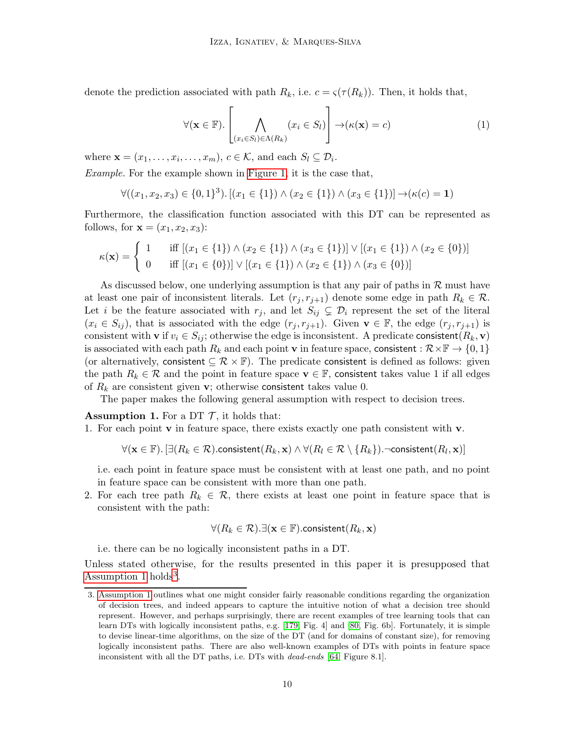denote the prediction associated with path  $R_k$ , i.e.  $c = \varsigma(\tau(R_k))$ . Then, it holds that,

$$
\forall (\mathbf{x} \in \mathbb{F}). \left[ \bigwedge_{(x_i \in S_l) \in \Lambda(R_k)} (x_i \in S_l) \right] \to (\kappa(\mathbf{x}) = c) \tag{1}
$$

where  $\mathbf{x} = (x_1, \dots, x_i, \dots, x_m)$ ,  $c \in \mathcal{K}$ , and each  $S_l \subseteq \mathcal{D}_i$ .

Example. For the example shown in [Figure 1,](#page-11-0) it is the case that,

$$
\forall ((x_1, x_2, x_3) \in \{0, 1\}^3). [(x_1 \in \{1\}) \land (x_2 \in \{1\}) \land (x_3 \in \{1\})] \rightarrow (\kappa(c) = 1)
$$

Furthermore, the classification function associated with this DT can be represented as follows, for  $\mathbf{x} = (x_1, x_2, x_3)$ :

$$
\kappa(\mathbf{x}) = \begin{cases} 1 & \text{if } [(x_1 \in \{1\}) \land (x_2 \in \{1\}) \land (x_3 \in \{1\})] \lor [(x_1 \in \{1\}) \land (x_2 \in \{0\})] \\ 0 & \text{if } [(x_1 \in \{0\})] \lor [(x_1 \in \{1\}) \land (x_2 \in \{1\}) \land (x_3 \in \{0\})] \end{cases}
$$

As discussed below, one underlying assumption is that any pair of paths in  $\mathcal R$  must have at least one pair of inconsistent literals. Let  $(r_i, r_{i+1})$  denote some edge in path  $R_k \in \mathcal{R}$ . Let i be the feature associated with  $r_j$ , and let  $S_{ij} \subsetneq \mathcal{D}_i$  represent the set of the literal  $(x_i \in S_{ij})$ , that is associated with the edge  $(r_j, r_{j+1})$ . Given  $\mathbf{v} \in \mathbb{F}$ , the edge  $(r_j, r_{j+1})$  is consistent with **v** if  $v_i \in S_{ij}$ ; otherwise the edge is inconsistent. A predicate consistent  $(R_k, \mathbf{v})$ is associated with each path  $R_k$  and each point v in feature space, consistent :  $\mathcal{R}\times\mathbb{F}\to\{0,1\}$ (or alternatively, consistent  $\subseteq \mathcal{R} \times \mathbb{F}$ ). The predicate consistent is defined as follows: given the path  $R_k \in \mathcal{R}$  and the point in feature space  $\mathbf{v} \in \mathbb{F}$ , consistent takes value 1 if all edges of  $R_k$  are consistent given **v**; otherwise consistent takes value 0.

<span id="page-9-0"></span>The paper makes the following general assumption with respect to decision trees.

**Assumption 1.** For a DT  $\mathcal{T}$ , it holds that:

1. For each point  $\bf{v}$  in feature space, there exists exactly one path consistent with  $\bf{v}$ .

$$
\forall (\mathbf{x} \in \mathbb{F}). \left[ \exists (R_k \in \mathcal{R}).\text{consistent}(R_k, \mathbf{x}) \land \forall (R_l \in \mathcal{R} \setminus \{R_k\}).\neg \text{consistent}(R_l, \mathbf{x}) \right]
$$

i.e. each point in feature space must be consistent with at least one path, and no point in feature space can be consistent with more than one path.

2. For each tree path  $R_k \in \mathcal{R}$ , there exists at least one point in feature space that is consistent with the path:

$$
\forall (R_k \in \mathcal{R}). \exists (\mathbf{x} \in \mathbb{F}).\text{consistent}(R_k, \mathbf{x})
$$

i.e. there can be no logically inconsistent paths in a DT.

Unless stated otherwise, for the results presented in this paper it is presupposed that [Assumption 1](#page-9-0) holds<sup>[3](#page-9-1)</sup>.

<span id="page-9-1"></span><sup>3.</sup> [Assumption 1](#page-9-0) outlines what one might consider fairly reasonable conditions regarding the organization of decision trees, and indeed appears to capture the intuitive notion of what a decision tree should represent. However, and perhaps surprisingly, there are recent examples of tree learning tools that can learn DTs with logically inconsistent paths, e.g. [\[179,](#page-58-1) Fig. 4] and [\[80,](#page-52-0) Fig. 6b]. Fortunately, it is simple to devise linear-time algorithms, on the size of the DT (and for domains of constant size), for removing logically inconsistent paths. There are also well-known examples of DTs with points in feature space inconsistent with all the DT paths, i.e. DTs with dead-ends [\[64,](#page-51-5) Figure 8.1].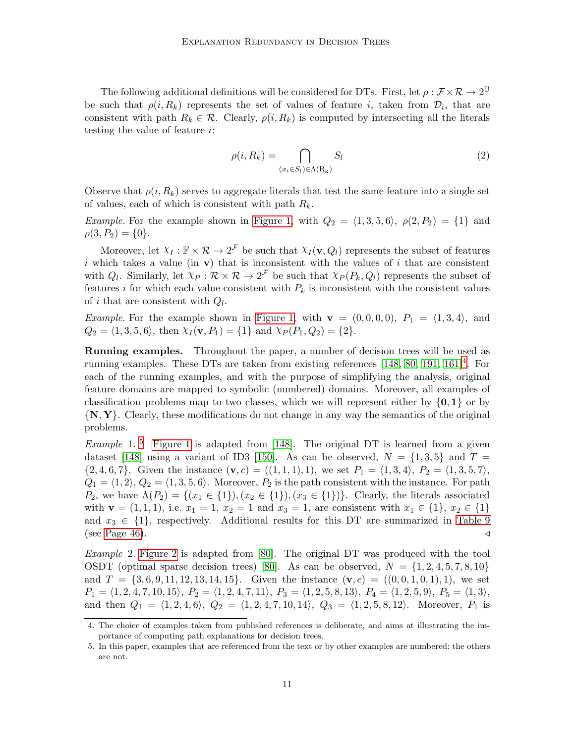The following additional definitions will be considered for DTs. First, let  $\rho: \mathcal{F} \times \mathcal{R} \to 2^{\mathbb{U}}$ be such that  $\rho(i, R_k)$  represents the set of values of feature i, taken from  $\mathcal{D}_i$ , that are consistent with path  $R_k \in \mathcal{R}$ . Clearly,  $\rho(i, R_k)$  is computed by intersecting all the literals testing the value of feature i:

$$
\rho(i, R_k) = \bigcap_{(x_i \in S_l) \in \Lambda(R_k)} S_l \tag{2}
$$

Observe that  $\rho(i, R_k)$  serves to aggregate literals that test the same feature into a single set of values, each of which is consistent with path  $R_k$ .

*Example.* For the example shown in [Figure 1,](#page-11-0) with  $Q_2 = \langle 1, 3, 5, 6 \rangle$ ,  $\rho(2, P_2) = \{1\}$  and  $\rho(3, P_2) = \{0\}.$ 

Moreover, let  $X_I : \mathbb{F} \times \mathcal{R} \to 2^{\mathcal{F}}$  be such that  $X_I(\mathbf{v}, Q_I)$  represents the subset of features i which takes a value (in  $\bf{v}$ ) that is inconsistent with the values of i that are consistent with  $Q_l$ . Similarly, let  $\chi_P : \mathcal{R} \times \mathcal{R} \to 2^{\mathcal{F}}$  be such that  $\chi_P(P_k, Q_l)$  represents the subset of features i for which each value consistent with  $P_k$  is inconsistent with the consistent values of *i* that are consistent with  $Q_l$ .

*Example.* For the example shown in [Figure 1,](#page-11-0) with  $\mathbf{v} = (0, 0, 0, 0)$ ,  $P_1 = \langle 1, 3, 4 \rangle$ , and  $Q_2 = \langle 1, 3, 5, 6 \rangle$ , then  $\chi_I(\mathbf{v}, P_1) = \{1\}$  and  $\chi_P (P_1, Q_2) = \{2\}.$ 

Running examples. Throughout the paper, a number of decision trees will be used as running examples. These DTs are taken from existing references  $[148, 80, 191, 161]^4$  $[148, 80, 191, 161]^4$  $[148, 80, 191, 161]^4$  $[148, 80, 191, 161]^4$  $[148, 80, 191, 161]^4$  $[148, 80, 191, 161]^4$ . For each of the running examples, and with the purpose of simplifying the analysis, original feature domains are mapped to symbolic (numbered) domains. Moreover, all examples of classification problems map to two classes, which we will represent either by  $\{0, 1\}$  or by {N, Y}. Clearly, these modifications do not change in any way the semantics of the original problems.

*Example* 1.<sup>[5](#page-10-1)</sup> [Figure 1](#page-11-0) is adapted from [\[148\]](#page-56-6). The original DT is learned from a given dataset [\[148\]](#page-56-6) using a variant of ID3 [\[150\]](#page-56-4). As can be observed,  $N = \{1, 3, 5\}$  and  $T =$  ${2, 4, 6, 7}$ . Given the instance  $(\mathbf{v}, c) = ((1, 1, 1), 1)$ , we set  $P_1 = (1, 3, 4), P_2 = (1, 3, 5, 7)$ ,  $Q_1 = \langle 1, 2 \rangle, Q_2 = \langle 1, 3, 5, 6 \rangle$ . Moreover,  $P_2$  is the path consistent with the instance. For path  $P_2$ , we have  $\Lambda(P_2) = \{(x_1 \in \{1\}), (x_2 \in \{1\}), (x_3 \in \{1\})\}.$  Clearly, the literals associated with  $\mathbf{v} = (1, 1, 1)$ , i.e.  $x_1 = 1$ ,  $x_2 = 1$  and  $x_3 = 1$ , are consistent with  $x_1 \in \{1\}$ ,  $x_2 \in \{1\}$ and  $x_3 \in \{1\}$ , respectively. Additional results for this DT are summarized in [Table 9](#page-45-0) (see [Page 46\)](#page-45-0).  $\triangleleft$ 

<span id="page-10-2"></span>Example 2. [Figure 2](#page-11-1) is adapted from [\[80\]](#page-52-0). The original DT was produced with the tool OSDT (optimal sparse decision trees) [\[80\]](#page-52-0). As can be observed,  $N = \{1, 2, 4, 5, 7, 8, 10\}$ and  $T = \{3, 6, 9, 11, 12, 13, 14, 15\}$ . Given the instance  $(\mathbf{v}, c) = ((0, 0, 1, 0, 1), 1)$ , we set  $P_1 = \langle 1, 2, 4, 7, 10, 15 \rangle$ ,  $P_2 = \langle 1, 2, 4, 7, 11 \rangle$ ,  $P_3 = \langle 1, 2, 5, 8, 13 \rangle$ ,  $P_4 = \langle 1, 2, 5, 9 \rangle$ ,  $P_5 = \langle 1, 3 \rangle$ , and then  $Q_1 = \langle 1, 2, 4, 6 \rangle$ ,  $Q_2 = \langle 1, 2, 4, 7, 10, 14 \rangle$ ,  $Q_3 = \langle 1, 2, 5, 8, 12 \rangle$ . Moreover,  $P_1$  is

<span id="page-10-0"></span><sup>4.</sup> The choice of examples taken from published references is deliberate, and aims at illustrating the importance of computing path explanations for decision trees.

<span id="page-10-1"></span><sup>5.</sup> In this paper, examples that are referenced from the text or by other examples are numbered; the others are not.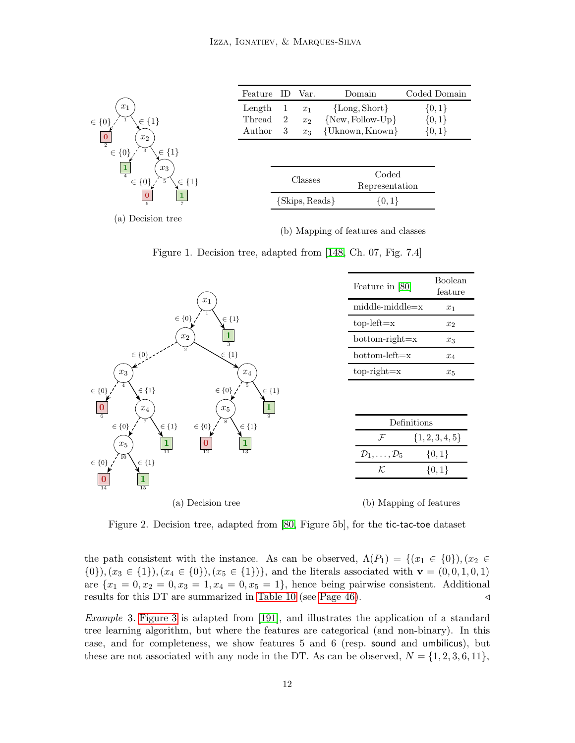<span id="page-11-0"></span>

(b) Mapping of features and classes

Figure 1. Decision tree, adapted from [\[148,](#page-56-6) Ch. 07, Fig. 7.4]

<span id="page-11-1"></span>

Figure 2. Decision tree, adapted from [\[80,](#page-52-0) Figure 5b], for the tic-tac-toe dataset

the path consistent with the instance. As can be observed,  $\Lambda(P_1) = \{(x_1 \in \{0\}), (x_2 \in$  $\{0\},(x_3 \in \{1\}), (x_4 \in \{0\}), (x_5 \in \{1\})\},\$ and the literals associated with  $\mathbf{v} = (0,0,1,0,1)$ are  ${x_1 = 0, x_2 = 0, x_3 = 1, x_4 = 0, x_5 = 1}$ , hence being pairwise consistent. Additional results for this DT are summarized in [Table 10](#page-45-1) (see [Page 46\)](#page-45-1). △

<span id="page-11-2"></span>Example 3. [Figure 3](#page-12-0) is adapted from [\[191\]](#page-59-3), and illustrates the application of a standard tree learning algorithm, but where the features are categorical (and non-binary). In this case, and for completeness, we show features 5 and 6 (resp. sound and umbilicus), but these are not associated with any node in the DT. As can be observed,  $N = \{1, 2, 3, 6, 11\},\$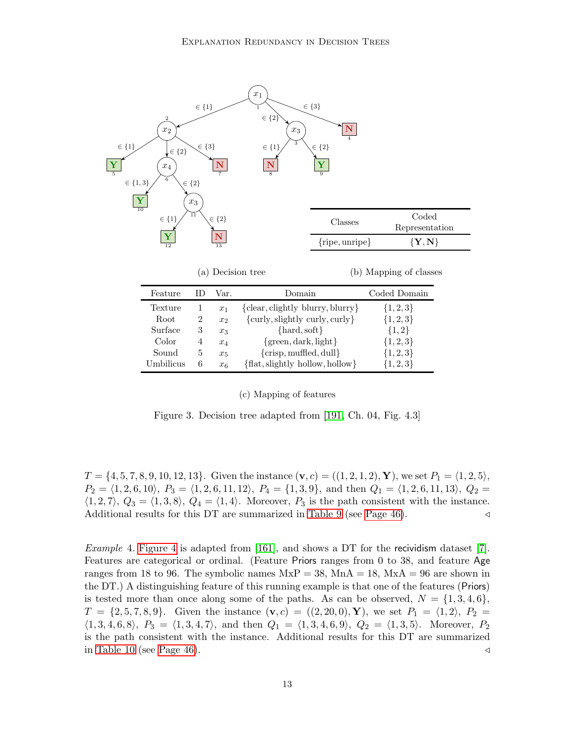<span id="page-12-0"></span>

(a) Decision tree

(b) Mapping of classes

| Feature   | Domain<br>Var. |                | Coded Domain                                 |               |
|-----------|----------------|----------------|----------------------------------------------|---------------|
| Texture   |                | $x_1$          | ${clear, {\rm{clightly\; blurry, blurry}}\}$ | $\{1, 2, 3\}$ |
| Root      | $\overline{2}$ | x <sub>2</sub> | ${curly, slightly \, curly, curly}$          | $\{1, 2, 3\}$ |
| Surface   | 3              | $x_3$          | $\{hard, soft\}$                             | ${1,2}$       |
| Color     | 4              | $x_4$          | ${green, dark, light}$                       | $\{1, 2, 3\}$ |
| Sound     | 5              | $x_5$          | ${crisp, muffled, dull}$                     | $\{1, 2, 3\}$ |
| Umbilicus | 6              | x <sub>6</sub> | $\{flat, slightly hollow, hollow\}$          | $\{1, 2, 3\}$ |

(c) Mapping of features

Figure 3. Decision tree adapted from [\[191,](#page-59-3) Ch. 04, Fig. 4.3]

 $T = \{4, 5, 7, 8, 9, 10, 12, 13\}$ . Given the instance  $(\mathbf{v}, c) = ((1, 2, 1, 2), \mathbf{Y})$ , we set  $P_1 = (1, 2, 5)$ ,  $P_2 = \langle 1, 2, 6, 10 \rangle$ ,  $P_3 = \langle 1, 2, 6, 11, 12 \rangle$ ,  $P_4 = \{1, 3, 9\}$ , and then  $Q_1 = \langle 1, 2, 6, 11, 13 \rangle$ ,  $Q_2 =$  $\langle 1, 2, 7 \rangle$ ,  $Q_3 = \langle 1, 3, 8 \rangle$ ,  $Q_4 = \langle 1, 4 \rangle$ . Moreover,  $P_3$  is the path consistent with the instance. Additional results for this DT are summarized in [Table 9](#page-45-0) (see [Page 46\)](#page-45-0). △

<span id="page-12-1"></span>*Example 4.* [Figure 4](#page-13-1) is adapted from [\[161\]](#page-57-4), and shows a DT for the recividism dataset [\[7\]](#page-47-9). Features are categorical or ordinal. (Feature Priors ranges from 0 to 38, and feature Age ranges from 18 to 96. The symbolic names  $MxP = 38$ ,  $MnA = 18$ ,  $MxA = 96$  are shown in the DT.) A distinguishing feature of this running example is that one of the features (Priors) is tested more than once along some of the paths. As can be observed,  $N = \{1,3,4,6\}$ ,  $T = \{2, 5, 7, 8, 9\}$ . Given the instance  $(\mathbf{v}, c) = ((2, 20, 0), \mathbf{Y})$ , we set  $P_1 = \langle 1, 2 \rangle$ ,  $P_2 =$  $\langle 1, 3, 4, 6, 8 \rangle$ ,  $P_3 = \langle 1, 3, 4, 7 \rangle$ , and then  $Q_1 = \langle 1, 3, 4, 6, 9 \rangle$ ,  $Q_2 = \langle 1, 3, 5 \rangle$ . Moreover,  $P_2$ is the path consistent with the instance. Additional results for this DT are summarized in [Table 10](#page-45-1) (see [Page 46\)](#page-45-1).  $\triangleleft$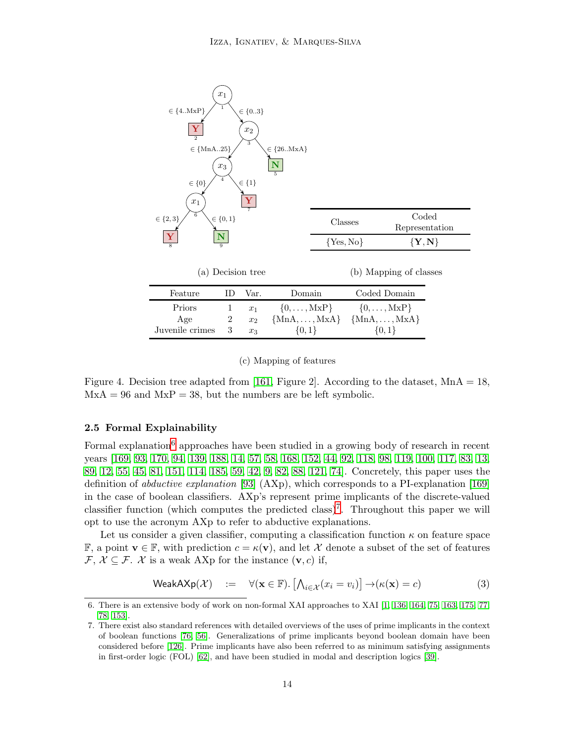<span id="page-13-1"></span>

#### (c) Mapping of features

Figure 4. Decision tree adapted from [\[161,](#page-57-4) Figure 2]. According to the dataset,  $MnA = 18$ ,  $MxA = 96$  and  $MxP = 38$ , but the numbers are be left symbolic.

## <span id="page-13-0"></span>2.5 Formal Explainability

Formal explanation<sup>[6](#page-13-2)</sup> approaches have been studied in a growing body of research in recent years [\[169,](#page-57-5) [93,](#page-52-3) [170,](#page-57-8) [94,](#page-53-3) [139,](#page-55-11) [188,](#page-58-8) [14,](#page-47-10) [57,](#page-50-8) [58,](#page-50-9) [168,](#page-57-9) [152,](#page-56-7) [44,](#page-49-10) [92,](#page-52-4) [118,](#page-54-9) [98,](#page-53-2) [119,](#page-54-10) [100,](#page-53-4) [117,](#page-54-11) [83,](#page-52-5) [13,](#page-47-11) [89,](#page-52-9) [12,](#page-47-12) [55,](#page-50-10) [45,](#page-49-11) [81,](#page-52-8) [151,](#page-56-8) [114,](#page-54-12) [185,](#page-58-9) [59,](#page-50-11) [42,](#page-49-12) [9,](#page-47-13) [82,](#page-52-7) [88,](#page-52-10) [121,](#page-54-13) [74\]](#page-51-6). Concretely, this paper uses the definition of abductive explanation [\[93\]](#page-52-3) (AXp), which corresponds to a PI-explanation [\[169\]](#page-57-5) in the case of boolean classifiers. AXp's represent prime implicants of the discrete-valued classifier function (which computes the predicted class)<sup>[7](#page-13-3)</sup>. Throughout this paper we will opt to use the acronym AXp to refer to abductive explanations.

Let us consider a given classifier, computing a classification function  $\kappa$  on feature space F, a point  $\mathbf{v} \in \mathbb{F}$ , with prediction  $c = \kappa(\mathbf{v})$ , and let X denote a subset of the set of features  $\mathcal{F}, \mathcal{X} \subseteq \mathcal{F}.$  X is a weak AXp for the instance  $(\mathbf{v}, c)$  if,

<span id="page-13-4"></span>
$$
\text{WeakAXp}(\mathcal{X}) \quad := \quad \forall (\mathbf{x} \in \mathbb{F}). \left[ \bigwedge_{i \in \mathcal{X}} (x_i = v_i) \right] \to (\kappa(\mathbf{x}) = c) \tag{3}
$$

<span id="page-13-2"></span><sup>6.</sup> There is an extensive body of work on non-formal XAI approaches to XAI [\[1,](#page-47-14) [136,](#page-55-12) [164,](#page-57-10) [75,](#page-51-7) [163,](#page-57-11) [175,](#page-58-10) [77,](#page-52-11) [78,](#page-52-12) [153\]](#page-56-9).

<span id="page-13-3"></span><sup>7.</sup> There exist also standard references with detailed overviews of the uses of prime implicants in the context of boolean functions [\[76,](#page-51-8) [56\]](#page-50-12). Generalizations of prime implicants beyond boolean domain have been considered before [\[126\]](#page-55-13). Prime implicants have also been referred to as minimum satisfying assignments in first-order logic (FOL) [\[62\]](#page-51-9), and have been studied in modal and description logics [\[39\]](#page-49-13).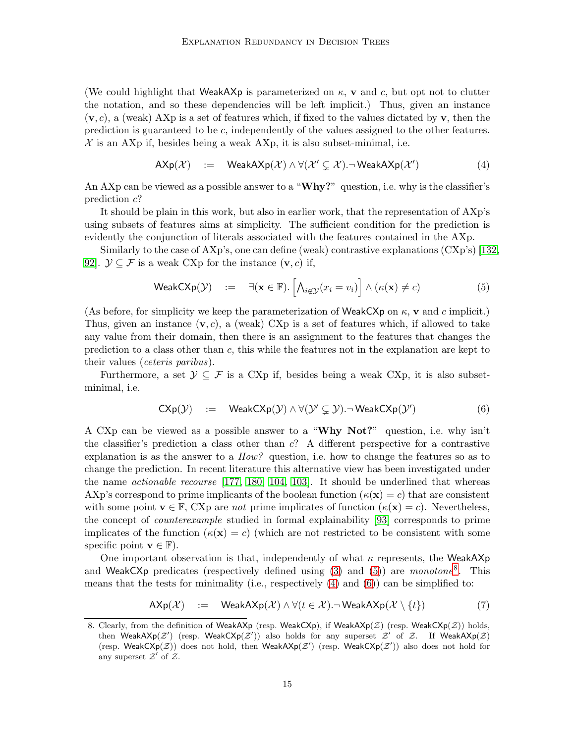(We could highlight that WeakAXp is parameterized on  $\kappa$ , v and c, but opt not to clutter the notation, and so these dependencies will be left implicit.) Thus, given an instance  $(v, c)$ , a (weak) AXp is a set of features which, if fixed to the values dictated by v, then the prediction is guaranteed to be c, independently of the values assigned to the other features.  $\mathcal X$  is an AXp if, besides being a weak AXp, it is also subset-minimal, i.e.

<span id="page-14-2"></span>
$$
AXp(\mathcal{X}) := WeakAXp(\mathcal{X}) \land \forall (\mathcal{X}' \subsetneq \mathcal{X}).\neg WeakAXp(\mathcal{X}')
$$
 (4)

An AXp can be viewed as a possible answer to a "Why?" question, i.e. why is the classifier's prediction c?

It should be plain in this work, but also in earlier work, that the representation of AXp's using subsets of features aims at simplicity. The sufficient condition for the prediction is evidently the conjunction of literals associated with the features contained in the AXp.

Similarly to the case of AXp's, one can define (weak) contrastive explanations (CXp's) [\[132,](#page-55-7) 92.  $\mathcal{Y} \subseteq \mathcal{F}$  is a weak CXp for the instance  $(\mathbf{v}, c)$  if,

<span id="page-14-0"></span>
$$
\text{WeakCXp}(\mathcal{Y}) \quad := \quad \exists (\mathbf{x} \in \mathbb{F}). \left[ \bigwedge_{i \notin \mathcal{Y}} (x_i = v_i) \right] \land (\kappa(\mathbf{x}) \neq c) \tag{5}
$$

(As before, for simplicity we keep the parameterization of WeakCXp on  $\kappa$ , v and c implicit.) Thus, given an instance  $(v, c)$ , a (weak) CXp is a set of features which, if allowed to take any value from their domain, then there is an assignment to the features that changes the prediction to a class other than c, this while the features not in the explanation are kept to their values (ceteris paribus).

Furthermore, a set  $\mathcal{Y} \subseteq \mathcal{F}$  is a CXp if, besides being a weak CXp, it is also subsetminimal, i.e.

<span id="page-14-3"></span>
$$
\mathsf{C}\mathsf{Xp}(\mathcal{Y}) \quad := \quad \mathsf{WeakC}\mathsf{Xp}(\mathcal{Y}) \land \forall (\mathcal{Y}' \subsetneq \mathcal{Y}) \neg \mathsf{WeakC}\mathsf{Xp}(\mathcal{Y}') \tag{6}
$$

A CXp can be viewed as a possible answer to a "Why Not?" question, i.e. why isn't the classifier's prediction a class other than  $c$ ? A different perspective for a contrastive explanation is as the answer to a  $How?$  question, i.e. how to change the features so as to change the prediction. In recent literature this alternative view has been investigated under the name actionable recourse [\[177,](#page-58-11) [180,](#page-58-12) [104,](#page-53-5) [103\]](#page-53-6). It should be underlined that whereas AXp's correspond to prime implicants of the boolean function  $(\kappa(\mathbf{x}) = c)$  that are consistent with some point  $\mathbf{v} \in \mathbb{F}$ , CXp are *not* prime implicates of function  $(\kappa(\mathbf{x}) = c)$ . Nevertheless, the concept of counterexample studied in formal explainability [\[93\]](#page-52-3) corresponds to prime implicates of the function  $(\kappa(\mathbf{x}) = c)$  (which are not restricted to be consistent with some specific point  $\mathbf{v} \in \mathbb{F}$ ).

One important observation is that, independently of what  $\kappa$  represents, the WeakAXp and WeakCXp predicates (respectively defined using  $(3)$  and  $(5)$ ) are monotone<sup>[8](#page-14-1)</sup>. This means that the tests for minimality (i.e., respectively  $(4)$  and  $(6)$ ) can be simplified to:

<span id="page-14-4"></span>
$$
AXp(\mathcal{X}) := WeakAXp(\mathcal{X}) \land \forall (t \in \mathcal{X}).\neg WeakAXp(\mathcal{X} \setminus \{t\})
$$
 (7)

<span id="page-14-1"></span><sup>8.</sup> Clearly, from the definition of WeakAXp (resp. WeakCXp), if WeakAXp( $\mathcal{Z}$ ) (resp. WeakCXp( $\mathcal{Z}$ )) holds, then WeakAXp(Z') (resp. WeakCXp(Z')) also holds for any superset  $Z'$  of Z. If WeakAXp(Z) (resp. WeakCXp( $Z$ )) does not hold, then WeakAXp( $Z'$ ) (resp. WeakCXp( $Z'$ )) also does not hold for any superset  $\mathcal{Z}'$  of  $\mathcal{Z}$ .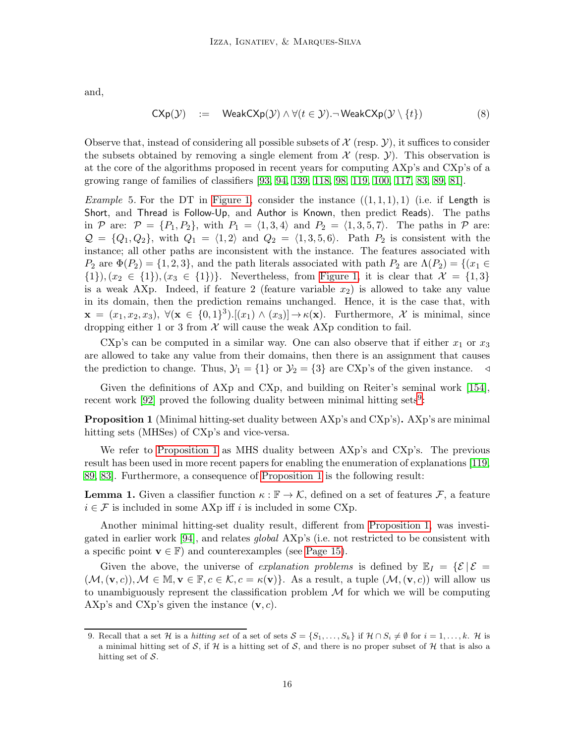and,

<span id="page-15-2"></span>
$$
\mathsf{C}\mathsf{Xp}(\mathcal{Y}) \quad := \quad \mathsf{WeakC}\mathsf{Xp}(\mathcal{Y}) \land \forall (t \in \mathcal{Y}).\neg \mathsf{WeakC}\mathsf{Xp}(\mathcal{Y} \setminus \{t\}) \tag{8}
$$

Observe that, instead of considering all possible subsets of  $\mathcal X$  (resp.  $\mathcal Y$ ), it suffices to consider the subsets obtained by removing a single element from  $\mathcal X$  (resp.  $\mathcal Y$ ). This observation is at the core of the algorithms proposed in recent years for computing AXp's and CXp's of a growing range of families of classifiers [\[93,](#page-52-3) [94,](#page-53-3) [139,](#page-55-11) [118,](#page-54-9) [98,](#page-53-2) [119,](#page-54-10) [100,](#page-53-4) [117,](#page-54-11) [83,](#page-52-5) [89,](#page-52-9) [81\]](#page-52-8).

*Example* 5. For the DT in [Figure 1,](#page-11-0) consider the instance  $((1,1,1),1)$  (i.e. if Length is Short, and Thread is Follow-Up, and Author is Known, then predict Reads). The paths in P are:  $\mathcal{P} = \{P_1, P_2\}$ , with  $P_1 = \langle 1, 3, 4 \rangle$  and  $P_2 = \langle 1, 3, 5, 7 \rangle$ . The paths in P are:  $\mathcal{Q} = \{Q_1, Q_2\}$ , with  $Q_1 = \langle 1, 2\rangle$  and  $Q_2 = \langle 1, 3, 5, 6\rangle$ . Path  $P_2$  is consistent with the instance; all other paths are inconsistent with the instance. The features associated with  $P_2$  are  $\Phi(P_2) = \{1, 2, 3\}$ , and the path literals associated with path  $P_2$  are  $\Lambda(P_2) = \{(x_1 \in$  $\{1\},(x_2 \in \{1\}), (x_3 \in \{1\})\}.$  Nevertheless, from [Figure 1,](#page-11-0) it is clear that  $\mathcal{X} = \{1,3\}$ is a weak AXp. Indeed, if feature 2 (feature variable  $x_2$ ) is allowed to take any value in its domain, then the prediction remains unchanged. Hence, it is the case that, with  $\mathbf{x} = (x_1, x_2, x_3), \ \forall (\mathbf{x} \in \{0, 1\}^3) . [(x_1) \wedge (x_3)] \rightarrow \kappa(\mathbf{x}).$  Furthermore, X is minimal, since dropping either 1 or 3 from  $X$  will cause the weak AXp condition to fail.

CXp's can be computed in a similar way. One can also observe that if either  $x_1$  or  $x_3$ are allowed to take any value from their domains, then there is an assignment that causes the prediction to change. Thus,  $\mathcal{Y}_1 = \{1\}$  or  $\mathcal{Y}_2 = \{3\}$  are CXp's of the given instance.

<span id="page-15-1"></span>Given the definitions of AXp and CXp, and building on Reiter's seminal work [\[154\]](#page-56-10), recent work  $[92]$  $[92]$  $[92]$  proved the following duality between minimal hitting sets<sup>9</sup>:

Proposition 1 (Minimal hitting-set duality between AXp's and CXp's). AXp's are minimal hitting sets (MHSes) of CXp's and vice-versa.

We refer to [Proposition 1](#page-15-1) as MHS duality between AXp's and CXp's. The previous result has been used in more recent papers for enabling the enumeration of explanations [\[119,](#page-54-10) [89,](#page-52-9) [83\]](#page-52-5). Furthermore, a consequence of [Proposition 1](#page-15-1) is the following result:

**Lemma 1.** Given a classifier function  $\kappa : \mathbb{F} \to \mathcal{K}$ , defined on a set of features  $\mathcal{F}$ , a feature  $i \in \mathcal{F}$  is included in some AXp iff i is included in some CXp.

Another minimal hitting-set duality result, different from [Proposition 1,](#page-15-1) was investigated in earlier work [\[94\]](#page-53-3), and relates global AXp's (i.e. not restricted to be consistent with a specific point  $\mathbf{v} \in \mathbb{F}$ ) and counterexamples (see [Page 15\)](#page-14-3).

Given the above, the universe of *explanation problems* is defined by  $\mathbb{E}_I = \{ \mathcal{E} | \mathcal{E} =$  $(\mathcal{M},(\mathbf{v},c)),\mathcal{M}\in \mathbb{M},\mathbf{v}\in \mathbb{F},c\in \mathcal{K},c=\kappa(\mathbf{v})\}$ . As a result, a tuple  $(\mathcal{M},(\mathbf{v},c))$  will allow us to unambiguously represent the classification problem  $\mathcal M$  for which we will be computing AXp's and CXp's given the instance  $(v, c)$ .

<span id="page-15-0"></span><sup>9.</sup> Recall that a set H is a hitting set of a set of sets  $\mathcal{S} = \{S_1, \ldots, S_k\}$  if  $\mathcal{H} \cap S_i \neq \emptyset$  for  $i = 1, \ldots, k$ . H is a minimal hitting set of S, if H is a hitting set of S, and there is no proper subset of H that is also a hitting set of  $S$ .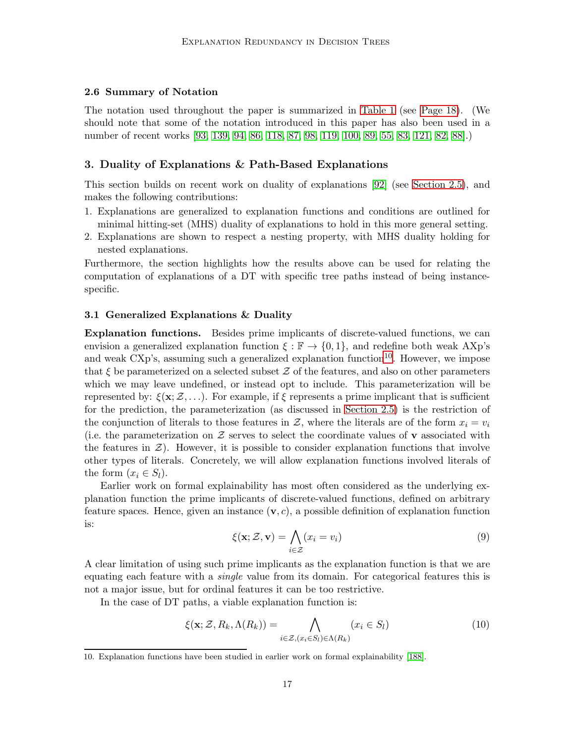#### <span id="page-16-0"></span>2.6 Summary of Notation

The notation used throughout the paper is summarized in [Table 1](#page-17-0) (see [Page 18\)](#page-17-0). (We should note that some of the notation introduced in this paper has also been used in a number of recent works [\[93,](#page-52-3) [139,](#page-55-11) [94,](#page-53-3) [86,](#page-52-13) [118,](#page-54-9) [87,](#page-52-14) [98,](#page-53-2) [119,](#page-54-10) [100,](#page-53-4) [89,](#page-52-9) [55,](#page-50-10) [83,](#page-52-5) [121,](#page-54-13) [82,](#page-52-7) [88\]](#page-52-10).)

## <span id="page-16-1"></span>3. Duality of Explanations & Path-Based Explanations

This section builds on recent work on duality of explanations [\[92\]](#page-52-4) (see [Section 2.5\)](#page-13-0), and makes the following contributions:

- 1. Explanations are generalized to explanation functions and conditions are outlined for minimal hitting-set (MHS) duality of explanations to hold in this more general setting.
- 2. Explanations are shown to respect a nesting property, with MHS duality holding for nested explanations.

Furthermore, the section highlights how the results above can be used for relating the computation of explanations of a DT with specific tree paths instead of being instancespecific.

#### <span id="page-16-2"></span>3.1 Generalized Explanations & Duality

Explanation functions. Besides prime implicants of discrete-valued functions, we can envision a generalized explanation function  $\xi : \mathbb{F} \to \{0,1\}$ , and redefine both weak AXp's and weak  $\text{C}\text{Xp's}$ , assuming such a generalized explanation function<sup>[10](#page-16-3)</sup>. However, we impose that  $\xi$  be parameterized on a selected subset  $\mathcal Z$  of the features, and also on other parameters which we may leave undefined, or instead opt to include. This parameterization will be represented by:  $\xi(\mathbf{x}; \mathcal{Z}, \ldots)$ . For example, if  $\xi$  represents a prime implicant that is sufficient for the prediction, the parameterization (as discussed in [Section 2.5\)](#page-13-0) is the restriction of the conjunction of literals to those features in Z, where the literals are of the form  $x_i = v_i$ (i.e. the parameterization on  $\mathcal Z$  serves to select the coordinate values of **v** associated with the features in  $\mathcal{Z}$ ). However, it is possible to consider explanation functions that involve other types of literals. Concretely, we will allow explanation functions involved literals of the form  $(x_i \in S_l)$ .

Earlier work on formal explainability has most often considered as the underlying explanation function the prime implicants of discrete-valued functions, defined on arbitrary feature spaces. Hence, given an instance  $(v, c)$ , a possible definition of explanation function is:

<span id="page-16-4"></span>
$$
\xi(\mathbf{x}; \mathcal{Z}, \mathbf{v}) = \bigwedge_{i \in \mathcal{Z}} (x_i = v_i) \tag{9}
$$

A clear limitation of using such prime implicants as the explanation function is that we are equating each feature with a *single* value from its domain. For categorical features this is not a major issue, but for ordinal features it can be too restrictive.

In the case of DT paths, a viable explanation function is:

<span id="page-16-5"></span>
$$
\xi(\mathbf{x}; \mathcal{Z}, R_k, \Lambda(R_k)) = \bigwedge_{i \in \mathcal{Z}, (x_i \in S_l) \in \Lambda(R_k)} (x_i \in S_l)
$$
(10)

<span id="page-16-3"></span><sup>10.</sup> Explanation functions have been studied in earlier work on formal explainability [\[188\]](#page-58-8).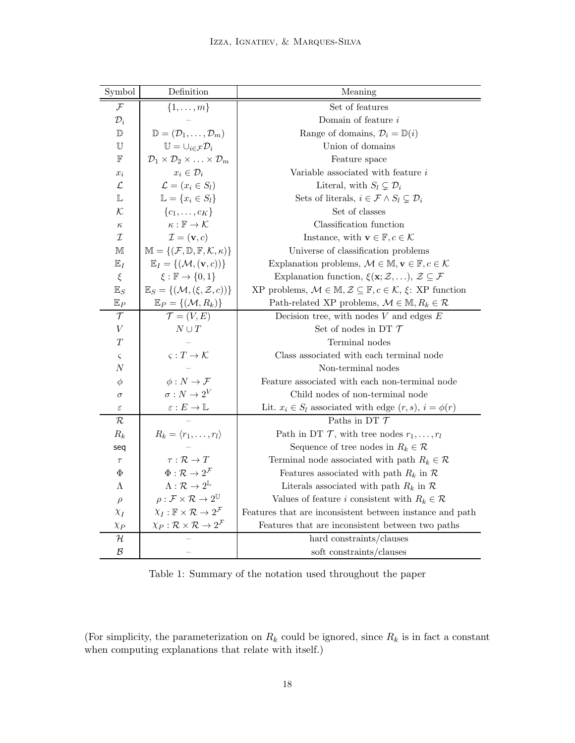<span id="page-17-0"></span>

| Symbol                          | Definition                                                                     | Meaning                                                                                                           |  |  |
|---------------------------------|--------------------------------------------------------------------------------|-------------------------------------------------------------------------------------------------------------------|--|--|
| $\mathcal{F}$                   | $\{1,\ldots,m\}$                                                               | Set of features                                                                                                   |  |  |
| $\mathcal{D}_i$                 |                                                                                | Domain of feature $i$                                                                                             |  |  |
| $\mathbb D$                     | $\mathbb{D} = (\mathcal{D}_1, \ldots, \mathcal{D}_m)$                          | Range of domains, $\mathcal{D}_i = \mathbb{D}(i)$                                                                 |  |  |
| U                               | $\mathbb{U}=\cup_{i\in\mathcal{F}}\mathcal{D}_i$                               | Union of domains                                                                                                  |  |  |
| $\mathbb F$                     | $\mathcal{D}_1 \times \mathcal{D}_2 \times \ldots \times \mathcal{D}_m$        | Feature space                                                                                                     |  |  |
| $x_i$                           | $x_i \in \mathcal{D}_i$                                                        | Variable associated with feature i                                                                                |  |  |
| $\mathcal{L}% _{G}$             | $\mathcal{L} = (x_i \in S_l)$                                                  | Literal, with $S_l \subsetneq \mathcal{D}_i$                                                                      |  |  |
| L                               | $\mathbb{L} = \{x_i \in S_l\}$                                                 | Sets of literals, $i \in \mathcal{F} \wedge S_l \subsetneq \mathcal{D}_i$                                         |  |  |
| $\mathcal{K}$                   | $\{c_1,\ldots,c_K\}$                                                           | Set of classes                                                                                                    |  |  |
| $\kappa$                        | $\kappa : \mathbb{F} \to \mathcal{K}$                                          | Classification function                                                                                           |  |  |
| ${\cal I}$                      | $\mathcal{I} = (\mathbf{v}, c)$                                                | Instance, with $\mathbf{v} \in \mathbb{F}$ , $c \in \mathcal{K}$                                                  |  |  |
| $\mathbb M$                     | $\mathbb{M} = \{(\mathcal{F}, \mathbb{D}, \mathbb{F}, \mathcal{K}, \kappa)\}\$ | Universe of classification problems                                                                               |  |  |
| $\mathbb{E}_I$                  | $\mathbb{E}_I = \{(\mathcal{M}, (\mathbf{v}, c))\}$                            | Explanation problems, $\mathcal{M} \in \mathbb{M}, \mathbf{v} \in \mathbb{F}, c \in \mathcal{K}$                  |  |  |
| $\xi$                           | $\xi : \mathbb{F} \to \{0,1\}$                                                 | Explanation function, $\xi(\mathbf{x}; \mathcal{Z}, \ldots), \mathcal{Z} \subseteq \mathcal{F}$                   |  |  |
| $\mathbb{E}_S$                  | $\mathbb{E}_S = \{(\mathcal{M}, (\xi, \mathcal{Z}, c))\}$                      | XP problems, $\mathcal{M} \in \mathbb{M}, \mathcal{Z} \subseteq \mathbb{F}, c \in \mathcal{K}, \xi$ : XP function |  |  |
| $\mathbb{E}_P$                  | $\mathbb{E}_P = \{(\mathcal{M}, R_k)\}$                                        | Path-related XP problems, $\mathcal{M} \in \mathbb{M}, R_k \in \mathcal{R}$                                       |  |  |
| $\mathcal T$                    | $\mathcal{T} = (V, E)$                                                         | Decision tree, with nodes $V$ and edges $E$                                                                       |  |  |
| $\bar{V}$                       | $N \cup T$                                                                     | Set of nodes in DT $\mathcal T$                                                                                   |  |  |
| $\scriptstyle T$                |                                                                                | Terminal nodes                                                                                                    |  |  |
| $\varsigma$                     | $\varsigma: T \to \mathcal{K}$                                                 | Class associated with each terminal node                                                                          |  |  |
| $_{\it N}$                      |                                                                                | Non-terminal nodes                                                                                                |  |  |
| $\phi$                          | $\phi: N \to \mathcal{F}$                                                      | Feature associated with each non-terminal node                                                                    |  |  |
| $\sigma: N \to 2^V$<br>$\sigma$ |                                                                                | Child nodes of non-terminal node                                                                                  |  |  |
| $\varepsilon$                   | $\varepsilon: E \to \mathbb{L}$                                                | Lit. $x_i \in S_l$ associated with edge $(r, s)$ , $i = \phi(r)$                                                  |  |  |
| $\mathcal R$                    |                                                                                | Paths in DT $\mathcal T$                                                                                          |  |  |
| $R_k$                           | $R_k = \langle r_1, \ldots, r_l \rangle$                                       | Path in DT $\mathcal{T}$ , with tree nodes $r_1, \ldots, r_l$                                                     |  |  |
| seq                             |                                                                                | Sequence of tree nodes in $R_k \in \mathcal{R}$                                                                   |  |  |
| $\tau$                          | $\tau : \mathcal{R} \to T$                                                     | Terminal node associated with path $R_k \in \mathcal{R}$                                                          |  |  |
| Φ                               | $\Phi : \mathcal{R} \to 2^{\mathcal{F}}$                                       | Features associated with path $R_k$ in $R$                                                                        |  |  |
| Λ                               | $\Lambda : \mathcal{R} \to 2^{\mathbb{L}}$                                     | Literals associated with path $R_k$ in $\mathcal R$                                                               |  |  |
| $\rho$                          | $\rho: \mathcal{F} \times \mathcal{R} \to 2^{\mathbb{U}}$                      | Values of feature <i>i</i> consistent with $R_k \in \mathcal{R}$                                                  |  |  |
| $\chi_I$                        | $\chi_I : \mathbb{F} \times \mathcal{R} \to 2^{\mathcal{F}}$                   | Features that are inconsistent between instance and path                                                          |  |  |
| $\chi_P$                        | $\chi_P: \mathcal{R} \times \mathcal{R} \rightarrow 2^{\mathcal{F}}$           | Features that are inconsistent between two paths                                                                  |  |  |
| ${\cal H}$                      |                                                                                | hard constraints/clauses                                                                                          |  |  |
| $\mathcal{B}$                   |                                                                                | soft constraints/clauses                                                                                          |  |  |

Table 1: Summary of the notation used throughout the paper

<span id="page-17-1"></span>(For simplicity, the parameterization on  $R_k$  could be ignored, since  $R_k$  is in fact a constant when computing explanations that relate with itself.)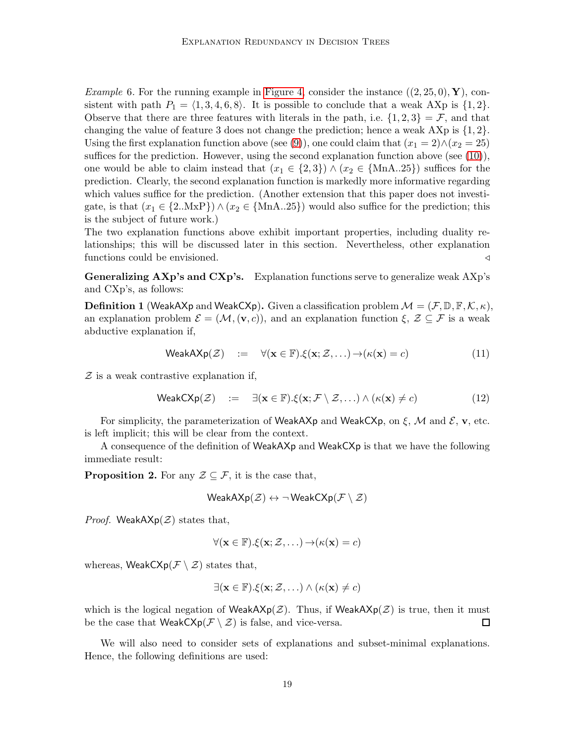*Example* 6. For the running example in [Figure 4,](#page-13-1) consider the instance  $((2, 25, 0), Y)$ , consistent with path  $P_1 = \langle 1, 3, 4, 6, 8 \rangle$ . It is possible to conclude that a weak AXp is  $\{1, 2\}$ . Observe that there are three features with literals in the path, i.e.  $\{1, 2, 3\} = \mathcal{F}$ , and that changing the value of feature 3 does not change the prediction; hence a weak  $\{X\}$  is  $\{1,2\}$ . Using the first explanation function above (see [\(9\)](#page-16-4)), one could claim that  $(x_1 = 2) \wedge (x_2 = 25)$ suffices for the prediction. However, using the second explanation function above (see  $(10)$ ), one would be able to claim instead that  $(x_1 \in \{2,3\}) \wedge (x_2 \in \{\text{MnA.}.25\})$  suffices for the prediction. Clearly, the second explanation function is markedly more informative regarding which values suffice for the prediction. (Another extension that this paper does not investigate, is that  $(x_1 \in \{2.\text{MxP}\}) \wedge (x_2 \in \{\text{MnA}..25\})$  would also suffice for the prediction; this is the subject of future work.)

The two explanation functions above exhibit important properties, including duality relationships; this will be discussed later in this section. Nevertheless, other explanation functions could be envisioned.  $\triangleleft$ 

<span id="page-18-3"></span>Generalizing AXp's and CXp's. Explanation functions serve to generalize weak AXp's and CXp's, as follows:

**Definition 1** (WeakAXp and WeakCXp). Given a classification problem  $\mathcal{M} = (\mathcal{F}, \mathbb{D}, \mathbb{F}, \mathcal{K}, \kappa)$ , an explanation problem  $\mathcal{E} = (\mathcal{M}, (\mathbf{v}, c))$ , and an explanation function  $\xi, \mathcal{Z} \subseteq \mathcal{F}$  is a weak abductive explanation if,

<span id="page-18-0"></span>
$$
\mathsf{WeakAXp}(\mathcal{Z}) \quad := \quad \forall (\mathbf{x} \in \mathbb{F}). \xi(\mathbf{x}; \mathcal{Z}, \ldots) \to (\kappa(\mathbf{x}) = c) \tag{11}
$$

 $Z$  is a weak contrastive explanation if,

<span id="page-18-1"></span>
$$
\mathsf{WeakC}\mathsf{Xp}(\mathcal{Z}) \quad := \quad \exists (\mathbf{x} \in \mathbb{F}). \xi(\mathbf{x}; \mathcal{F} \setminus \mathcal{Z}, \ldots) \land (\kappa(\mathbf{x}) \neq c) \tag{12}
$$

For simplicity, the parameterization of WeakAXp and WeakCXp, on  $\xi$ , M and  $\xi$ , v, etc. is left implicit; this will be clear from the context.

<span id="page-18-2"></span>A consequence of the definition of WeakAXp and WeakCXp is that we have the following immediate result:

**Proposition 2.** For any  $\mathcal{Z} \subseteq \mathcal{F}$ , it is the case that,

$$
\mathsf{WeakAXp}(\mathcal{Z}) \leftrightarrow \neg\mathsf{WeakCXp}(\mathcal{F}\setminus \mathcal{Z})
$$

*Proof.* WeakAX $p(\mathcal{Z})$  states that,

$$
\forall (\mathbf{x} \in \mathbb{F}).\xi(\mathbf{x}; \mathcal{Z}, \ldots) \rightarrow (\kappa(\mathbf{x}) = c)
$$

whereas, WeakCX $p(\mathcal{F} \setminus \mathcal{Z})$  states that,

$$
\exists (\mathbf{x} \in \mathbb{F}). \xi(\mathbf{x}; \mathcal{Z}, \ldots) \land (\kappa(\mathbf{x}) \neq c)
$$

which is the logical negation of WeakAXp( $\mathcal{Z}$ ). Thus, if WeakAXp( $\mathcal{Z}$ ) is true, then it must be the case that  $\textsf{WeakC}\mathsf{Xp}(\mathcal{F}\setminus \mathcal{Z})$  is false, and vice-versa.  $\Box$ 

We will also need to consider sets of explanations and subset-minimal explanations. Hence, the following definitions are used: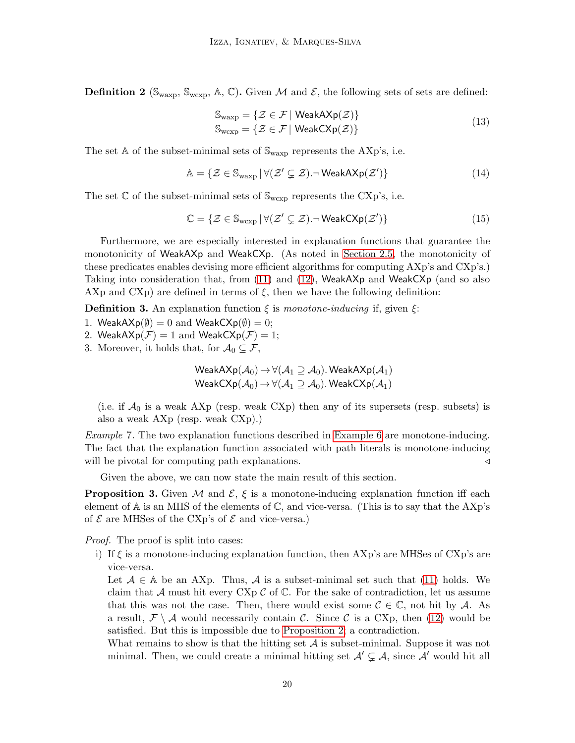**Definition 2** ( $\mathbb{S}_{\text{wexp}}, \mathbb{S}_{\text{wexp}}, \mathbb{A}, \mathbb{C}$ ). Given M and E, the following sets of sets are defined:

$$
\mathbb{S}_{\text{wexp}} = \{ \mathcal{Z} \in \mathcal{F} \mid \text{WeakAXp}(\mathcal{Z}) \}
$$
  

$$
\mathbb{S}_{\text{wexp}} = \{ \mathcal{Z} \in \mathcal{F} \mid \text{WeakCXp}(\mathcal{Z}) \}
$$
 (13)

The set  $\mathbb A$  of the subset-minimal sets of  $\mathbb S_{\text{waxp}}$  represents the AXp's, i.e.

$$
\mathbb{A} = \{ \mathcal{Z} \in \mathbb{S}_{\text{waxp}} \, | \, \forall (\mathcal{Z}' \subsetneq \mathcal{Z}) \, \neg \, \text{WeakAXp}(\mathcal{Z}') \} \tag{14}
$$

The set  $\mathbb C$  of the subset-minimal sets of  $\mathbb S_{wexp}$  represents the CXp's, i.e.

$$
\mathbb{C} = \{ \mathcal{Z} \in \mathbb{S}_{w \exp} \, | \, \forall (\mathcal{Z}' \subsetneq \mathcal{Z}). \neg \, \mathsf{WeakC}{\mathsf{Xp}}(\mathcal{Z}') \} \tag{15}
$$

Furthermore, we are especially interested in explanation functions that guarantee the monotonicity of WeakAXp and WeakCXp. (As noted in [Section 2.5,](#page-13-0) the monotonicity of these predicates enables devising more efficient algorithms for computing AXp's and CXp's.) Taking into consideration that, from [\(11\)](#page-18-0) and [\(12\)](#page-18-1), WeakAXp and WeakCXp (and so also AXp and CXp) are defined in terms of  $\xi$ , then we have the following definition:

<span id="page-19-0"></span>**Definition 3.** An explanation function  $\xi$  is monotone-inducing if, given  $\xi$ :

1. Weak $A Xp(\emptyset) = 0$  and Weak $C Xp(\emptyset) = 0$ ;

2. Weak $A Xp(\mathcal{F}) = 1$  and Weak $C Xp(\mathcal{F}) = 1$ ;

3. Moreover, it holds that, for  $\mathcal{A}_0 \subseteq \mathcal{F}$ ,

$$
\mathsf{WeakAXp}(\mathcal{A}_0) \to \forall (\mathcal{A}_1 \supseteq \mathcal{A}_0). \mathsf{WeakAXp}(\mathcal{A}_1)
$$
  

$$
\mathsf{WeakCXp}(\mathcal{A}_0) \to \forall (\mathcal{A}_1 \supseteq \mathcal{A}_0). \mathsf{WeakCXp}(\mathcal{A}_1)
$$

(i.e. if  $\mathcal{A}_0$  is a weak AXp (resp. weak CXp) then any of its supersets (resp. subsets) is also a weak AXp (resp. weak CXp).)

Example 7. The two explanation functions described in [Example 6](#page-17-1) are monotone-inducing. The fact that the explanation function associated with path literals is monotone-inducing will be pivotal for computing path explanations. 
△

<span id="page-19-1"></span>Given the above, we can now state the main result of this section.

**Proposition 3.** Given M and  $\mathcal{E}, \xi$  is a monotone-inducing explanation function iff each element of  $\mathbb A$  is an MHS of the elements of  $\mathbb C$ , and vice-versa. (This is to say that the AXp's of  $\mathcal E$  are MHSes of the CXp's of  $\mathcal E$  and vice-versa.)

Proof. The proof is split into cases:

i) If  $\xi$  is a monotone-inducing explanation function, then AXp's are MHSes of CXp's are vice-versa.

Let  $A \in A$  be an AXp. Thus, A is a subset-minimal set such that [\(11\)](#page-18-0) holds. We claim that A must hit every CXp  $\mathcal C$  of  $\mathbb C$ . For the sake of contradiction, let us assume that this was not the case. Then, there would exist some  $\mathcal{C} \in \mathbb{C}$ , not hit by A. As a result,  $\mathcal{F} \setminus \mathcal{A}$  would necessarily contain C. Since C is a CXp, then [\(12\)](#page-18-1) would be satisfied. But this is impossible due to [Proposition 2;](#page-18-2) a contradiction.

What remains to show is that the hitting set  $A$  is subset-minimal. Suppose it was not minimal. Then, we could create a minimal hitting set  $\mathcal{A}' \subsetneq \mathcal{A}$ , since  $\mathcal{A}'$  would hit all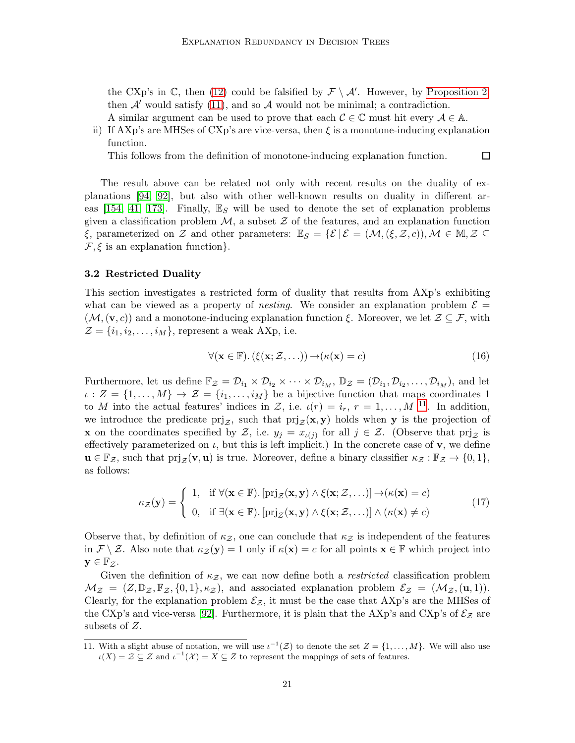the CXp's in  $\mathbb{C}$ , then [\(12\)](#page-18-1) could be falsified by  $\mathcal{F} \setminus \mathcal{A}'$ . However, by [Proposition 2,](#page-18-2) then  $A'$  would satisfy [\(11\)](#page-18-0), and so  $A$  would not be minimal; a contradiction.

- A similar argument can be used to prove that each  $\mathcal{C} \in \mathbb{C}$  must hit every  $\mathcal{A} \in \mathbb{A}$ .
- ii) If AXp's are MHSes of CXp's are vice-versa, then  $\xi$  is a monotone-inducing explanation function.

This follows from the definition of monotone-inducing explanation function.

The result above can be related not only with recent results on the duality of explanations [\[94,](#page-53-3) [92\]](#page-52-4), but also with other well-known results on duality in different ar-eas [\[154,](#page-56-10) [41,](#page-49-14) [173\]](#page-57-12). Finally,  $\mathbb{E}_S$  will be used to denote the set of explanation problems given a classification problem  $M$ , a subset  $\mathcal Z$  of the features, and an explanation function  $\xi$ , parameterized on Z and other parameters:  $\mathbb{E}_S = {\{\mathcal{E} \mid \mathcal{E} = (\mathcal{M}, (\xi, \mathcal{Z}, c)), \mathcal{M} \in \mathbb{M}, \mathcal{Z} \subseteq \mathcal{Z}\}}$  $\mathcal{F}, \xi$  is an explanation function.

#### <span id="page-20-0"></span>3.2 Restricted Duality

This section investigates a restricted form of duality that results from AXp's exhibiting what can be viewed as a property of *nesting*. We consider an explanation problem  $\mathcal{E} =$  $(\mathcal{M},(\mathbf{v},c))$  and a monotone-inducing explanation function ξ. Moreover, we let  $\mathcal{Z} \subseteq \mathcal{F}$ , with  $\mathcal{Z} = \{i_1, i_2, \ldots, i_M\}$ , represent a weak AXp, i.e.

$$
\forall (\mathbf{x} \in \mathbb{F}).\left(\xi(\mathbf{x}; \mathcal{Z}, \ldots)\right) \to \left(\kappa(\mathbf{x}) = c\right) \tag{16}
$$

口

Furthermore, let us define  $\mathbb{F}_{\mathcal{Z}} = \mathcal{D}_{i_1} \times \mathcal{D}_{i_2} \times \cdots \times \mathcal{D}_{i_M}$ ,  $\mathbb{D}_{\mathcal{Z}} = (\mathcal{D}_{i_1}, \mathcal{D}_{i_2}, \dots, \mathcal{D}_{i_M})$ , and let  $\iota: Z = \{1, \ldots, M\} \to \mathcal{Z} = \{i_1, \ldots, i_M\}$  be a bijective function that maps coordinates 1 to M into the actual features' indices in Z, i.e.  $\iota(r) = i_r, r = 1, \ldots, M$  <sup>[11](#page-20-1)</sup>. In addition, we introduce the predicate  $\text{prj}_{\mathcal{Z}}$ , such that  $\text{prj}_{\mathcal{Z}}(\mathbf{x}, \mathbf{y})$  holds when y is the projection of **x** on the coordinates specified by  $\mathcal{Z}$ , i.e.  $y_j = x_{\iota(j)}$  for all  $j \in \mathcal{Z}$ . (Observe that  $\text{prj}_{\mathcal{Z}}$  is effectively parameterized on  $\iota$ , but this is left implicit.) In the concrete case of  $\mathbf{v}$ , we define  $\mathbf{u} \in \mathbb{F}_{\mathcal{Z}}$ , such that  $\text{prj}_{\mathcal{Z}}(\mathbf{v}, \mathbf{u})$  is true. Moreover, define a binary classifier  $\kappa_{\mathcal{Z}} : \mathbb{F}_{\mathcal{Z}} \to \{0, 1\}$ , as follows:

<span id="page-20-2"></span>
$$
\kappa_{\mathcal{Z}}(\mathbf{y}) = \begin{cases} 1, & \text{if } \forall (\mathbf{x} \in \mathbb{F}). \left[ \text{prj}_{\mathcal{Z}}(\mathbf{x}, \mathbf{y}) \land \xi(\mathbf{x}; \mathcal{Z}, \ldots) \right] \to (\kappa(\mathbf{x}) = c) \\ 0, & \text{if } \exists (\mathbf{x} \in \mathbb{F}). \left[ \text{prj}_{\mathcal{Z}}(\mathbf{x}, \mathbf{y}) \land \xi(\mathbf{x}; \mathcal{Z}, \ldots) \right] \land (\kappa(\mathbf{x}) \neq c) \end{cases} (17)
$$

Observe that, by definition of  $\kappa_z$ , one can conclude that  $\kappa_z$  is independent of the features in  $\mathcal{F} \setminus \mathcal{Z}$ . Also note that  $\kappa_{\mathcal{Z}}(\mathbf{y}) = 1$  only if  $\kappa(\mathbf{x}) = c$  for all points  $\mathbf{x} \in \mathbb{F}$  which project into  $y \in \mathbb{F}_{\mathcal{Z}}$ .

Given the definition of  $\kappa_z$ , we can now define both a *restricted* classification problem  $\mathcal{M}_{\mathcal{Z}} = (Z, \mathbb{D}_{\mathcal{Z}}, \mathbb{F}_{\mathcal{Z}}, \{0,1\}, \kappa_{\mathcal{Z}})$ , and associated explanation problem  $\mathcal{E}_{\mathcal{Z}} = (\mathcal{M}_{\mathcal{Z}}, (\mathbf{u}, 1)).$ Clearly, for the explanation problem  $\mathcal{E}_{z}$ , it must be the case that AXp's are the MHSes of the CXp's and vice-versa [\[92\]](#page-52-4). Furthermore, it is plain that the AXp's and CXp's of  $\mathcal{E}_{\mathcal{Z}}$  are subsets of Z.

<span id="page-20-3"></span><span id="page-20-1"></span><sup>11.</sup> With a slight abuse of notation, we will use  $\iota^{-1}(\mathcal{Z})$  to denote the set  $Z = \{1, \ldots, M\}$ . We will also use  $u(X) = \mathcal{Z} \subseteq \mathcal{Z}$  and  $u^{-1}(\mathcal{X}) = X \subseteq \mathcal{Z}$  to represent the mappings of sets of features.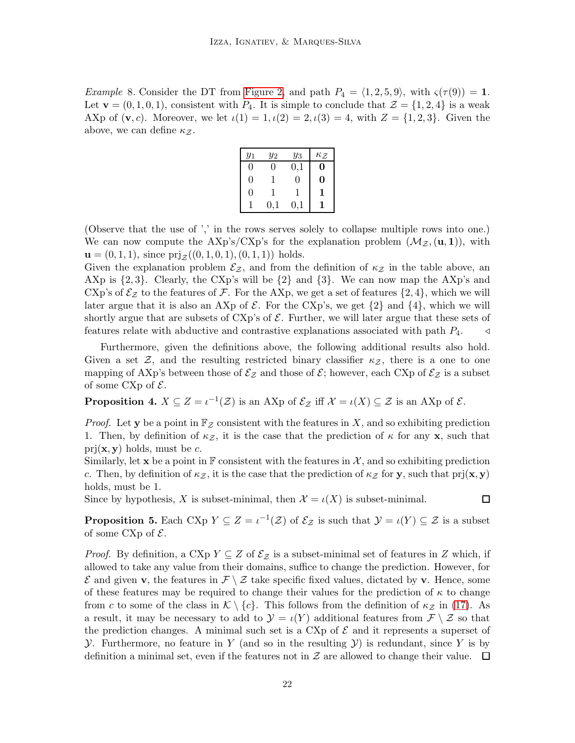*Example 8.* Consider the DT from [Figure 2,](#page-11-1) and path  $P_4 = \langle 1, 2, 5, 9 \rangle$ , with  $\varsigma(\tau(9)) = 1$ . Let  $\mathbf{v} = (0, 1, 0, 1)$ , consistent with  $P_4$ . It is simple to conclude that  $\mathcal{Z} = \{1, 2, 4\}$  is a weak AXp of  $(v, c)$ . Moreover, we let  $\iota(1) = 1, \iota(2) = 2, \iota(3) = 4$ , with  $Z = \{1, 2, 3\}$ . Given the above, we can define  $\kappa_{\mathcal{Z}}$ .

| $y_1$    | $y_2$ | $y_3$     | $\kappa_{\mathcal{Z}}$ |
|----------|-------|-----------|------------------------|
| 0        | 0     | $_{0,1}$  | 0                      |
| $\Omega$ | 1     | 0         | $\bf{0}$               |
| $\Omega$ | 1     |           | 1                      |
|          | 0,1   | $\rm 0.1$ |                        |

(Observe that the use of ',' in the rows serves solely to collapse multiple rows into one.) We can now compute the AXp's/CXp's for the explanation problem  $(\mathcal{M}_{\mathcal{Z}}, (\mathbf{u}, 1))$ , with  $\mathbf{u} = (0, 1, 1),$  since  $\text{prj}_{\mathcal{Z}}((0, 1, 0, 1), (0, 1, 1))$  holds.

Given the explanation problem  $\mathcal{E}_{z}$ , and from the definition of  $\kappa_{z}$  in the table above, an AXp is  $\{2,3\}$ . Clearly, the CXp's will be  $\{2\}$  and  $\{3\}$ . We can now map the AXp's and CXp's of  $\mathcal{E}_{\mathcal{Z}}$  to the features of F. For the AXp, we get a set of features  $\{2, 4\}$ , which we will later argue that it is also an AXp of  $\mathcal{E}$ . For the CXp's, we get  $\{2\}$  and  $\{4\}$ , which we will shortly argue that are subsets of CXp's of  $\mathcal{E}$ . Further, we will later argue that these sets of features relate with abductive and contrastive explanations associated with path  $P_4$ .  $\triangleleft$ 

Furthermore, given the definitions above, the following additional results also hold. Given a set Z, and the resulting restricted binary classifier  $\kappa_z$ , there is a one to one mapping of AXp's between those of  $\mathcal{E}_{\mathcal{Z}}$  and those of  $\mathcal{E};$  however, each CXp of  $\mathcal{E}_{\mathcal{Z}}$  is a subset of some CXp of  $\mathcal{E}$ .

<span id="page-21-0"></span>**Proposition 4.**  $X \subseteq Z = \iota^{-1}(\mathcal{Z})$  is an AXp of  $\mathcal{E}_{\mathcal{Z}}$  iff  $\mathcal{X} = \iota(X) \subseteq \mathcal{Z}$  is an AXp of  $\mathcal{E}$ .

*Proof.* Let y be a point in  $\mathbb{F}_{\mathcal{Z}}$  consistent with the features in X, and so exhibiting prediction 1. Then, by definition of  $\kappa z$ , it is the case that the prediction of  $\kappa$  for any **x**, such that  $\text{prj}(\mathbf{x}, \mathbf{y})$  holds, must be c.

Similarly, let x be a point in  $\mathbb F$  consistent with the features in X, and so exhibiting prediction c. Then, by definition of  $\kappa_z$ , it is the case that the prediction of  $\kappa_z$  for y, such that  $\text{prj}(\mathbf{x}, \mathbf{y})$ holds, must be 1.

 $\Box$ 

<span id="page-21-1"></span>Since by hypothesis, X is subset-minimal, then  $\mathcal{X} = \iota(X)$  is subset-minimal.

**Proposition 5.** Each CXp  $Y \subseteq Z = \iota^{-1}(\mathcal{Z})$  of  $\mathcal{E}_{\mathcal{Z}}$  is such that  $\mathcal{Y} = \iota(Y) \subseteq \mathcal{Z}$  is a subset of some CXp of  $\mathcal{E}$ .

*Proof.* By definition, a CXp  $Y \subseteq Z$  of  $\mathcal{E}_Z$  is a subset-minimal set of features in Z which, if allowed to take any value from their domains, suffice to change the prediction. However, for  $\mathcal E$  and given **v**, the features in  $\mathcal F \setminus \mathcal Z$  take specific fixed values, dictated by **v**. Hence, some of these features may be required to change their values for the prediction of  $\kappa$  to change from c to some of the class in  $\mathcal{K} \setminus \{c\}$ . This follows from the definition of  $\kappa_{\mathcal{Z}}$  in [\(17\)](#page-20-2). As a result, it may be necessary to add to  $\mathcal{Y} = \iota(Y)$  additional features from  $\mathcal{F} \setminus \mathcal{Z}$  so that the prediction changes. A minimal such set is a CXp of  $\mathcal E$  and it represents a superset of ). Furthermore, no feature in Y (and so in the resulting  $\mathcal{Y}$ ) is redundant, since Y is by definition a minimal set, even if the features not in  $\mathcal Z$  are allowed to change their value.  $\Box$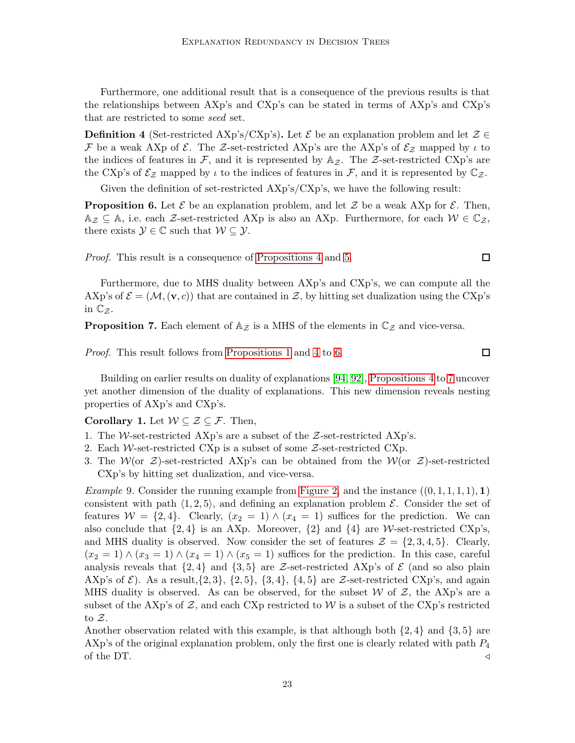Furthermore, one additional result that is a consequence of the previous results is that the relationships between AXp's and CXp's can be stated in terms of AXp's and CXp's that are restricted to some seed set.

**Definition 4** (Set-restricted AXp's/CXp's). Let  $\mathcal{E}$  be an explanation problem and let  $\mathcal{Z} \in$ F be a weak AXp of  $\mathcal E$ . The Z-set-restricted AXp's are the AXp's of  $\mathcal E_Z$  mapped by  $\iota$  to the indices of features in  $\mathcal{F}$ , and it is represented by  $\mathbb{A}_{\mathcal{Z}}$ . The  $\mathcal{Z}$ -set-restricted CXp's are the CXp's of  $\mathcal{E}_{\mathcal{Z}}$  mapped by  $\iota$  to the indices of features in  $\mathcal{F}$ , and it is represented by  $\mathbb{C}_{\mathcal{Z}}$ .

<span id="page-22-0"></span>Given the definition of set-restricted AXp's/CXp's, we have the following result:

**Proposition 6.** Let  $\mathcal{E}$  be an explanation problem, and let  $\mathcal{Z}$  be a weak AXp for  $\mathcal{E}$ . Then,  $\mathbb{A}_{\mathcal{Z}} \subseteq \mathbb{A}$ , i.e. each  $\mathcal{Z}$ -set-restricted AXp is also an AXp. Furthermore, for each  $\mathcal{W} \in \mathbb{C}_{\mathcal{Z}}$ , there exists  $\mathcal{Y} \in \mathbb{C}$  such that  $\mathcal{W} \subseteq \mathcal{Y}$ .

Proof. This result is a consequence of [Propositions 4](#page-21-0) and [5.](#page-21-1)

Furthermore, due to MHS duality between AXp's and CXp's, we can compute all the AXp's of  $\mathcal{E} = (\mathcal{M}, (\mathbf{v}, c))$  that are contained in  $\mathcal{Z}$ , by hitting set dualization using the CXp's in  $\mathbb{C}_{\mathcal{Z}}$ .

<span id="page-22-1"></span>**Proposition 7.** Each element of  $A_z$  is a MHS of the elements in  $\mathbb{C}_z$  and vice-versa.

Proof. This result follows from [Propositions 1](#page-15-1) and [4](#page-21-0) to [6.](#page-22-0)

Building on earlier results on duality of explanations [\[94,](#page-53-3) [92\]](#page-52-4), [Propositions 4](#page-21-0) to [7](#page-22-1) uncover yet another dimension of the duality of explanations. This new dimension reveals nesting properties of AXp's and CXp's.

# Corollary 1. Let  $W \subseteq \mathcal{Z} \subseteq \mathcal{F}$ . Then,

- 1. The W-set-restricted AXp's are a subset of the  $Z$ -set-restricted AXp's.
- 2. Each W-set-restricted CXp is a subset of some  $\mathcal{Z}\text{-set-restructed CXP}$ .
- 3. The  $W(\text{or } \mathcal{Z})$ -set-restricted AXp's can be obtained from the  $W(\text{or } \mathcal{Z})$ -set-restricted CXp's by hitting set dualization, and vice-versa.

*Example* 9. Consider the running example from [Figure 2,](#page-11-1) and the instance  $((0,1,1,1,1), 1)$ consistent with path  $\langle 1, 2, 5 \rangle$ , and defining an explanation problem E. Consider the set of features  $W = \{2, 4\}$ . Clearly,  $(x_2 = 1) \wedge (x_4 = 1)$  suffices for the prediction. We can also conclude that  $\{2, 4\}$  is an AXp. Moreover,  $\{2\}$  and  $\{4\}$  are W-set-restricted CXp's, and MHS duality is observed. Now consider the set of features  $\mathcal{Z} = \{2, 3, 4, 5\}$ . Clearly,  $(x_2 = 1) \wedge (x_3 = 1) \wedge (x_4 = 1) \wedge (x_5 = 1)$  suffices for the prediction. In this case, careful analysis reveals that  $\{2,4\}$  and  $\{3,5\}$  are Z-set-restricted AXp's of  $\mathcal E$  (and so also plain AXp's of  $\mathcal{E}$ ). As a result, $\{2, 3\}$ ,  $\{2, 5\}$ ,  $\{3, 4\}$ ,  $\{4, 5\}$  are  $\mathcal{Z}\text{-set-restricted } \text{CXp's}$ , and again MHS duality is observed. As can be observed, for the subset  $W$  of  $\mathcal{Z}$ , the AXp's are a subset of the AXp's of  $\mathcal{Z}$ , and each CXp restricted to W is a subset of the CXp's restricted to  $\mathcal{Z}$ .

Another observation related with this example, is that although both  $\{2,4\}$  and  $\{3,5\}$  are AXp's of the original explanation problem, only the first one is clearly related with path  $P_4$ of the DT.  $\triangleleft$ 

 $\Box$ 

 $\Box$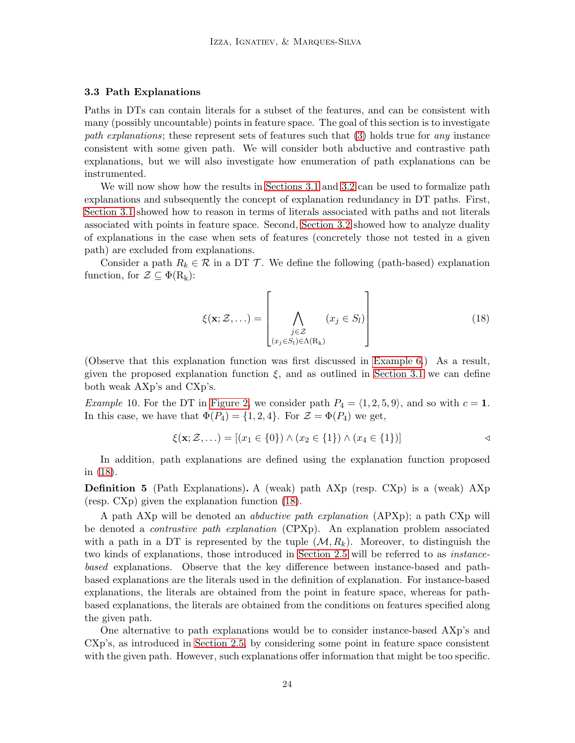#### <span id="page-23-0"></span>3.3 Path Explanations

Paths in DTs can contain literals for a subset of the features, and can be consistent with many (possibly uncountable) points in feature space. The goal of this section is to investigate path explanations; these represent sets of features such that [\(3\)](#page-13-4) holds true for any instance consistent with some given path. We will consider both abductive and contrastive path explanations, but we will also investigate how enumeration of path explanations can be instrumented.

We will now show how the results in [Sections 3.1](#page-16-2) and [3.2](#page-20-0) can be used to formalize path explanations and subsequently the concept of explanation redundancy in DT paths. First, [Section 3.1](#page-16-2) showed how to reason in terms of literals associated with paths and not literals associated with points in feature space. Second, [Section 3.2](#page-20-0) showed how to analyze duality of explanations in the case when sets of features (concretely those not tested in a given path) are excluded from explanations.

Consider a path  $R_k \in \mathcal{R}$  in a DT  $\mathcal{T}$ . We define the following (path-based) explanation function, for  $\mathcal{Z} \subseteq \Phi(R_k)$ :

<span id="page-23-1"></span>
$$
\xi(\mathbf{x}; \mathcal{Z}, \ldots) = \left[ \bigwedge_{\substack{j \in \mathcal{Z} \\ (x_j \in S_l) \in \Lambda(R_k)}} (x_j \in S_l) \right]
$$
(18)

(Observe that this explanation function was first discussed in [Example 6.](#page-17-1)) As a result, given the proposed explanation function  $\xi$ , and as outlined in [Section 3.1](#page-16-2) we can define both weak AXp's and CXp's.

*Example 10.* For the DT in [Figure 2,](#page-11-1) we consider path  $P_4 = \langle 1, 2, 5, 9 \rangle$ , and so with  $c = 1$ . In this case, we have that  $\Phi(P_4) = \{1, 2, 4\}$ . For  $\mathcal{Z} = \Phi(P_4)$  we get,

$$
\xi(\mathbf{x}; \mathcal{Z}, \ldots) = [(x_1 \in \{0\}) \land (x_2 \in \{1\}) \land (x_4 \in \{1\})]
$$

<span id="page-23-2"></span>In addition, path explanations are defined using the explanation function proposed in [\(18\)](#page-23-1).

Definition 5 (Path Explanations). A (weak) path AXp (resp. CXp) is a (weak) AXp (resp. CXp) given the explanation function [\(18\)](#page-23-1).

A path AXp will be denoted an abductive path explanation (APXp); a path CXp will be denoted a contrastive path explanation (CPXp). An explanation problem associated with a path in a DT is represented by the tuple  $(\mathcal{M}, R_k)$ . Moreover, to distinguish the two kinds of explanations, those introduced in [Section 2.5](#page-13-0) will be referred to as instancebased explanations. Observe that the key difference between instance-based and pathbased explanations are the literals used in the definition of explanation. For instance-based explanations, the literals are obtained from the point in feature space, whereas for pathbased explanations, the literals are obtained from the conditions on features specified along the given path.

One alternative to path explanations would be to consider instance-based AXp's and CXp's, as introduced in [Section 2.5,](#page-13-0) by considering some point in feature space consistent with the given path. However, such explanations offer information that might be too specific.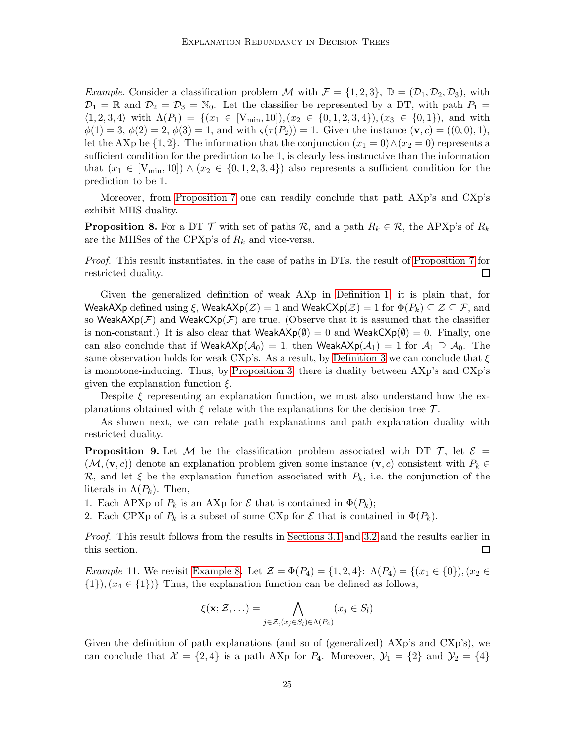*Example.* Consider a classification problem M with  $\mathcal{F} = \{1, 2, 3\}$ ,  $\mathbb{D} = (\mathcal{D}_1, \mathcal{D}_2, \mathcal{D}_3)$ , with  $\mathcal{D}_1 = \mathbb{R}$  and  $\mathcal{D}_2 = \mathcal{D}_3 = \mathbb{N}_0$ . Let the classifier be represented by a DT, with path  $P_1 =$  $\langle 1, 2, 3, 4 \rangle$  with  $\Lambda(P_1) = \{(x_1 \in [V_{\min}, 10]), (x_2 \in \{0, 1, 2, 3, 4\}), (x_3 \in \{0, 1\}), \text{ and with}$  $\phi(1) = 3, \, \phi(2) = 2, \, \phi(3) = 1,$  and with  $\varsigma(\tau(P_2)) = 1$ . Given the instance  $(\mathbf{v}, c) = ((0, 0), 1),$ let the AXp be  $\{1,2\}$ . The information that the conjunction  $(x_1 = 0) \wedge (x_2 = 0)$  represents a sufficient condition for the prediction to be 1, is clearly less instructive than the information that  $(x_1 \in [V_{\min}, 10]) \wedge (x_2 \in \{0, 1, 2, 3, 4\})$  also represents a sufficient condition for the prediction to be 1.

<span id="page-24-0"></span>Moreover, from [Proposition 7](#page-22-1) one can readily conclude that path AXp's and CXp's exhibit MHS duality.

**Proposition 8.** For a DT  $\mathcal T$  with set of paths  $\mathcal R$ , and a path  $R_k \in \mathcal R$ , the APXp's of  $R_k$ are the MHSes of the CPXp's of  $R_k$  and vice-versa.

Proof. This result instantiates, in the case of paths in DTs, the result of [Proposition 7](#page-22-1) for restricted duality. 口

Given the generalized definition of weak AXp in [Definition 1,](#page-18-3) it is plain that, for WeakAXp defined using ξ, WeakAXp( $\mathcal{Z}$ ) = 1 and WeakCXp( $\mathcal{Z}$ ) = 1 for  $\Phi(P_k) \subseteq \mathcal{Z} \subseteq \mathcal{F}$ , and so WeakAX $p(\mathcal{F})$  and WeakCX $p(\mathcal{F})$  are true. (Observe that it is assumed that the classifier is non-constant.) It is also clear that  $\text{WeakAXp}(\emptyset) = 0$  and  $\text{WeakCXp}(\emptyset) = 0$ . Finally, one can also conclude that if  $\text{WeakAXp}(\mathcal{A}_0) = 1$ , then  $\text{WeakAXp}(\mathcal{A}_1) = 1$  for  $\mathcal{A}_1 \supseteq \mathcal{A}_0$ . The same observation holds for weak CXp's. As a result, by [Definition 3](#page-19-0) we can conclude that  $\xi$ is monotone-inducing. Thus, by [Proposition 3,](#page-19-1) there is duality between AXp's and CXp's given the explanation function  $\xi$ .

Despite  $\xi$  representing an explanation function, we must also understand how the explanations obtained with  $\xi$  relate with the explanations for the decision tree  $\mathcal{T}$ .

As shown next, we can relate path explanations and path explanation duality with restricted duality.

**Proposition 9.** Let M be the classification problem associated with DT  $\mathcal{T}$ , let  $\mathcal{E} =$  $(\mathcal{M},(\mathbf{v}, c))$  denote an explanation problem given some instance  $(\mathbf{v}, c)$  consistent with  $P_k \in$ R, and let  $\xi$  be the explanation function associated with  $P_k$ , i.e. the conjunction of the literals in  $\Lambda(P_k)$ . Then,

1. Each APXp of  $P_k$  is an AXp for  $\mathcal E$  that is contained in  $\Phi(P_k)$ ;

2. Each CPXp of  $P_k$  is a subset of some CXp for  $\mathcal E$  that is contained in  $\Phi(P_k)$ .

Proof. This result follows from the results in [Sections 3.1](#page-16-2) and [3.2](#page-20-0) and the results earlier in this section. 囗

*Example 11.* We revisit [Example 8.](#page-20-3) Let  $\mathcal{Z} = \Phi(P_4) = \{1, 2, 4\}$ :  $\Lambda(P_4) = \{(x_1 \in \{0\}), (x_2 \in$  $\{1\}, (x_4 \in \{1\})\}$  Thus, the explanation function can be defined as follows,

$$
\xi(\mathbf{x}; \mathcal{Z}, \ldots) = \bigwedge_{j \in \mathcal{Z}, (x_j \in S_l) \in \Lambda(P_4)} (x_j \in S_l)
$$

Given the definition of path explanations (and so of (generalized) AXp's and CXp's), we can conclude that  $\mathcal{X} = \{2, 4\}$  is a path AXp for  $P_4$ . Moreover,  $\mathcal{Y}_1 = \{2\}$  and  $\mathcal{Y}_2 = \{4\}$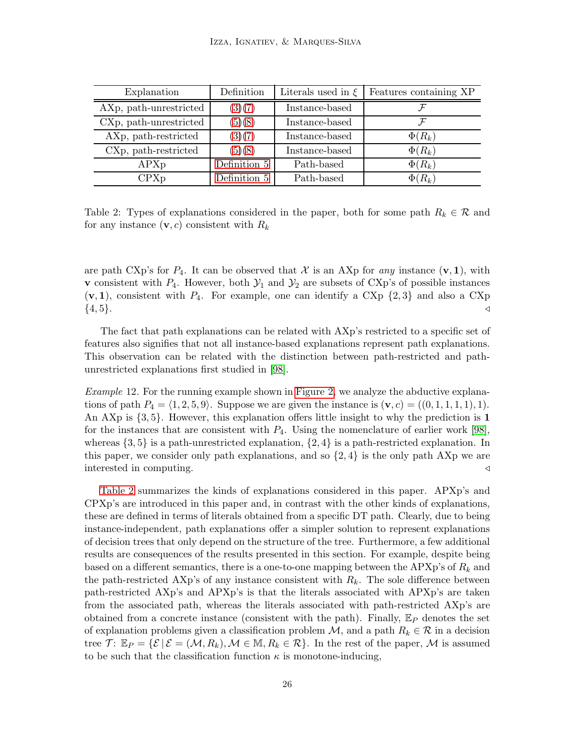<span id="page-25-0"></span>

| Explanation            | Definition   | Literals used in $\xi$ | Features containing XP |
|------------------------|--------------|------------------------|------------------------|
| AXp, path-unrestricted | (3)(7)       | Instance-based         |                        |
| CXp, path-unrestricted | (5)(8)       | Instance-based         |                        |
| AXp, path-restricted   | (3)(7)       | Instance-based         | $\Phi(R_k)$            |
| CXp, path-restricted   | (5)(8)       | Instance-based         | $\Phi(R_k)$            |
| APXp                   | Definition 5 | Path-based             | $\Phi(R_k)$            |
| CPXp                   | Definition 5 | Path-based             | $\Phi(R_k)$            |

Table 2: Types of explanations considered in the paper, both for some path  $R_k \in \mathcal{R}$  and for any instance  $(v, c)$  consistent with  $R_k$ 

are path CXp's for  $P_4$ . It can be observed that X is an AXp for any instance  $(v, 1)$ , with **v** consistent with  $P_4$ . However, both  $\mathcal{Y}_1$  and  $\mathcal{Y}_2$  are subsets of CXp's of possible instances  $(v, 1)$ , consistent with  $P_4$ . For example, one can identify a CXp  $\{2, 3\}$  and also a CXp  $\{4, 5\}.$ 

The fact that path explanations can be related with AXp's restricted to a specific set of features also signifies that not all instance-based explanations represent path explanations. This observation can be related with the distinction between path-restricted and pathunrestricted explanations first studied in [\[98\]](#page-53-2).

Example 12. For the running example shown in [Figure 2,](#page-11-1) we analyze the abductive explanations of path  $P_4 = \langle 1, 2, 5, 9 \rangle$ . Suppose we are given the instance is  $(v, c) = ((0, 1, 1, 1, 1), 1)$ . An AXp is {3, 5}. However, this explanation offers little insight to why the prediction is 1 for the instances that are consistent with  $P_4$ . Using the nomenclature of earlier work [\[98\]](#page-53-2), whereas  $\{3, 5\}$  is a path-unrestricted explanation,  $\{2, 4\}$  is a path-restricted explanation. In this paper, we consider only path explanations, and so  $\{2,4\}$  is the only path AXp we are interested in computing. ⊳

[Table 2](#page-25-0) summarizes the kinds of explanations considered in this paper. APXp's and CPXp's are introduced in this paper and, in contrast with the other kinds of explanations, these are defined in terms of literals obtained from a specific DT path. Clearly, due to being instance-independent, path explanations offer a simpler solution to represent explanations of decision trees that only depend on the structure of the tree. Furthermore, a few additional results are consequences of the results presented in this section. For example, despite being based on a different semantics, there is a one-to-one mapping between the  $APXp's$  of  $R_k$  and the path-restricted AXp's of any instance consistent with  $R_k$ . The sole difference between path-restricted AXp's and APXp's is that the literals associated with APXp's are taken from the associated path, whereas the literals associated with path-restricted AXp's are obtained from a concrete instance (consistent with the path). Finally,  $\mathbb{E}_P$  denotes the set of explanation problems given a classification problem  $\mathcal{M}$ , and a path  $R_k \in \mathcal{R}$  in a decision tree  $\mathcal{T}$ :  $\mathbb{E}_P = \{ \mathcal{E} \mid \mathcal{E} = (\mathcal{M}, R_k), \mathcal{M} \in \mathbb{M}, R_k \in \mathcal{R} \}.$  In the rest of the paper,  $\mathcal{M}$  is assumed to be such that the classification function  $\kappa$  is monotone-inducing,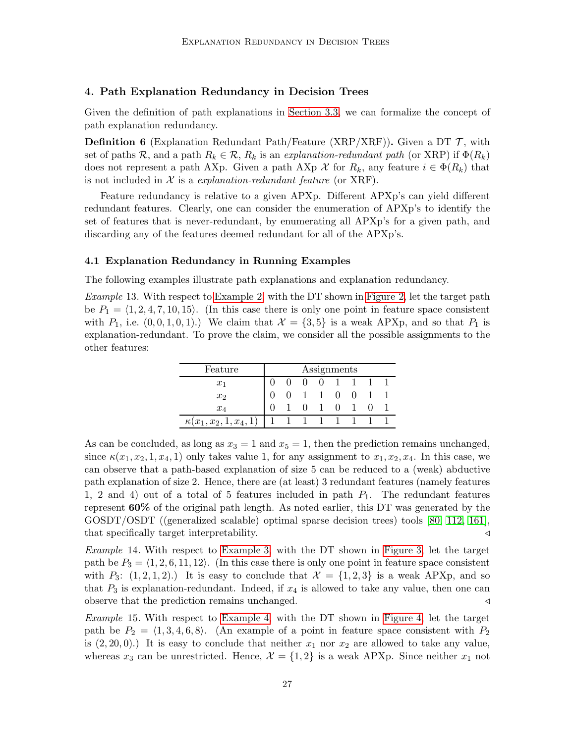#### <span id="page-26-0"></span>4. Path Explanation Redundancy in Decision Trees

Given the definition of path explanations in [Section 3.3,](#page-23-0) we can formalize the concept of path explanation redundancy.

**Definition 6** (Explanation Redundant Path/Feature (XRP/XRF)). Given a DT  $\mathcal{T}$ , with set of paths R, and a path  $R_k \in \mathcal{R}$ ,  $R_k$  is an explanation-redundant path (or XRP) if  $\Phi(R_k)$ does not represent a path AXp. Given a path AXp  $\mathcal X$  for  $R_k$ , any feature  $i \in \Phi(R_k)$  that is not included in  $X$  is a explanation-redundant feature (or XRF).

Feature redundancy is relative to a given APXp. Different APXp's can yield different redundant features. Clearly, one can consider the enumeration of APXp's to identify the set of features that is never-redundant, by enumerating all APXp's for a given path, and discarding any of the features deemed redundant for all of the APXp's.

#### <span id="page-26-1"></span>4.1 Explanation Redundancy in Running Examples

<span id="page-26-2"></span>The following examples illustrate path explanations and explanation redundancy.

Example 13. With respect to [Example 2,](#page-10-2) with the DT shown in [Figure 2,](#page-11-1) let the target path be  $P_1 = \langle 1, 2, 4, 7, 10, 15 \rangle$ . (In this case there is only one point in feature space consistent with  $P_1$ , i.e.  $(0, 0, 1, 0, 1)$ .) We claim that  $\mathcal{X} = \{3, 5\}$  is a weak APXp, and so that  $P_1$  is explanation-redundant. To prove the claim, we consider all the possible assignments to the other features:

| Feature                       | Assignments |  |        |  |              |              |  |  |
|-------------------------------|-------------|--|--------|--|--------------|--------------|--|--|
| $x_1$                         |             |  | $\cup$ |  |              |              |  |  |
| x <sub>2</sub>                |             |  |        |  | $\mathbf{0}$ | $\mathbf{0}$ |  |  |
| $x_4$                         |             |  |        |  | 0            |              |  |  |
| $\kappa(x_1, x_2, 1, x_4, 1)$ |             |  |        |  |              |              |  |  |

As can be concluded, as long as  $x_3 = 1$  and  $x_5 = 1$ , then the prediction remains unchanged, since  $\kappa(x_1, x_2, 1, x_4, 1)$  only takes value 1, for any assignment to  $x_1, x_2, x_4$ . In this case, we can observe that a path-based explanation of size 5 can be reduced to a (weak) abductive path explanation of size 2. Hence, there are (at least) 3 redundant features (namely features 1, 2 and 4) out of a total of 5 features included in path  $P_1$ . The redundant features represent 60% of the original path length. As noted earlier, this DT was generated by the GOSDT/OSDT ((generalized scalable) optimal sparse decision trees) tools [\[80,](#page-52-0) [112,](#page-54-1) [161\]](#page-57-4), that specifically target interpretability. △

Example 14. With respect to [Example 3,](#page-11-2) with the DT shown in [Figure 3,](#page-12-0) let the target path be  $P_3 = \langle 1, 2, 6, 11, 12 \rangle$ . (In this case there is only one point in feature space consistent with  $P_3$ :  $(1, 2, 1, 2)$ .) It is easy to conclude that  $\mathcal{X} = \{1, 2, 3\}$  is a weak APXp, and so that  $P_3$  is explanation-redundant. Indeed, if  $x_4$  is allowed to take any value, then one can observe that the prediction remains unchanged. △

Example 15. With respect to [Example 4,](#page-12-1) with the DT shown in [Figure 4,](#page-13-1) let the target path be  $P_2 = \langle 1, 3, 4, 6, 8 \rangle$ . (An example of a point in feature space consistent with  $P_2$ is  $(2, 20, 0)$ .) It is easy to conclude that neither  $x_1$  nor  $x_2$  are allowed to take any value, whereas  $x_3$  can be unrestricted. Hence,  $\mathcal{X} = \{1, 2\}$  is a weak APXp. Since neither  $x_1$  not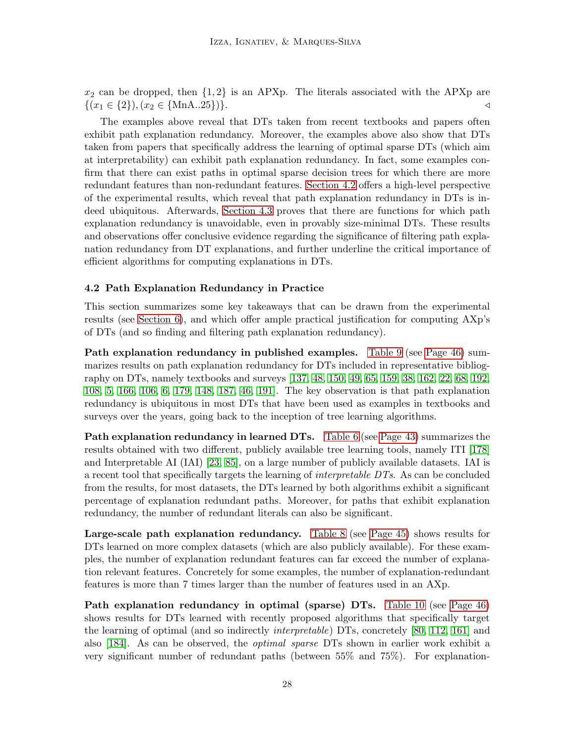$x_2$  can be dropped, then  $\{1,2\}$  is an APXp. The literals associated with the APXp are  $\{(x_1 \in \{2\}), (x_2 \in \{MnA..25\})\}.$ 

The examples above reveal that DTs taken from recent textbooks and papers often exhibit path explanation redundancy. Moreover, the examples above also show that DTs taken from papers that specifically address the learning of optimal sparse DTs (which aim at interpretability) can exhibit path explanation redundancy. In fact, some examples confirm that there can exist paths in optimal sparse decision trees for which there are more redundant features than non-redundant features. [Section 4.2](#page-27-0) offers a high-level perspective of the experimental results, which reveal that path explanation redundancy in DTs is indeed ubiquitous. Afterwards, [Section 4.3](#page-28-0) proves that there are functions for which path explanation redundancy is unavoidable, even in provably size-minimal DTs. These results and observations offer conclusive evidence regarding the significance of filtering path explanation redundancy from DT explanations, and further underline the critical importance of efficient algorithms for computing explanations in DTs.

## <span id="page-27-0"></span>4.2 Path Explanation Redundancy in Practice

This section summarizes some key takeaways that can be drawn from the experimental results (see [Section 6\)](#page-40-0), and which offer ample practical justification for computing AXp's of DTs (and so finding and filtering path explanation redundancy).

Path explanation redundancy in published examples. [Table 9](#page-45-0) (see [Page 46\)](#page-45-0) summarizes results on path explanation redundancy for DTs included in representative bibliography on DTs, namely textbooks and surveys [\[137,](#page-55-14) [48,](#page-50-5) [150,](#page-56-4) [49,](#page-50-13) [65,](#page-51-10) [159,](#page-57-13) [38,](#page-49-7) [162,](#page-57-6) [22,](#page-48-10) [68,](#page-51-4) [192,](#page-59-2) [108,](#page-53-0) [5,](#page-47-7) [166,](#page-57-7) [106,](#page-53-7) [6,](#page-47-15) [179,](#page-58-1) [148,](#page-56-6) [187,](#page-58-13) [46,](#page-50-6) [191\]](#page-59-3). The key observation is that path explanation redundancy is ubiquitous in most DTs that have been used as examples in textbooks and surveys over the years, going back to the inception of tree learning algorithms.

**Path explanation redundancy in learned DTs.** [Table 6](#page-42-0) (see [Page 43\)](#page-42-0) summarizes the results obtained with two different, publicly available tree learning tools, namely ITI [\[178\]](#page-58-7) and Interpretable AI (IAI) [\[23,](#page-48-8) [85\]](#page-52-6), on a large number of publicly available datasets. IAI is a recent tool that specifically targets the learning of *interpretable DTs*. As can be concluded from the results, for most datasets, the DTs learned by both algorithms exhibit a significant percentage of explanation redundant paths. Moreover, for paths that exhibit explanation redundancy, the number of redundant literals can also be significant.

Large-scale path explanation redundancy. [Table 8](#page-44-0) (see [Page 45\)](#page-44-0) shows results for DTs learned on more complex datasets (which are also publicly available). For these examples, the number of explanation redundant features can far exceed the number of explanation relevant features. Concretely for some examples, the number of explanation-redundant features is more than 7 times larger than the number of features used in an AXp.

Path explanation redundancy in optimal (sparse) DTs. [Table 10](#page-45-1) (see [Page 46\)](#page-45-1) shows results for DTs learned with recently proposed algorithms that specifically target the learning of optimal (and so indirectly interpretable) DTs, concretely [\[80,](#page-52-0) [112,](#page-54-1) [161\]](#page-57-4) and also [\[184\]](#page-58-4). As can be observed, the optimal sparse DTs shown in earlier work exhibit a very significant number of redundant paths (between 55% and 75%). For explanation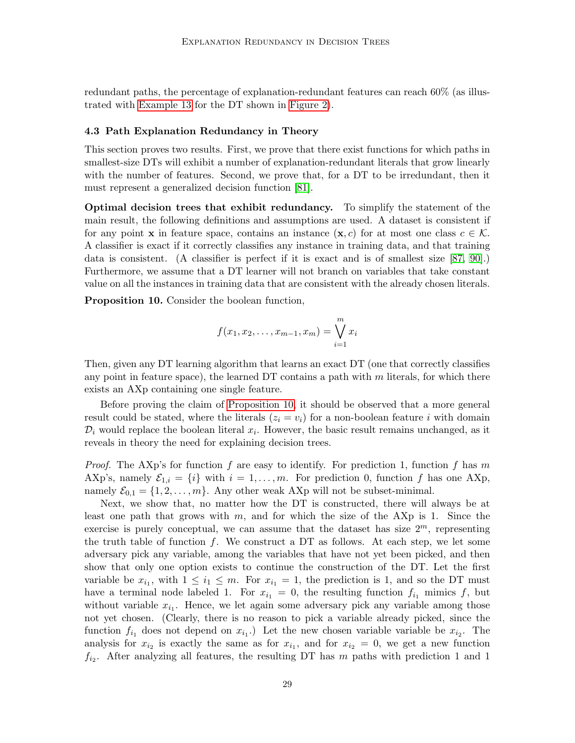redundant paths, the percentage of explanation-redundant features can reach 60% (as illustrated with [Example 13](#page-26-2) for the DT shown in [Figure 2\)](#page-11-1).

#### <span id="page-28-0"></span>4.3 Path Explanation Redundancy in Theory

This section proves two results. First, we prove that there exist functions for which paths in smallest-size DTs will exhibit a number of explanation-redundant literals that grow linearly with the number of features. Second, we prove that, for a DT to be irredundant, then it must represent a generalized decision function [\[81\]](#page-52-8).

Optimal decision trees that exhibit redundancy. To simplify the statement of the main result, the following definitions and assumptions are used. A dataset is consistent if for any point **x** in feature space, contains an instance  $(\mathbf{x}, c)$  for at most one class  $c \in \mathcal{K}$ . A classifier is exact if it correctly classifies any instance in training data, and that training data is consistent. (A classifier is perfect if it is exact and is of smallest size [\[87,](#page-52-14) [90\]](#page-52-15).) Furthermore, we assume that a DT learner will not branch on variables that take constant value on all the instances in training data that are consistent with the already chosen literals.

<span id="page-28-1"></span>Proposition 10. Consider the boolean function,

$$
f(x_1, x_2, \dots, x_{m-1}, x_m) = \bigvee_{i=1}^m x_i
$$

Then, given any DT learning algorithm that learns an exact DT (one that correctly classifies any point in feature space), the learned DT contains a path with  $m$  literals, for which there exists an AXp containing one single feature.

Before proving the claim of [Proposition 10,](#page-28-1) it should be observed that a more general result could be stated, where the literals  $(z_i = v_i)$  for a non-boolean feature i with domain  $\mathcal{D}_i$  would replace the boolean literal  $x_i$ . However, the basic result remains unchanged, as it reveals in theory the need for explaining decision trees.

*Proof.* The AXp's for function f are easy to identify. For prediction 1, function f has m AXp's, namely  $\mathcal{E}_{1,i} = \{i\}$  with  $i = 1, \ldots, m$ . For prediction 0, function f has one AXp, namely  $\mathcal{E}_{0,1} = \{1, 2, \ldots, m\}$ . Any other weak AXp will not be subset-minimal.

Next, we show that, no matter how the DT is constructed, there will always be at least one path that grows with  $m$ , and for which the size of the AXp is 1. Since the exercise is purely conceptual, we can assume that the dataset has size  $2^m$ , representing the truth table of function f. We construct a DT as follows. At each step, we let some adversary pick any variable, among the variables that have not yet been picked, and then show that only one option exists to continue the construction of the DT. Let the first variable be  $x_{i_1}$ , with  $1 \leq i_1 \leq m$ . For  $x_{i_1} = 1$ , the prediction is 1, and so the DT must have a terminal node labeled 1. For  $x_{i_1} = 0$ , the resulting function  $f_{i_1}$  mimics f, but without variable  $x_{i_1}$ . Hence, we let again some adversary pick any variable among those not yet chosen. (Clearly, there is no reason to pick a variable already picked, since the function  $f_{i_1}$  does not depend on  $x_{i_1}$ . Let the new chosen variable variable be  $x_{i_2}$ . The analysis for  $x_{i_2}$  is exactly the same as for  $x_{i_1}$ , and for  $x_{i_2} = 0$ , we get a new function  $f_{i_2}$ . After analyzing all features, the resulting DT has m paths with prediction 1 and 1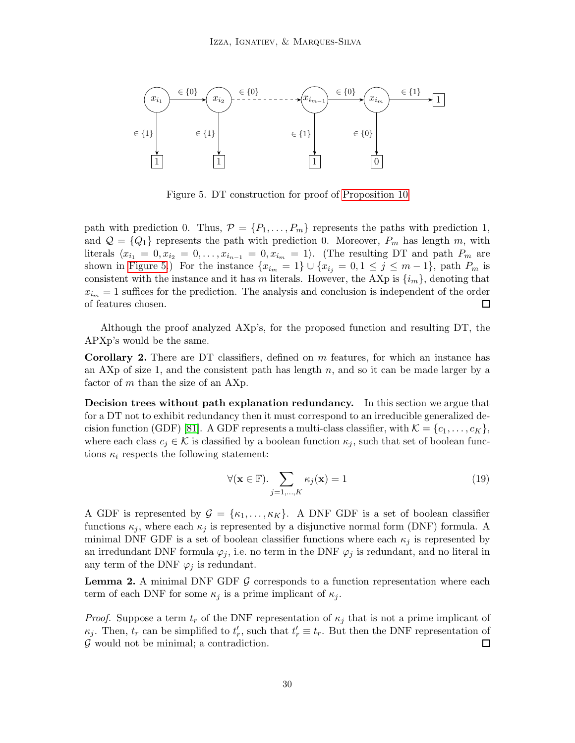<span id="page-29-0"></span>

Figure 5. DT construction for proof of [Proposition 10](#page-28-1)

path with prediction 0. Thus,  $P = \{P_1, \ldots, P_m\}$  represents the paths with prediction 1, and  $\mathcal{Q} = \{Q_1\}$  represents the path with prediction 0. Moreover,  $P_m$  has length m, with literals  $\langle x_{i_1} = 0, x_{i_2} = 0, \ldots, x_{i_{n-1}} = 0, x_{i_m} = 1 \rangle$ . (The resulting DT and path  $P_m$  are shown in [Figure 5.](#page-29-0)) For the instance  $\{x_{i_m} = 1\} \cup \{x_{i_j} = 0, 1 \leq j \leq m-1\}$ , path  $P_m$  is consistent with the instance and it has m literals. However, the AXp is  $\{i_m\}$ , denoting that  $x_{i_m} = 1$  suffices for the prediction. The analysis and conclusion is independent of the order of features chosen. 口

Although the proof analyzed AXp's, for the proposed function and resulting DT, the APXp's would be the same.

Corollary 2. There are DT classifiers, defined on m features, for which an instance has an AXp of size 1, and the consistent path has length  $n$ , and so it can be made larger by a factor of m than the size of an AXp.

Decision trees without path explanation redundancy. In this section we argue that for a DT not to exhibit redundancy then it must correspond to an irreducible generalized de-cision function (GDF) [\[81\]](#page-52-8). A GDF represents a multi-class classifier, with  $\mathcal{K} = \{c_1, \ldots, c_K\},\$ where each class  $c_j \in \mathcal{K}$  is classified by a boolean function  $\kappa_j$ , such that set of boolean functions  $\kappa_i$  respects the following statement:

$$
\forall (\mathbf{x} \in \mathbb{F}). \sum_{j=1,\dots,K} \kappa_j(\mathbf{x}) = 1 \tag{19}
$$

A GDF is represented by  $\mathcal{G} = {\kappa_1, \ldots, \kappa_K}$ . A DNF GDF is a set of boolean classifier functions  $\kappa_j$ , where each  $\kappa_j$  is represented by a disjunctive normal form (DNF) formula. A minimal DNF GDF is a set of boolean classifier functions where each  $\kappa_j$  is represented by an irredundant DNF formula  $\varphi_j$ , i.e. no term in the DNF  $\varphi_j$  is redundant, and no literal in any term of the DNF  $\varphi_i$  is redundant.

<span id="page-29-1"></span>**Lemma 2.** A minimal DNF GDF  $\mathcal{G}$  corresponds to a function representation where each term of each DNF for some  $\kappa_i$  is a prime implicant of  $\kappa_i$ .

<span id="page-29-2"></span>*Proof.* Suppose a term  $t_r$  of the DNF representation of  $\kappa_j$  that is not a prime implicant of  $\kappa_j$ . Then,  $t_r$  can be simplified to  $t'_r$ , such that  $t'_r \equiv t_r$ . But then the DNF representation of  $\mathcal G$  would not be minimal; a contradiction.  $\Box$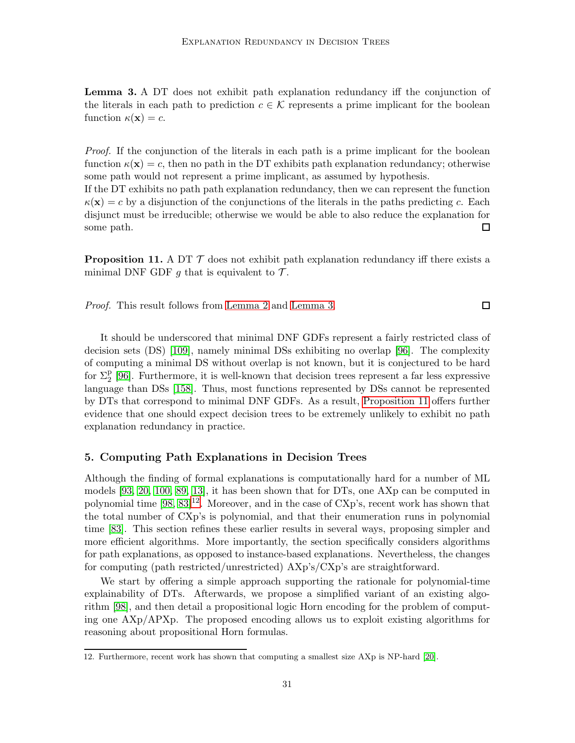Lemma 3. A DT does not exhibit path explanation redundancy iff the conjunction of the literals in each path to prediction  $c \in \mathcal{K}$  represents a prime implicant for the boolean function  $\kappa(\mathbf{x}) = c$ .

Proof. If the conjunction of the literals in each path is a prime implicant for the boolean function  $\kappa(\mathbf{x}) = c$ , then no path in the DT exhibits path explanation redundancy; otherwise some path would not represent a prime implicant, as assumed by hypothesis.

If the DT exhibits no path path explanation redundancy, then we can represent the function  $\kappa(\mathbf{x}) = c$  by a disjunction of the conjunctions of the literals in the paths predicting c. Each disjunct must be irreducible; otherwise we would be able to also reduce the explanation for some path.  $\Box$ 

<span id="page-30-1"></span>**Proposition 11.** A DT  $\mathcal{T}$  does not exhibit path explanation redundancy iff there exists a minimal DNF GDF g that is equivalent to  $\mathcal{T}$ .

 $\Box$ Proof. This result follows from [Lemma 2](#page-29-1) and [Lemma 3.](#page-29-2)

It should be underscored that minimal DNF GDFs represent a fairly restricted class of decision sets (DS) [\[109\]](#page-53-8), namely minimal DSs exhibiting no overlap [\[96\]](#page-53-9). The complexity of computing a minimal DS without overlap is not known, but it is conjectured to be hard for  $\Sigma_2^p$  [\[96\]](#page-53-9). Furthermore, it is well-known that decision trees represent a far less expressive language than DSs [\[158\]](#page-56-11). Thus, most functions represented by DSs cannot be represented by DTs that correspond to minimal DNF GDFs. As a result, [Proposition 11](#page-30-1) offers further evidence that one should expect decision trees to be extremely unlikely to exhibit no path explanation redundancy in practice.

#### <span id="page-30-0"></span>5. Computing Path Explanations in Decision Trees

Although the finding of formal explanations is computationally hard for a number of ML models [\[93,](#page-52-3) [20,](#page-48-11) [100,](#page-53-4) [89,](#page-52-9) [13\]](#page-47-11), it has been shown that for DTs, one AXp can be computed in polynomial time  $[98, 83]^{12}$  $[98, 83]^{12}$  $[98, 83]^{12}$  $[98, 83]^{12}$  $[98, 83]^{12}$ . Moreover, and in the case of CXp's, recent work has shown that the total number of CXp's is polynomial, and that their enumeration runs in polynomial time [\[83\]](#page-52-5). This section refines these earlier results in several ways, proposing simpler and more efficient algorithms. More importantly, the section specifically considers algorithms for path explanations, as opposed to instance-based explanations. Nevertheless, the changes for computing (path restricted/unrestricted) AXp's/CXp's are straightforward.

We start by offering a simple approach supporting the rationale for polynomial-time explainability of DTs. Afterwards, we propose a simplified variant of an existing algorithm [\[98\]](#page-53-2), and then detail a propositional logic Horn encoding for the problem of computing one AXp/APXp. The proposed encoding allows us to exploit existing algorithms for reasoning about propositional Horn formulas.

<span id="page-30-2"></span><sup>12.</sup> Furthermore, recent work has shown that computing a smallest size AXp is NP-hard [\[20\]](#page-48-11).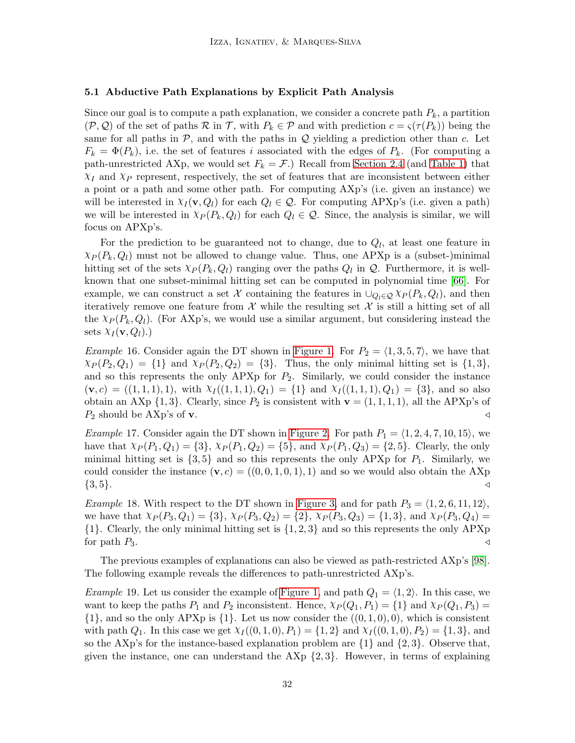## <span id="page-31-0"></span>5.1 Abductive Path Explanations by Explicit Path Analysis

Since our goal is to compute a path explanation, we consider a concrete path  $P_k$ , a partition  $(\mathcal{P}, \mathcal{Q})$  of the set of paths  $\mathcal{R}$  in  $\mathcal{T}$ , with  $P_k \in \mathcal{P}$  and with prediction  $c = \varsigma(\tau(P_k))$  being the same for all paths in  $P$ , and with the paths in  $Q$  yielding a prediction other than c. Let  $F_k = \Phi(P_k)$ , i.e. the set of features i associated with the edges of  $P_k$ . (For computing a path-unrestricted AXp, we would set  $F_k = \mathcal{F}$ .) Recall from [Section 2.4](#page-7-1) (and [Table 1\)](#page-17-0) that  $\chi_I$  and  $\chi_P$  represent, respectively, the set of features that are inconsistent between either a point or a path and some other path. For computing AXp's (i.e. given an instance) we will be interested in  $\chi_I(\mathbf{v}, Q_l)$  for each  $Q_l \in \mathcal{Q}$ . For computing APXp's (i.e. given a path) we will be interested in  $X_P(P_k, Q_l)$  for each  $Q_l \in \mathcal{Q}$ . Since, the analysis is similar, we will focus on APXp's.

For the prediction to be guaranteed not to change, due to  $Q_l$ , at least one feature in  $\chi_P(P_k, Q_l)$  must not be allowed to change value. Thus, one APXp is a (subset-)minimal hitting set of the sets  $\chi_P(P_k, Q_l)$  ranging over the paths  $Q_l$  in  $\mathcal{Q}$ . Furthermore, it is wellknown that one subset-minimal hitting set can be computed in polynomial time [\[66\]](#page-51-11). For example, we can construct a set X containing the features in  $\cup_{Q_l\in\mathcal{Q}}\chi_P(P_k,Q_l)$ , and then iteratively remove one feature from  $\mathcal X$  while the resulting set  $\mathcal X$  is still a hitting set of all the  $\chi_P(P_k, Q_l)$ . (For AXp's, we would use a similar argument, but considering instead the sets  $\chi_I(\mathbf{v}, Q_l)$ .)

*Example* 16. Consider again the DT shown in [Figure 1.](#page-11-0) For  $P_2 = \langle 1, 3, 5, 7 \rangle$ , we have that  $\chi_P(P_2, Q_1) = \{1\}$  and  $\chi_P(P_2, Q_2) = \{3\}$ . Thus, the only minimal hitting set is  $\{1, 3\}$ , and so this represents the only APXp for  $P_2$ . Similarly, we could consider the instance  $(v, c) = ((1, 1, 1), 1)$ , with  $X_I((1, 1, 1), Q_1) = \{1\}$  and  $X_I((1, 1, 1), Q_1) = \{3\}$ , and so also obtain an AXp  $\{1,3\}$ . Clearly, since  $P_2$  is consistent with  $\mathbf{v} = (1,1,1,1)$ , all the APXp's of  $P_2$  should be AXp's of **v**.  $\triangleleft$ 

*Example 17.* Consider again the DT shown in [Figure 2.](#page-11-1) For path  $P_1 = \langle 1, 2, 4, 7, 10, 15 \rangle$ , we have that  $X_P(P_1, Q_1) = \{3\}, X_P(P_1, Q_2) = \{5\}, \text{ and } X_P(P_1, Q_3) = \{2, 5\}.$  Clearly, the only minimal hitting set is  $\{3, 5\}$  and so this represents the only APXp for  $P_1$ . Similarly, we could consider the instance  $(v, c) = ((0, 0, 1, 0, 1), 1)$  and so we would also obtain the AXp  $\{3, 5\}.$ 

*Example* 18. With respect to the DT shown in [Figure 3,](#page-12-0) and for path  $P_3 = \langle 1, 2, 6, 11, 12 \rangle$ , we have that  $\chi_P(P_3, Q_1) = \{3\}, \chi_P(P_3, Q_2) = \{2\}, \chi_P(P_3, Q_3) = \{1, 3\}, \text{ and } \chi_P(P_3, Q_4) =$  $\{1\}$ . Clearly, the only minimal hitting set is  $\{1, 2, 3\}$  and so this represents the only APXp for path  $P_3$ .  $\triangleleft$ 

The previous examples of explanations can also be viewed as path-restricted AXp's [\[98\]](#page-53-2). The following example reveals the differences to path-unrestricted AXp's.

*Example* 19. Let us consider the example of [Figure 1,](#page-11-0) and path  $Q_1 = \langle 1, 2 \rangle$ . In this case, we want to keep the paths  $P_1$  and  $P_2$  inconsistent. Hence,  $\chi_P(Q_1, P_1) = \{1\}$  and  $\chi_P(Q_1, P_3) =$  $\{1\}$ , and so the only APXp is  $\{1\}$ . Let us now consider the  $((0,1,0),0)$ , which is consistent with path  $Q_1$ . In this case we get  $X_I((0,1,0), P_1) = \{1,2\}$  and  $X_I((0,1,0), P_2) = \{1,3\}$ , and so the AXp's for the instance-based explanation problem are  $\{1\}$  and  $\{2,3\}$ . Observe that, given the instance, one can understand the  $AXp \{2,3\}$ . However, in terms of explaining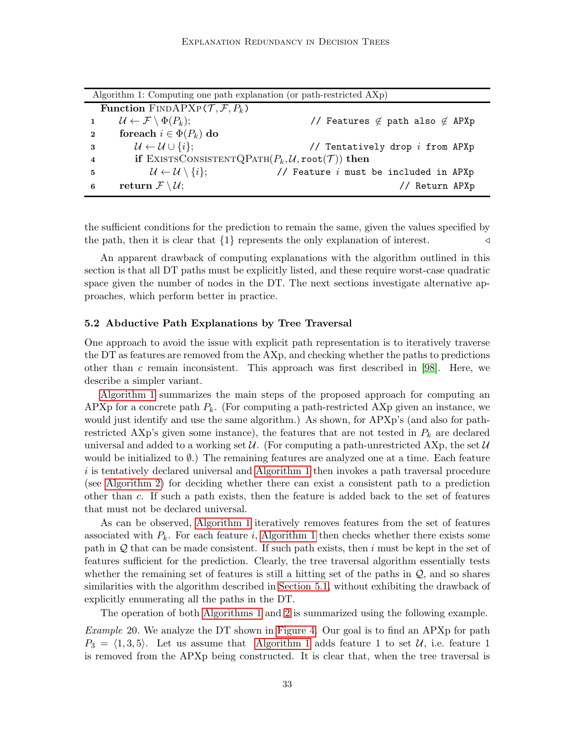|                | Algorithm 1: Computing one path explanation (or path-restricted AXp) |                                              |  |  |  |  |  |  |
|----------------|----------------------------------------------------------------------|----------------------------------------------|--|--|--|--|--|--|
|                | <b>Function</b> FINDAPXP $(\mathcal{T}, \mathcal{F}, P_k)$           |                                              |  |  |  |  |  |  |
|                | $\mathcal{U} \leftarrow \mathcal{F} \setminus \Phi(P_k);$            | // Features $\notin$ path also $\notin$ APXp |  |  |  |  |  |  |
| $\mathbf{2}$   | foreach $i \in \Phi(P_k)$ do                                         |                                              |  |  |  |  |  |  |
| -3             | $\mathcal{U} \leftarrow \mathcal{U} \cup \{i\};$                     | // Tentatively drop i from APXp              |  |  |  |  |  |  |
| $\overline{4}$ | if EXISTSCONSISTENTQPATH $(P_k, U, \text{root}(\mathcal{T}))$ then   |                                              |  |  |  |  |  |  |
| $\mathbf{5}$   | $\mathcal{U} \leftarrow \mathcal{U} \setminus \{i\};$                | // Feature $i$ must be included in APXp      |  |  |  |  |  |  |
| 6              | return $\mathcal{F} \setminus \mathcal{U}$ ;                         | // Return APXp                               |  |  |  |  |  |  |

<span id="page-32-1"></span>the sufficient conditions for the prediction to remain the same, given the values specified by the path, then it is clear that  $\{1\}$  represents the only explanation of interest.

An apparent drawback of computing explanations with the algorithm outlined in this section is that all DT paths must be explicitly listed, and these require worst-case quadratic space given the number of nodes in the DT. The next sections investigate alternative approaches, which perform better in practice.

#### <span id="page-32-0"></span>5.2 Abductive Path Explanations by Tree Traversal

One approach to avoid the issue with explicit path representation is to iteratively traverse the DT as features are removed from the AXp, and checking whether the paths to predictions other than c remain inconsistent. This approach was first described in [\[98\]](#page-53-2). Here, we describe a simpler variant.

[Algorithm 1](#page-32-1) summarizes the main steps of the proposed approach for computing an APXp for a concrete path  $P_k$ . (For computing a path-restricted AXp given an instance, we would just identify and use the same algorithm.) As shown, for APXp's (and also for pathrestricted AXp's given some instance), the features that are not tested in  $P_k$  are declared universal and added to a working set U. (For computing a path-unrestricted AXp, the set U would be initialized to  $\emptyset$ .) The remaining features are analyzed one at a time. Each feature i is tentatively declared universal and [Algorithm 1](#page-32-1) then invokes a path traversal procedure (see [Algorithm 2\)](#page-33-1) for deciding whether there can exist a consistent path to a prediction other than c. If such a path exists, then the feature is added back to the set of features that must not be declared universal.

As can be observed, [Algorithm 1](#page-32-1) iteratively removes features from the set of features associated with  $P_k$ . For each feature i, [Algorithm 1](#page-32-1) then checks whether there exists some path in  $Q$  that can be made consistent. If such path exists, then i must be kept in the set of features sufficient for the prediction. Clearly, the tree traversal algorithm essentially tests whether the remaining set of features is still a hitting set of the paths in  $\mathcal{Q}$ , and so shares similarities with the algorithm described in [Section 5.1,](#page-31-0) without exhibiting the drawback of explicitly enumerating all the paths in the DT.

The operation of both [Algorithms 1](#page-32-1) and [2](#page-33-1) is summarized using the following example.

Example 20. We analyze the DT shown in [Figure 4.](#page-13-1) Our goal is to find an APXp for path  $P_3 = \langle 1, 3, 5 \rangle$ . Let us assume that [Algorithm 1](#page-32-1) adds feature 1 to set U, i.e. feature 1 is removed from the APXp being constructed. It is clear that, when the tree traversal is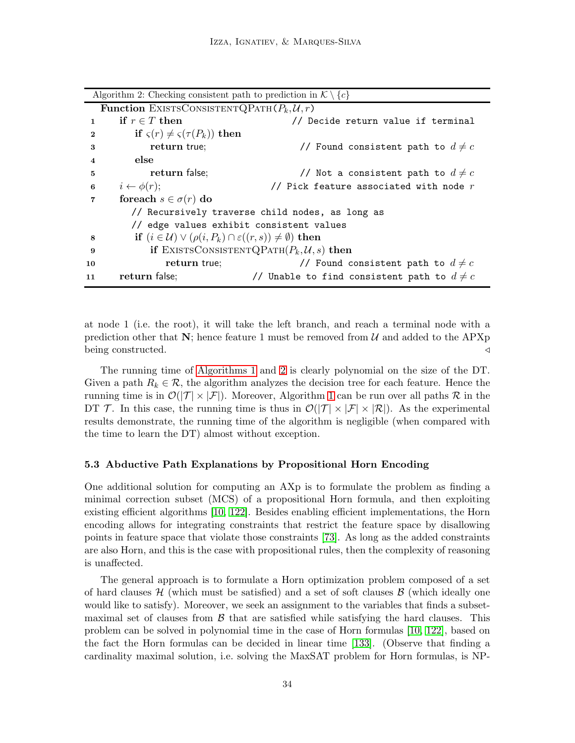**Function** EXISTSCONSISTENTQPATH $(P_k, U, r)$ 1 if  $r \in T$  then  $\ell$  becide return value if terminal 2 if  $\varsigma(r) \neq \varsigma(\tau(P_k))$  then 3 **return true;**  $\frac{1}{\sqrt{}}$  Found consistent path to  $d \neq c$ 4 else 5 **return false;**  $\sim$  // Not a consistent path to  $d \neq c$ 6  $i \leftarrow \phi(r)$ ;  $\qquad \qquad \qquad \qquad \qquad$  // Pick feature associated with node r 7 foreach  $s \in \sigma(r)$  do // Recursively traverse child nodes, as long as // edge values exhibit consistent values **8** if  $(i \in \mathcal{U}) \vee (\rho(i, P_k) \cap \varepsilon((r, s)) \neq \emptyset)$  then 9 if EXISTSCONSISTENTQPATH $(P_k, U, s)$  then 10 **return true;**  $\frac{1}{2}$  **return true;**  $\frac{1}{2}$  **Found consistent path to**  $d \neq c$ 11 return false;  $\frac{1}{2}$  // Unable to find consistent path to  $d \neq c$ 

<span id="page-33-1"></span>at node 1 (i.e. the root), it will take the left branch, and reach a terminal node with a prediction other that  $N$ ; hence feature 1 must be removed from U and added to the APXp being constructed. ⊳

The running time of [Algorithms 1](#page-32-1) and [2](#page-33-1) is clearly polynomial on the size of the DT. Given a path  $R_k \in \mathcal{R}$ , the algorithm analyzes the decision tree for each feature. Hence the running time is in  $\mathcal{O}(|\mathcal{T}| \times |\mathcal{F}|)$ . Moreover, Algorithm [1](#page-32-1) can be run over all paths R in the DT T. In this case, the running time is thus in  $\mathcal{O}(|\mathcal{T}| \times |\mathcal{F}| \times |\mathcal{R}|)$ . As the experimental results demonstrate, the running time of the algorithm is negligible (when compared with the time to learn the DT) almost without exception.

#### <span id="page-33-0"></span>5.3 Abductive Path Explanations by Propositional Horn Encoding

One additional solution for computing an AXp is to formulate the problem as finding a minimal correction subset (MCS) of a propositional Horn formula, and then exploiting existing efficient algorithms [\[10,](#page-47-6) [122\]](#page-54-6). Besides enabling efficient implementations, the Horn encoding allows for integrating constraints that restrict the feature space by disallowing points in feature space that violate those constraints [\[73\]](#page-51-12). As long as the added constraints are also Horn, and this is the case with propositional rules, then the complexity of reasoning is unaffected.

The general approach is to formulate a Horn optimization problem composed of a set of hard clauses  $\mathcal{H}$  (which must be satisfied) and a set of soft clauses  $\mathcal{B}$  (which ideally one would like to satisfy). Moreover, we seek an assignment to the variables that finds a subsetmaximal set of clauses from  $\beta$  that are satisfied while satisfying the hard clauses. This problem can be solved in polynomial time in the case of Horn formulas [\[10,](#page-47-6) [122\]](#page-54-6), based on the fact the Horn formulas can be decided in linear time [\[133\]](#page-55-15). (Observe that finding a cardinality maximal solution, i.e. solving the MaxSAT problem for Horn formulas, is NP-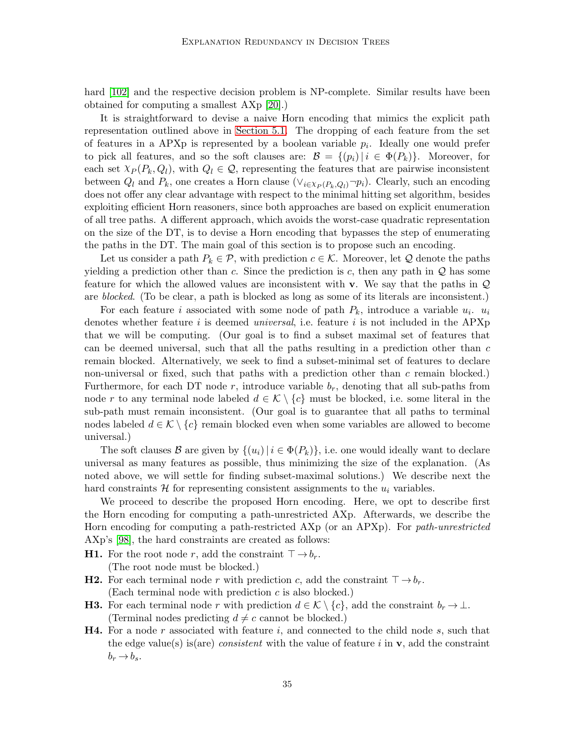hard [\[102\]](#page-53-10) and the respective decision problem is NP-complete. Similar results have been obtained for computing a smallest AXp [\[20\]](#page-48-11).)

It is straightforward to devise a naive Horn encoding that mimics the explicit path representation outlined above in [Section 5.1.](#page-31-0) The dropping of each feature from the set of features in a APXp is represented by a boolean variable  $p_i$ . Ideally one would prefer to pick all features, and so the soft clauses are:  $\mathcal{B} = \{(p_i) | i \in \Phi(P_k)\}\.$  Moreover, for each set  $\chi_P(P_k, Q_l)$ , with  $Q_l \in \mathcal{Q}$ , representing the features that are pairwise inconsistent between  $Q_l$  and  $P_k$ , one creates a Horn clause  $(\vee_{i\in\mathcal{X}_P(P_k,Q_l)}\neg p_i)$ . Clearly, such an encoding does not offer any clear advantage with respect to the minimal hitting set algorithm, besides exploiting efficient Horn reasoners, since both approaches are based on explicit enumeration of all tree paths. A different approach, which avoids the worst-case quadratic representation on the size of the DT, is to devise a Horn encoding that bypasses the step of enumerating the paths in the DT. The main goal of this section is to propose such an encoding.

Let us consider a path  $P_k \in \mathcal{P}$ , with prediction  $c \in \mathcal{K}$ . Moreover, let Q denote the paths yielding a prediction other than c. Since the prediction is c, then any path in  $\mathcal Q$  has some feature for which the allowed values are inconsistent with **v**. We say that the paths in  $\mathcal{Q}$ are *blocked*. (To be clear, a path is blocked as long as some of its literals are inconsistent.)

For each feature *i* associated with some node of path  $P_k$ , introduce a variable  $u_i$ .  $u_i$ denotes whether feature i is deemed *universal*, i.e. feature i is not included in the  $APXp$ that we will be computing. (Our goal is to find a subset maximal set of features that can be deemed universal, such that all the paths resulting in a prediction other than  $c$ remain blocked. Alternatively, we seek to find a subset-minimal set of features to declare non-universal or fixed, such that paths with a prediction other than  $c$  remain blocked.) Furthermore, for each DT node  $r$ , introduce variable  $b_r$ , denoting that all sub-paths from node r to any terminal node labeled  $d \in \mathcal{K} \setminus \{c\}$  must be blocked, i.e. some literal in the sub-path must remain inconsistent. (Our goal is to guarantee that all paths to terminal nodes labeled  $d \in \mathcal{K} \setminus \{c\}$  remain blocked even when some variables are allowed to become universal.)

The soft clauses B are given by  $\{(u_i)|i \in \Phi(P_k)\}\$ , i.e. one would ideally want to declare universal as many features as possible, thus minimizing the size of the explanation. (As noted above, we will settle for finding subset-maximal solutions.) We describe next the hard constraints  $\mathcal H$  for representing consistent assignments to the  $u_i$  variables.

We proceed to describe the proposed Horn encoding. Here, we opt to describe first the Horn encoding for computing a path-unrestricted AXp. Afterwards, we describe the Horn encoding for computing a path-restricted AXp (or an APXp). For path-unrestricted AXp's [\[98\]](#page-53-2), the hard constraints are created as follows:

<span id="page-34-0"></span>**H1.** For the root node r, add the constraint  $\top \rightarrow b_r$ . (The root node must be blocked.)

- <span id="page-34-1"></span>**H2.** For each terminal node r with prediction c, add the constraint  $\top \rightarrow b_r$ . (Each terminal node with prediction  $c$  is also blocked.)
- <span id="page-34-2"></span>**H3.** For each terminal node r with prediction  $d \in \mathcal{K} \setminus \{c\}$ , add the constraint  $b_r \to \bot$ . (Terminal nodes predicting  $d \neq c$  cannot be blocked.)
- <span id="page-34-3"></span>**H4.** For a node r associated with feature i, and connected to the child node s, such that the edge value(s) is(are) consistent with the value of feature i in  $\bf{v}$ , add the constraint  $b_r \rightarrow b_s$ .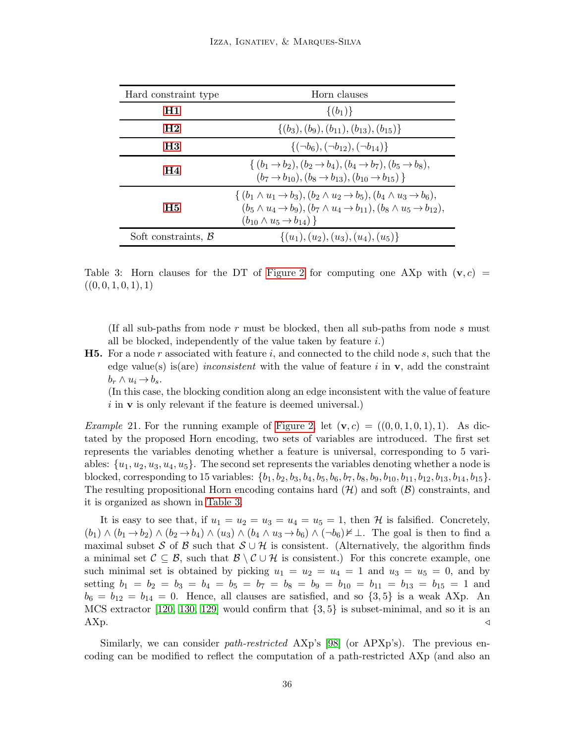<span id="page-35-1"></span>

| Hard constraint type      | Horn clauses                                                                                                                                                                                                                                                           |
|---------------------------|------------------------------------------------------------------------------------------------------------------------------------------------------------------------------------------------------------------------------------------------------------------------|
| H1                        | $\{(b_1)\}\$                                                                                                                                                                                                                                                           |
| $_{\rm H2}$               | $\{(b_3), (b_9), (b_{11}), (b_{13}), (b_{15})\}$                                                                                                                                                                                                                       |
| H3                        | $\{(\neg b_6), (\neg b_{12}), (\neg b_{14})\}$                                                                                                                                                                                                                         |
| H4                        | $\{(b_1 \rightarrow b_2), (b_2 \rightarrow b_4), (b_4 \rightarrow b_7), (b_5 \rightarrow b_8),$<br>$(b_7 \rightarrow b_{10}), (b_8 \rightarrow b_{13}), (b_{10} \rightarrow b_{15})$                                                                                   |
| <b>H5</b>                 | $\{(b_1 \wedge u_1 \rightarrow b_3), (b_2 \wedge u_2 \rightarrow b_5), (b_4 \wedge u_3 \rightarrow b_6),$<br>$(b_5 \wedge u_4 \rightarrow b_9), (b_7 \wedge u_4 \rightarrow b_{11}), (b_8 \wedge u_5 \rightarrow b_{12}),$<br>$(b_{10} \wedge u_5 \rightarrow b_{14})$ |
| Soft constraints, $\beta$ | $\{(u_1), (u_2), (u_3), (u_4), (u_5)\}\$                                                                                                                                                                                                                               |

Table 3: Horn clauses for the DT of [Figure 2](#page-11-1) for computing one AXp with  $(v, c)$  =  $((0, 0, 1, 0, 1), 1)$ 

(If all sub-paths from node  $r$  must be blocked, then all sub-paths from node  $s$  must all be blocked, independently of the value taken by feature  $i$ .)

<span id="page-35-0"></span>**H5.** For a node r associated with feature i, and connected to the child node s, such that the edge value(s) is(are) inconsistent with the value of feature i in  $\bf{v}$ , add the constraint  $b_r \wedge u_i \rightarrow b_s.$ 

(In this case, the blocking condition along an edge inconsistent with the value of feature i in **v** is only relevant if the feature is deemed universal.)

<span id="page-35-2"></span>*Example 21.* For the running example of [Figure 2,](#page-11-1) let  $(\mathbf{v}, c) = ((0, 0, 1, 0, 1), 1)$ . As dictated by the proposed Horn encoding, two sets of variables are introduced. The first set represents the variables denoting whether a feature is universal, corresponding to 5 variables:  $\{u_1, u_2, u_3, u_4, u_5\}$ . The second set represents the variables denoting whether a node is blocked, corresponding to 15 variables:  $\{b_1, b_2, b_3, b_4, b_5, b_6, b_7, b_8, b_9, b_{10}, b_{11}, b_{12}, b_{13}, b_{14}, b_{15}\}.$ The resulting propositional Horn encoding contains hard  $(\mathcal{H})$  and soft  $(\mathcal{B})$  constraints, and it is organized as shown in [Table 3.](#page-35-1)

It is easy to see that, if  $u_1 = u_2 = u_3 = u_4 = u_5 = 1$ , then H is falsified. Concretely,  $(b_1) \wedge (b_1 \rightarrow b_2) \wedge (b_2 \rightarrow b_4) \wedge (u_3) \wedge (b_4 \wedge u_3 \rightarrow b_6) \wedge (\neg b_6) \neq \bot$ . The goal is then to find a maximal subset S of B such that  $S \cup \mathcal{H}$  is consistent. (Alternatively, the algorithm finds a minimal set  $\mathcal{C} \subseteq \mathcal{B}$ , such that  $\mathcal{B} \setminus \mathcal{C} \cup \mathcal{H}$  is consistent.) For this concrete example, one such minimal set is obtained by picking  $u_1 = u_2 = u_4 = 1$  and  $u_3 = u_5 = 0$ , and by setting  $b_1 = b_2 = b_3 = b_4 = b_5 = b_7 = b_8 = b_9 = b_{10} = b_{11} = b_{13} = b_{15} = 1$  and  $b_6 = b_{12} = b_{14} = 0$ . Hence, all clauses are satisfied, and so  $\{3, 5\}$  is a weak AXp. An MCS extractor [\[120,](#page-54-3) [130,](#page-55-8) [129\]](#page-55-9) would confirm that  $\{3, 5\}$  is subset-minimal, and so it is an  $\Delta$ Xp.

Similarly, we can consider path-restricted AXp's [\[98\]](#page-53-2) (or APXp's). The previous encoding can be modified to reflect the computation of a path-restricted AXp (and also an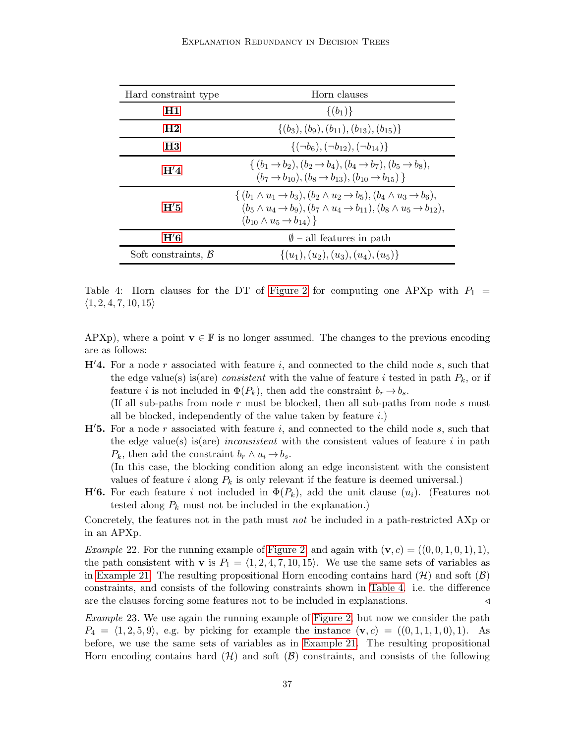<span id="page-36-3"></span>

| Hard constraint type      | Horn clauses                                                                                                                                                                                                                                                           |
|---------------------------|------------------------------------------------------------------------------------------------------------------------------------------------------------------------------------------------------------------------------------------------------------------------|
| H1                        | $\{(b_1)\}\$                                                                                                                                                                                                                                                           |
| H <sub>2</sub>            | $\{(b_3), (b_9), (b_{11}), (b_{13}), (b_{15})\}$                                                                                                                                                                                                                       |
| H3                        | $\{(\neg b_6), (\neg b_{12}), (\neg b_{14})\}$                                                                                                                                                                                                                         |
| H'4                       | $\{(b_1 \rightarrow b_2), (b_2 \rightarrow b_4), (b_4 \rightarrow b_7), (b_5 \rightarrow b_8),$<br>$(b_7 \rightarrow b_{10}), (b_8 \rightarrow b_{13}), (b_{10} \rightarrow b_{15})$                                                                                   |
| H'5                       | $\{(b_1 \wedge u_1 \rightarrow b_3), (b_2 \wedge u_2 \rightarrow b_5), (b_4 \wedge u_3 \rightarrow b_6),$<br>$(b_5 \wedge u_4 \rightarrow b_9), (b_7 \wedge u_4 \rightarrow b_{11}), (b_8 \wedge u_5 \rightarrow b_{12}),$<br>$(b_{10} \wedge u_5 \rightarrow b_{14})$ |
| H'6                       | $\emptyset$ – all features in path                                                                                                                                                                                                                                     |
| Soft constraints, $\beta$ | $\{(u_1), (u_2), (u_3), (u_4), (u_5)\}\$                                                                                                                                                                                                                               |

Table 4: Horn clauses for the DT of [Figure 2](#page-11-1) for computing one APXp with  $P_1$  =  $\langle 1, 2, 4, 7, 10, 15 \rangle$ 

<span id="page-36-0"></span>APXp), where a point  $\mathbf{v} \in \mathbb{F}$  is no longer assumed. The changes to the previous encoding are as follows:

 $\mathbf{H}'$ 4. For a node r associated with feature i, and connected to the child node s, such that the edge value(s) is(are) consistent with the value of feature i tested in path  $P_k$ , or if feature *i* is not included in  $\Phi(P_k)$ , then add the constraint  $b_r \to b_s$ . (If all sub-paths from node  $r$  must be blocked, then all sub-paths from node  $s$  must

all be blocked, independently of the value taken by feature  $i$ .)

<span id="page-36-1"></span> $H'5$ . For a node r associated with feature i, and connected to the child node s, such that the edge value(s) is (are) inconsistent with the consistent values of feature i in path  $P_k$ , then add the constraint  $b_r \wedge u_i \rightarrow b_s$ .

(In this case, the blocking condition along an edge inconsistent with the consistent values of feature  $i$  along  $P_k$  is only relevant if the feature is deemed universal.)

<span id="page-36-2"></span>**H'6.** For each feature i not included in  $\Phi(P_k)$ , add the unit clause  $(u_i)$ . (Features not tested along  $P_k$  must not be included in the explanation.)

Concretely, the features not in the path must not be included in a path-restricted AXp or in an APXp.

*Example 22.* For the running example of [Figure 2,](#page-11-1) and again with  $(\mathbf{v}, c) = ((0, 0, 1, 0, 1), 1)$ , the path consistent with **v** is  $P_1 = \langle 1, 2, 4, 7, 10, 15 \rangle$ . We use the same sets of variables as in [Example 21.](#page-35-2) The resulting propositional Horn encoding contains hard  $(\mathcal{H})$  and soft  $(\mathcal{B})$ constraints, and consists of the following constraints shown in [Table 4.](#page-36-3) i.e. the difference are the clauses forcing some features not to be included in explanations. <br>
△

Example 23. We use again the running example of [Figure 2,](#page-11-1) but now we consider the path  $P_4 = \langle 1, 2, 5, 9 \rangle$ , e.g. by picking for example the instance  $(v, c) = ((0, 1, 1, 1, 0), 1)$ . As before, we use the same sets of variables as in [Example 21.](#page-35-2) The resulting propositional Horn encoding contains hard  $(H)$  and soft  $(B)$  constraints, and consists of the following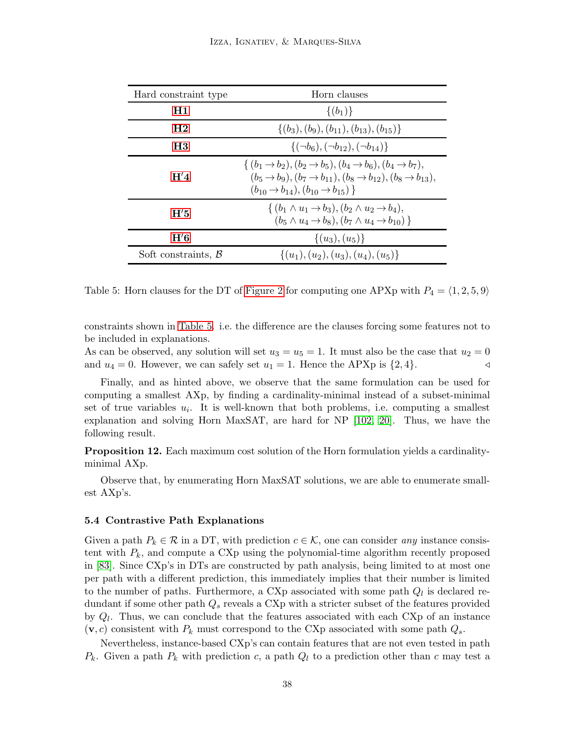<span id="page-37-1"></span>

| Hard constraint type      | Horn clauses                                                                                                                                                                                                                                                            |
|---------------------------|-------------------------------------------------------------------------------------------------------------------------------------------------------------------------------------------------------------------------------------------------------------------------|
| H1                        | $\{(b_1)\}\$                                                                                                                                                                                                                                                            |
| $\mathbf{H2}$             | $\{(b_3), (b_9), (b_{11}), (b_{13}), (b_{15})\}$                                                                                                                                                                                                                        |
| H3                        | $\{(\neg b_6), (\neg b_{12}), (\neg b_{14})\}$                                                                                                                                                                                                                          |
| H'4                       | $\{(b_1 \rightarrow b_2), (b_2 \rightarrow b_5), (b_4 \rightarrow b_6), (b_4 \rightarrow b_7),$<br>$(b_5 \rightarrow b_9), (b_7 \rightarrow b_{11}), (b_8 \rightarrow b_{12}), (b_8 \rightarrow b_{13}),$<br>$(b_{10} \rightarrow b_{14}), (b_{10} \rightarrow b_{15})$ |
| H'5                       | $\{(b_1 \wedge u_1 \rightarrow b_3), (b_2 \wedge u_2 \rightarrow b_4),$<br>$(b_5 \wedge u_4 \rightarrow b_8), (b_7 \wedge u_4 \rightarrow b_{10})$                                                                                                                      |
| H'6                       | $\{(u_3), (u_5)\}\$                                                                                                                                                                                                                                                     |
| Soft constraints, $\beta$ | $\{(u_1), (u_2), (u_3), (u_4), (u_5)\}\$                                                                                                                                                                                                                                |

Table 5: Horn clauses for the DT of [Figure 2](#page-11-1) for computing one APXp with  $P_4 = \langle 1, 2, 5, 9 \rangle$ 

constraints shown in [Table 5.](#page-37-1) i.e. the difference are the clauses forcing some features not to be included in explanations.

As can be observed, any solution will set  $u_3 = u_5 = 1$ . It must also be the case that  $u_2 = 0$ and  $u_4 = 0$ . However, we can safely set  $u_1 = 1$ . Hence the APXp is  $\{2, 4\}$ .

Finally, and as hinted above, we observe that the same formulation can be used for computing a smallest AXp, by finding a cardinality-minimal instead of a subset-minimal set of true variables  $u_i$ . It is well-known that both problems, i.e. computing a smallest explanation and solving Horn MaxSAT, are hard for NP [\[102,](#page-53-10) [20\]](#page-48-11). Thus, we have the following result.

**Proposition 12.** Each maximum cost solution of the Horn formulation yields a cardinalityminimal AXp.

Observe that, by enumerating Horn MaxSAT solutions, we are able to enumerate smallest AXp's.

## <span id="page-37-0"></span>5.4 Contrastive Path Explanations

Given a path  $P_k \in \mathcal{R}$  in a DT, with prediction  $c \in \mathcal{K}$ , one can consider any instance consistent with  $P_k$ , and compute a CXp using the polynomial-time algorithm recently proposed in [\[83\]](#page-52-5). Since CXp's in DTs are constructed by path analysis, being limited to at most one per path with a different prediction, this immediately implies that their number is limited to the number of paths. Furthermore, a CXp associated with some path  $Q_l$  is declared redundant if some other path  $Q_s$  reveals a CXp with a stricter subset of the features provided by  $Q_l$ . Thus, we can conclude that the features associated with each CXp of an instance  $(v, c)$  consistent with  $P_k$  must correspond to the CXp associated with some path  $Q_s$ .

Nevertheless, instance-based CXp's can contain features that are not even tested in path  $P_k$ . Given a path  $P_k$  with prediction c, a path  $Q_l$  to a prediction other than c may test a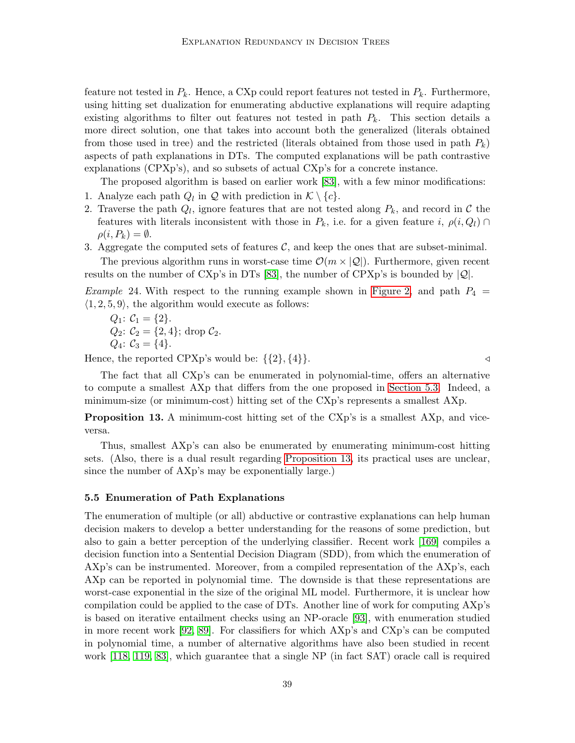feature not tested in  $P_k$ . Hence, a CXp could report features not tested in  $P_k$ . Furthermore, using hitting set dualization for enumerating abductive explanations will require adapting existing algorithms to filter out features not tested in path  $P_k$ . This section details a more direct solution, one that takes into account both the generalized (literals obtained from those used in tree) and the restricted (literals obtained from those used in path  $P_k$ ) aspects of path explanations in DTs. The computed explanations will be path contrastive explanations (CPXp's), and so subsets of actual CXp's for a concrete instance.

The proposed algorithm is based on earlier work [\[83\]](#page-52-5), with a few minor modifications:

- 1. Analyze each path  $Q_l$  in  $\mathcal Q$  with prediction in  $\mathcal K \setminus \{c\}$ .
- 2. Traverse the path  $Q_l$ , ignore features that are not tested along  $P_k$ , and record in  $\mathcal C$  the features with literals inconsistent with those in  $P_k$ , i.e. for a given feature i,  $\rho(i, Q_l)$  $\rho(i, P_k) = \emptyset.$
- 3. Aggregate the computed sets of features  $C$ , and keep the ones that are subset-minimal. The previous algorithm runs in worst-case time  $\mathcal{O}(m \times |\mathcal{Q}|)$ . Furthermore, given recent results on the number of CXp's in DTs [\[83\]](#page-52-5), the number of CPXp's is bounded by  $|Q|$ .

*Example* 24. With respect to the running example shown in [Figure 2,](#page-11-1) and path  $P_4$  =  $\langle 1, 2, 5, 9 \rangle$ , the algorithm would execute as follows:

$$
Q_1: C_1 = \{2\}.
$$
  
\n
$$
Q_2: C_2 = \{2, 4\}; \text{ drop } C_2.
$$
  
\n
$$
Q_4: C_3 = \{4\}.
$$

Hence, the reported CPXp's would be:  $\{\{2\}, \{4\}\}.$ 

The fact that all CXp's can be enumerated in polynomial-time, offers an alternative to compute a smallest AXp that differs from the one proposed in [Section 5.3.](#page-33-0) Indeed, a minimum-size (or minimum-cost) hitting set of the CXp's represents a smallest AXp.

<span id="page-38-1"></span>**Proposition 13.** A minimum-cost hitting set of the CXp's is a smallest AXp, and viceversa.

Thus, smallest AXp's can also be enumerated by enumerating minimum-cost hitting sets. (Also, there is a dual result regarding [Proposition 13,](#page-38-1) its practical uses are unclear, since the number of AXp's may be exponentially large.)

#### <span id="page-38-0"></span>5.5 Enumeration of Path Explanations

The enumeration of multiple (or all) abductive or contrastive explanations can help human decision makers to develop a better understanding for the reasons of some prediction, but also to gain a better perception of the underlying classifier. Recent work [\[169\]](#page-57-5) compiles a decision function into a Sentential Decision Diagram (SDD), from which the enumeration of AXp's can be instrumented. Moreover, from a compiled representation of the AXp's, each AXp can be reported in polynomial time. The downside is that these representations are worst-case exponential in the size of the original ML model. Furthermore, it is unclear how compilation could be applied to the case of DTs. Another line of work for computing AXp's is based on iterative entailment checks using an NP-oracle [\[93\]](#page-52-3), with enumeration studied in more recent work [\[92,](#page-52-4) [89\]](#page-52-9). For classifiers for which AXp's and CXp's can be computed in polynomial time, a number of alternative algorithms have also been studied in recent work [\[118,](#page-54-9) [119,](#page-54-10) [83\]](#page-52-5), which guarantee that a single NP (in fact SAT) oracle call is required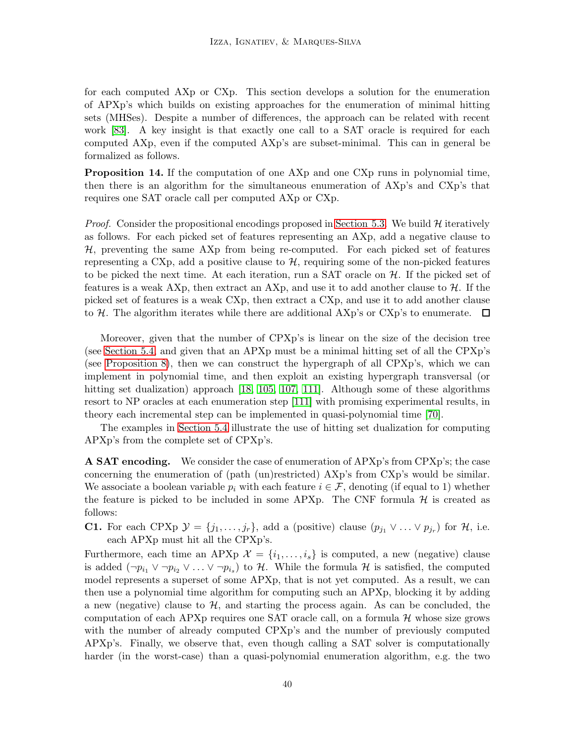for each computed AXp or CXp. This section develops a solution for the enumeration of APXp's which builds on existing approaches for the enumeration of minimal hitting sets (MHSes). Despite a number of differences, the approach can be related with recent work [\[83\]](#page-52-5). A key insight is that exactly one call to a SAT oracle is required for each computed AXp, even if the computed AXp's are subset-minimal. This can in general be formalized as follows.

<span id="page-39-1"></span>Proposition 14. If the computation of one AXp and one CXp runs in polynomial time, then there is an algorithm for the simultaneous enumeration of AXp's and CXp's that requires one SAT oracle call per computed AXp or CXp.

*Proof.* Consider the propositional encodings proposed in [Section 5.3.](#page-33-0) We build  $H$  iteratively as follows. For each picked set of features representing an AXp, add a negative clause to H, preventing the same AXp from being re-computed. For each picked set of features representing a CXp, add a positive clause to  $H$ , requiring some of the non-picked features to be picked the next time. At each iteration, run a SAT oracle on  $H$ . If the picked set of features is a weak AXp, then extract an AXp, and use it to add another clause to  $\mathcal{H}$ . If the picked set of features is a weak CXp, then extract a CXp, and use it to add another clause to H. The algorithm iterates while there are additional AXp's or CXp's to enumerate.  $\Box$ 

Moreover, given that the number of CPXp's is linear on the size of the decision tree (see [Section 5.4,](#page-37-0) and given that an APXp must be a minimal hitting set of all the CPXp's (see [Proposition 8\)](#page-24-0), then we can construct the hypergraph of all CPXp's, which we can implement in polynomial time, and then exploit an existing hypergraph transversal (or hitting set dualization) approach [\[18,](#page-48-12) [105,](#page-53-11) [107,](#page-53-12) [111\]](#page-54-14). Although some of these algorithms resort to NP oracles at each enumeration step [\[111\]](#page-54-14) with promising experimental results, in theory each incremental step can be implemented in quasi-polynomial time [\[70\]](#page-51-13).

The examples in [Section 5.4](#page-37-0) illustrate the use of hitting set dualization for computing APXp's from the complete set of CPXp's.

A SAT encoding. We consider the case of enumeration of APXp's from CPXp's; the case concerning the enumeration of (path (un)restricted) AXp's from CXp's would be similar. We associate a boolean variable  $p_i$  with each feature  $i \in \mathcal{F}$ , denoting (if equal to 1) whether the feature is picked to be included in some APXp. The CNF formula  $H$  is created as follows:

<span id="page-39-0"></span>**C1.** For each CPXp  $\mathcal{Y} = \{j_1, \ldots, j_r\}$ , add a (positive) clause  $(p_{j_1} \vee \ldots \vee p_{j_r})$  for  $\mathcal{H}$ , i.e. each APXp must hit all the CPXp's.

Furthermore, each time an APXp  $\mathcal{X} = \{i_1, \ldots, i_s\}$  is computed, a new (negative) clause is added  $(\neg p_{i_1} \lor \neg p_{i_2} \lor \dots \lor \neg p_{i_s})$  to H. While the formula H is satisfied, the computed model represents a superset of some APXp, that is not yet computed. As a result, we can then use a polynomial time algorithm for computing such an APXp, blocking it by adding a new (negative) clause to  $H$ , and starting the process again. As can be concluded, the computation of each APXp requires one SAT oracle call, on a formula  $H$  whose size grows with the number of already computed CPXp's and the number of previously computed APXp's. Finally, we observe that, even though calling a SAT solver is computationally harder (in the worst-case) than a quasi-polynomial enumeration algorithm, e.g. the two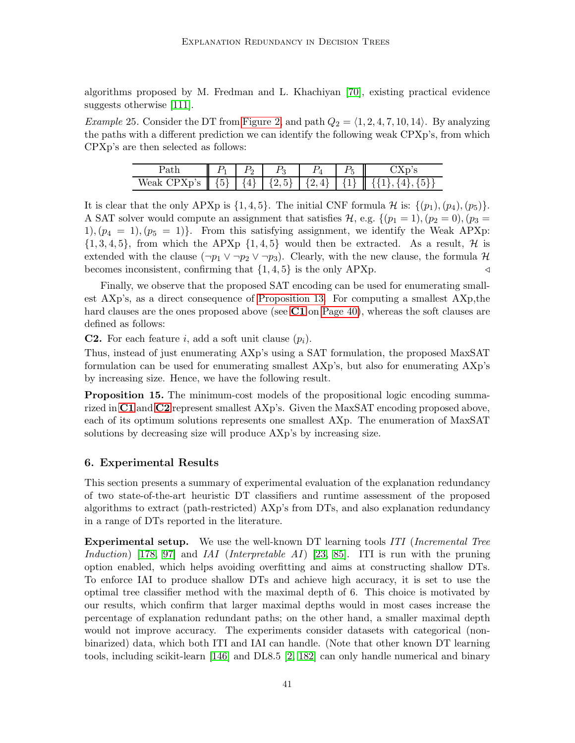algorithms proposed by M. Fredman and L. Khachiyan [\[70\]](#page-51-13), existing practical evidence suggests otherwise [\[111\]](#page-54-14).

*Example* 25. Consider the DT from [Figure 2,](#page-11-1) and path  $Q_2 = \langle 1, 2, 4, 7, 10, 14 \rangle$ . By analyzing the paths with a different prediction we can identify the following weak CPXp's, from which CPXp's are then selected as follows:

| atu                                                       |          |          |    |  |
|-----------------------------------------------------------|----------|----------|----|--|
| Weak<br>$x_{\mathbf{n}'}$<br>. پ س<br>$\sim$<br>23 P<br>◡ | (5)<br>◡ | <b>←</b> | 4! |  |

It is clear that the only APXp is  $\{1, 4, 5\}$ . The initial CNF formula H is:  $\{(p_1), (p_4), (p_5)\}.$ A SAT solver would compute an assignment that satisfies  $\mathcal{H}$ , e.g.  $\{(p_1 = 1), (p_2 = 0), (p_3 = 1)\}$ 1),  $(p_4 = 1)$ ,  $(p_5 = 1)$ . From this satisfying assignment, we identify the Weak APXp:  $\{1,3,4,5\}$ , from which the APXp  $\{1,4,5\}$  would then be extracted. As a result, H is extended with the clause  $(\neg p_1 \lor \neg p_2 \lor \neg p_3)$ . Clearly, with the new clause, the formula H becomes inconsistent, confirming that  ${1, 4, 5}$  is the only APXp.  $\triangleleft$ 

Finally, we observe that the proposed SAT encoding can be used for enumerating smallest AXp's, as a direct consequence of [Proposition 13.](#page-38-1) For computing a smallest AXp,the hard clauses are the ones proposed above (see [C1](#page-39-0) on [Page 40\)](#page-39-1), whereas the soft clauses are defined as follows:

<span id="page-40-1"></span>**C2.** For each feature i, add a soft unit clause  $(p_i)$ .

Thus, instead of just enumerating AXp's using a SAT formulation, the proposed MaxSAT formulation can be used for enumerating smallest AXp's, but also for enumerating AXp's by increasing size. Hence, we have the following result.

**Proposition 15.** The minimum-cost models of the propositional logic encoding summarized in  $C1$  and  $C2$  represent smallest  $\mathbf{A} \mathbf{X} \mathbf{p}$ 's. Given the MaxSAT encoding proposed above, each of its optimum solutions represents one smallest AXp. The enumeration of MaxSAT solutions by decreasing size will produce AXp's by increasing size.

# <span id="page-40-0"></span>6. Experimental Results

This section presents a summary of experimental evaluation of the explanation redundancy of two state-of-the-art heuristic DT classifiers and runtime assessment of the proposed algorithms to extract (path-restricted) AXp's from DTs, and also explanation redundancy in a range of DTs reported in the literature.

**Experimental setup.** We use the well-known DT learning tools ITI (Incremental Tree Induction) [\[178,](#page-58-7) [97\]](#page-53-13) and IAI (Interpretable AI) [\[23,](#page-48-8) [85\]](#page-52-6). ITI is run with the pruning option enabled, which helps avoiding overfitting and aims at constructing shallow DTs. To enforce IAI to produce shallow DTs and achieve high accuracy, it is set to use the optimal tree classifier method with the maximal depth of 6. This choice is motivated by our results, which confirm that larger maximal depths would in most cases increase the percentage of explanation redundant paths; on the other hand, a smaller maximal depth would not improve accuracy. The experiments consider datasets with categorical (nonbinarized) data, which both ITI and IAI can handle. (Note that other known DT learning tools, including scikit-learn [\[146\]](#page-56-12) and DL8.5 [\[2,](#page-47-3) [182\]](#page-58-6) can only handle numerical and binary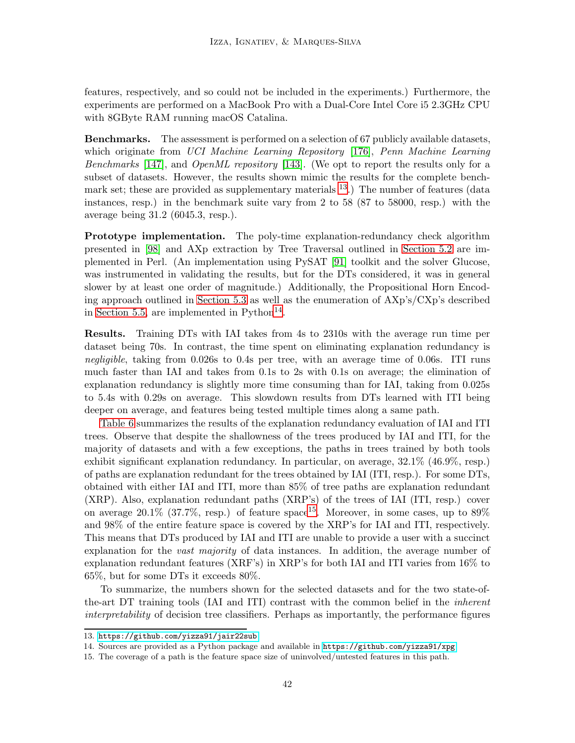features, respectively, and so could not be included in the experiments.) Furthermore, the experiments are performed on a MacBook Pro with a Dual-Core Intel Core i5 2.3GHz CPU with 8GByte RAM running macOS Catalina.

Benchmarks. The assessment is performed on a selection of 67 publicly available datasets, which originate from UCI Machine Learning Repository [\[176\]](#page-58-14), Penn Machine Learning Benchmarks [\[147\]](#page-56-13), and OpenML repository [\[143\]](#page-56-14). (We opt to report the results only for a subset of datasets. However, the results shown mimic the results for the complete benchmark set; these are provided as supplementary materials  $^{13}$  $^{13}$  $^{13}$ .) The number of features (data instances, resp.) in the benchmark suite vary from 2 to 58 (87 to 58000, resp.) with the average being 31.2 (6045.3, resp.).

Prototype implementation. The poly-time explanation-redundancy check algorithm presented in [\[98\]](#page-53-2) and AXp extraction by Tree Traversal outlined in [Section 5.2](#page-32-0) are implemented in Perl. (An implementation using PySAT [\[91\]](#page-52-16) toolkit and the solver Glucose, was instrumented in validating the results, but for the DTs considered, it was in general slower by at least one order of magnitude.) Additionally, the Propositional Horn Encoding approach outlined in [Section 5.3](#page-33-0) as well as the enumeration of AXp's/CXp's described in [Section 5.5,](#page-38-0) are implemented in  $Python<sup>14</sup>$  $Python<sup>14</sup>$  $Python<sup>14</sup>$ .

Results. Training DTs with IAI takes from 4s to 2310s with the average run time per dataset being 70s. In contrast, the time spent on eliminating explanation redundancy is negligible, taking from 0.026s to 0.4s per tree, with an average time of 0.06s. ITI runs much faster than IAI and takes from 0.1s to 2s with 0.1s on average; the elimination of explanation redundancy is slightly more time consuming than for IAI, taking from 0.025s to 5.4s with 0.29s on average. This slowdown results from DTs learned with ITI being deeper on average, and features being tested multiple times along a same path.

[Table 6](#page-42-0) summarizes the results of the explanation redundancy evaluation of IAI and ITI trees. Observe that despite the shallowness of the trees produced by IAI and ITI, for the majority of datasets and with a few exceptions, the paths in trees trained by both tools exhibit significant explanation redundancy. In particular, on average, 32.1% (46.9%, resp.) of paths are explanation redundant for the trees obtained by IAI (ITI, resp.). For some DTs, obtained with either IAI and ITI, more than 85% of tree paths are explanation redundant (XRP). Also, explanation redundant paths (XRP's) of the trees of IAI (ITI, resp.) cover on average 20.1% (37.7%, resp.) of feature space<sup>[15](#page-41-2)</sup>. Moreover, in some cases, up to  $89\%$ and 98% of the entire feature space is covered by the XRP's for IAI and ITI, respectively. This means that DTs produced by IAI and ITI are unable to provide a user with a succinct explanation for the *vast majority* of data instances. In addition, the average number of explanation redundant features (XRF's) in XRP's for both IAI and ITI varies from 16% to 65%, but for some DTs it exceeds 80%.

To summarize, the numbers shown for the selected datasets and for the two state-ofthe-art DT training tools (IAI and ITI) contrast with the common belief in the inherent interpretability of decision tree classifiers. Perhaps as importantly, the performance figures

<sup>13.</sup> <https://github.com/yizza91/jair22sub>

<span id="page-41-0"></span><sup>14.</sup> Sources are provided as a Python package and available in <https://github.com/yizza91/xpg>

<span id="page-41-2"></span><span id="page-41-1"></span><sup>15.</sup> The coverage of a path is the feature space size of uninvolved/untested features in this path.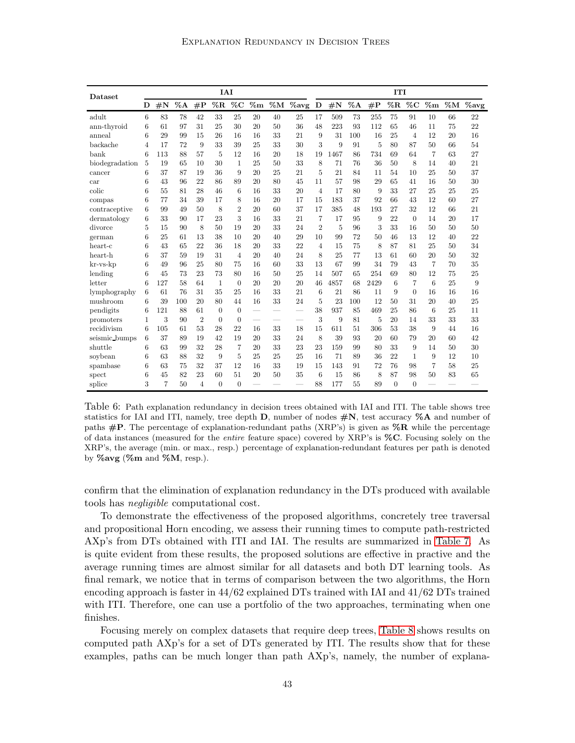<span id="page-42-0"></span>

| Dataset            | <b>IAI</b> |                |     |                |                |                |                          |                          |                                    |                | <b>ITI</b>         |        |      |                |                |                |              |          |
|--------------------|------------|----------------|-----|----------------|----------------|----------------|--------------------------|--------------------------|------------------------------------|----------------|--------------------|--------|------|----------------|----------------|----------------|--------------|----------|
|                    | D          | $\#\mathbf{N}$ |     | $%A$ #P        | $\%{\bf R}$    | $\%C$          |                          |                          | $\% {\rm m}$ %M $\% {\rm avg}\;$ D |                | $\#\textnormal{N}$ | $\%$ A | #P   | $\%\mathbf{R}$ | $\%C$          | $\%$ m         | $\% {\bf M}$ | $\%$ avg |
| adult              | 6          | 83             | 78  | 42             | 33             | 25             | 20                       | 40                       | 25                                 | 17             | 509                | 73     | 255  | 75             | 91             | 10             | 66           | 22       |
| ann-thyroid        | 6          | 61             | 97  | 31             | 25             | 30             | 20                       | 50                       | 36                                 | 48             | 223                | 93     | 112  | 65             | 46             | 11             | 75           | 22       |
| anneal             | 6          | 29             | 99  | 15             | 26             | 16             | 16                       | 33                       | 21                                 | 9              | 31                 | 100    | 16   | 25             | $\overline{4}$ | 12             | 20           | 16       |
| backache           | 4          | 17             | 72  | 9              | 33             | 39             | 25                       | 33                       | 30                                 | 3              | 9                  | 91     | 5    | 80             | 87             | 50             | 66           | 54       |
| bank               | 6          | 113            | 88  | 57             | 5              | 12             | 16                       | 20                       | 18                                 | 19             | 1467               | 86     | 734  | 69             | 64             | $\overline{7}$ | 63           | 27       |
| biodegradation     | 5          | 19             | 65  | 10             | 30             | $\mathbf{1}$   | 25                       | 50                       | 33                                 | 8              | 71                 | 76     | 36   | 50             | 8              | 14             | 40           | 21       |
| cancer             | 6          | 37             | 87  | 19             | 36             | 9              | 20                       | 25                       | 21                                 | 5              | 21                 | 84     | 11   | 54             | 10             | 25             | 50           | 37       |
| car                | 6          | 43             | 96  | 22             | 86             | 89             | 20                       | 80                       | 45                                 | 11             | 57                 | 98     | 29   | 65             | 41             | 16             | 50           | 30       |
| colic              | 6          | 55             | 81  | 28             | 46             | 6              | 16                       | 33                       | 20                                 | $\overline{4}$ | 17                 | 80     | 9    | 33             | 27             | 25             | 25           | 25       |
| compas             | 6          | 77             | 34  | 39             | 17             | 8              | 16                       | 20                       | 17                                 | 15             | 183                | 37     | 92   | 66             | 43             | 12             | 60           | 27       |
| contraceptive      | 6          | 99             | 49  | 50             | 8              | $\overline{2}$ | 20                       | 60                       | 37                                 | 17             | 385                | 48     | 193  | 27             | 32             | 12             | 66           | 21       |
| dermatology        | 6          | 33             | 90  | 17             | 23             | 3              | 16                       | 33                       | 21                                 | $\overline{7}$ | 17                 | 95     | 9    | 22             | $\theta$       | 14             | 20           | 17       |
| divorce            | 5          | 15             | 90  | 8              | 50             | 19             | 20                       | 33                       | 24                                 | $\overline{2}$ | 5                  | 96     | 3    | 33             | 16             | 50             | 50           | 50       |
| german             | 6          | 25             | 61  | 13             | 38             | 10             | 20                       | 40                       | 29                                 | 10             | 99                 | 72     | 50   | 46             | 13             | 12             | 40           | 22       |
| heart-c            | 6          | 43             | 65  | 22             | 36             | 18             | 20                       | 33                       | 22                                 | $\overline{4}$ | 15                 | 75     | 8    | 87             | 81             | 25             | 50           | 34       |
| heart-h            | 6          | 37             | 59  | 19             | 31             | $\overline{4}$ | 20                       | 40                       | 24                                 | 8              | 25                 | 77     | 13   | 61             | 60             | 20             | 50           | 32       |
| $kr$ -v $s$ - $kp$ | 6          | 49             | 96  | 25             | 80             | 75             | 16                       | 60                       | 33                                 | 13             | 67                 | 99     | 34   | 79             | 43             | 7              | 70           | 35       |
| lending            | 6          | 45             | 73  | 23             | 73             | 80             | 16                       | 50                       | 25                                 | 14             | 507                | 65     | 254  | 69             | 80             | 12             | 75           | 25       |
| letter             | 6          | 127            | 58  | 64             | 1              | $\theta$       | 20                       | 20                       | 20                                 | 46             | 4857               | 68     | 2429 | 6              | 7              | 6              | 25           | 9        |
| lymphography       | 6          | 61             | 76  | 31             | 35             | 25             | 16                       | 33                       | 21                                 | 6              | 21                 | 86     | 11   | 9              | $\theta$       | 16             | 16           | 16       |
| mushroom           | 6          | 39             | 100 | 20             | 80             | 44             | 16                       | 33                       | 24                                 | 5              | 23                 | 100    | 12   | 50             | 31             | 20             | 40           | 25       |
| pendigits          | 6          | 121            | 88  | 61             | $\overline{0}$ | $\theta$       | $\overline{\phantom{0}}$ | $\sim$                   | $\overline{\phantom{0}}$           | 38             | 937                | 85     | 469  | 25             | 86             | 6              | 25           | 11       |
| promoters          | 1          | 3              | 90  | $\overline{2}$ | $\theta$       | $\theta$       | $\overline{\phantom{0}}$ | $\overline{\phantom{0}}$ | $\overline{\phantom{0}}$           | 3              | 9                  | 81     | 5    | 20             | 14             | 33             | 33           | 33       |
| recidivism         | 6          | 105            | 61  | 53             | 28             | 22             | 16                       | 33                       | 18                                 | 15             | 611                | 51     | 306  | 53             | 38             | 9              | 44           | 16       |
| seismic bumps      | 6          | 37             | 89  | 19             | 42             | 19             | 20                       | 33                       | 24                                 | 8              | 39                 | 93     | 20   | 60             | 79             | 20             | 60           | 42       |
| shuttle            | 6          | 63             | 99  | 32             | 28             | $\overline{7}$ | 20                       | 33                       | 23                                 | 23             | 159                | 99     | 80   | 33             | 9              | 14             | 50           | 30       |
| soybean            | 6          | 63             | 88  | 32             | 9              | 5              | 25                       | 25                       | 25                                 | 16             | 71                 | 89     | 36   | 22             | 1              | 9              | 12           | 10       |
| spambase           | 6          | 63             | 75  | 32             | 37             | 12             | 16                       | 33                       | 19                                 | 15             | 143                | 91     | 72   | 76             | 98             | 7              | 58           | 25       |
| spect              | 6          | 45             | 82  | 23             | 60             | 51             | 20                       | 50                       | 35                                 | 6              | 15                 | 86     | 8    | 87             | 98             | 50             | 83           | 65       |
| splice             | 3          | 7              | 50  | $\overline{4}$ | $\theta$       | $\overline{0}$ |                          |                          |                                    | 88             | 177                | 55     | 89   | $\theta$       | $\theta$       |                |              |          |

Table 6: Path explanation redundancy in decision trees obtained with IAI and ITI. The table shows tree statistics for IAI and ITI, namely, tree depth  $D$ , number of nodes  $\#\mathbb{N}$ , test accuracy  $\%$ A and number of paths  $\#P$ . The percentage of explanation-redundant paths (XRP's) is given as  $\%R$  while the percentage of data instances (measured for the *entire* feature space) covered by XRP's is  $\%C$ . Focusing solely on the XRP's, the average (min. or max., resp.) percentage of explanation-redundant features per path is denoted by  $\%$ avg ( $\%$ m and  $\%$ M, resp.).

confirm that the elimination of explanation redundancy in the DTs produced with available tools has negligible computational cost.

To demonstrate the effectiveness of the proposed algorithms, concretely tree traversal and propositional Horn encoding, we assess their running times to compute path-restricted AXp's from DTs obtained with ITI and IAI. The results are summarized in [Table 7.](#page-43-1) As is quite evident from these results, the proposed solutions are effective in practive and the average running times are almost similar for all datasets and both DT learning tools. As final remark, we notice that in terms of comparison between the two algorithms, the Horn encoding approach is faster in 44/62 explained DTs trained with IAI and 41/62 DTs trained with ITI. Therefore, one can use a portfolio of the two approaches, terminating when one finishes.

Focusing merely on complex datasets that require deep trees, [Table 8](#page-44-0) shows results on computed path AXp's for a set of DTs generated by ITI. The results show that for these examples, paths can be much longer than path AXp's, namely, the number of explana-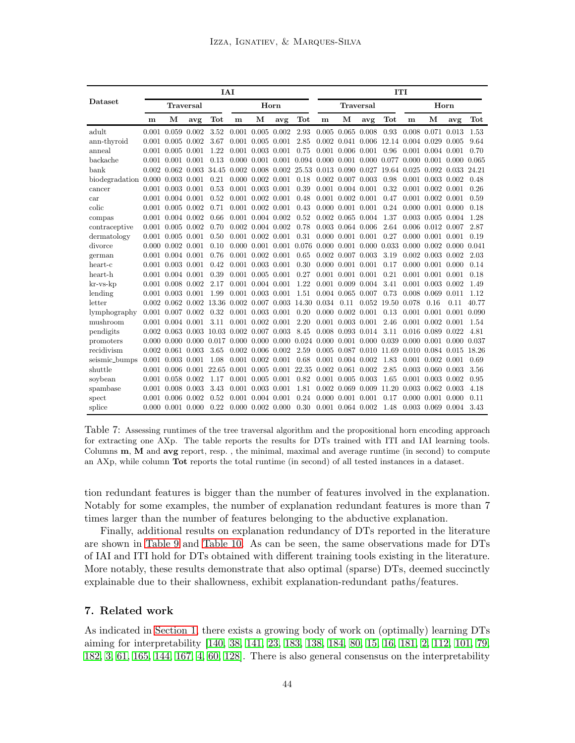<span id="page-43-1"></span>

|                                        |       |                         |                  |       | <b>IAI</b>  |                                 |               |       |                                                       |                         |                  |                   | <b>TTI</b>                                              |                         |       |       |
|----------------------------------------|-------|-------------------------|------------------|-------|-------------|---------------------------------|---------------|-------|-------------------------------------------------------|-------------------------|------------------|-------------------|---------------------------------------------------------|-------------------------|-------|-------|
| Dataset                                |       |                         | <b>Traversal</b> |       |             |                                 | Horn          |       |                                                       |                         | <b>Traversal</b> |                   |                                                         |                         | Horn  |       |
|                                        | m     | М                       | avg              | Tot   | $\mathbf m$ | М                               | avg           | Tot   | m                                                     | М                       | avg              | Tot               | m                                                       | М                       | avg   | Tot   |
| adult                                  | 0.001 | 0.059                   | 0.002            | 3.52  | 0.001       | $0.005$ $0.002$                 |               | 2.93  |                                                       | $0.005$ $0.065$ $0.008$ |                  | 0.93              | 0.008 0.071                                             |                         | 0.013 | 1.53  |
| ann-thyroid                            | 0.001 | 0.005                   | 0.002            | 3.67  | 0.001       | $0.005$ $0.001$                 |               | 2.85  | 0.002                                                 |                         |                  |                   | 0.041 0.006 12.14 0.004 0.029                           |                         | 0.005 | 9.64  |
| anneal                                 | 0.001 | $0.005$ $0.001$         |                  | 1.22  | 0.001       | 0.003                           | 0.001         | 0.75  |                                                       | $0.001$ $0.006$ $0.001$ |                  | 0.96              |                                                         | 0.001 0.004 0.001       |       | 0.70  |
| backache                               | 0.001 | 0.001                   | 0.001            | 0.13  | 0.000       | 0.001                           | 0.001         |       | 0.094 0.000 0.001 0.000 0.077                         |                         |                  |                   |                                                         | $0.000 \quad 0.001$     | 0.000 | 0.065 |
| bank                                   | 0.002 | 0.062                   | 0.003            | 34.45 | 0.002       |                                 |               |       | 0.008 0.002 25.53 0.013 0.090 0.027 19.64 0.025 0.092 |                         |                  |                   |                                                         |                         | 0.033 | 24.21 |
| biodegradation $0.000$ $0.003$ $0.001$ |       |                         |                  | 0.21  |             | $0.000$ $0.002$ $0.001$         |               | 0.18  |                                                       | $0.002$ $0.007$ $0.003$ |                  | 0.98              |                                                         | $0.001$ $0.003$ $0.002$ |       | 0.48  |
| cancer                                 | 0.001 | $0.003$ $0.001$         |                  | 0.53  | 0.001       | $0.003$ $0.001$                 |               | 0.39  |                                                       | $0.001$ $0.004$ $0.001$ |                  | 0.32              |                                                         | $0.001$ $0.002$ $0.001$ |       | 0.26  |
| car                                    |       | $0.001$ $0.004$ $0.001$ |                  | 0.52  | 0.001       | $0.002$ $0.001$                 |               | 0.48  |                                                       | $0.001$ $0.002$ $0.001$ |                  | 0.47              |                                                         | $0.001$ $0.002$         | 0.001 | 0.59  |
| colic                                  |       | $0.001$ $0.005$ $0.002$ |                  | 0.71  |             | $0.001$ $0.002$ $0.001$         |               | 0.43  |                                                       | $0.000$ $0.001$ $0.001$ |                  | 0.24              |                                                         | $0.000\ 0.001$          | 0.000 | 0.18  |
| compas                                 | 0.001 | $0.004$ $0.002$         |                  | 0.66  | 0.001       | $0.004$ $0.002$                 |               | 0.52  | 0.002                                                 | 0.065 0.004             |                  | 1.37              |                                                         | $0.003$ $0.005$         | 0.004 | 1.28  |
| contraceptive                          | 0.001 | $0.005$ $0.002$         |                  | 0.70  | 0.002       | 0.004 0.002                     |               | 0.78  |                                                       | $0.003$ $0.064$ $0.006$ |                  | 2.64              |                                                         | $0.006$ $0.012$         | 0.007 | 2.87  |
| dermatology                            | 0.001 | $0.005$ $0.001$         |                  | 0.50  | 0.001       | $0.002$ $0.001$                 |               | 0.31  |                                                       | 0.000 0.001 0.001       |                  | 0.27              |                                                         | $0.000 \quad 0.001$     | 0.001 | 0.19  |
| divorce                                | 0.000 | $0.002$ $0.001$         |                  | 0.10  | 0.000       | 0.001                           | 0.001         | 0.076 |                                                       |                         |                  |                   | $0.000$ $0.001$ $0.000$ $0.033$ $0.000$ $0.002$ $0.000$ |                         |       | 0.041 |
| german                                 | 0.001 | $0.004$ $0.001$         |                  | 0.76  | 0.001       | 0.002                           | 0.001         | 0.65  | 0.002                                                 | $0.007$ $0.003$         |                  | 3.19              |                                                         | $0.002$ $0.003$         | 0.002 | 2.03  |
| heart-c                                | 0.001 | 0.003 0.001             |                  | 0.42  | 0.001       | $0.003$ $0.001$                 |               | 0.30  |                                                       | $0.000$ $0.001$ $0.001$ |                  | 0.17              |                                                         | $0.000\ 0.001$          | 0.000 | 0.14  |
| heart-h                                | 0.001 | $0.004$ $0.001$         |                  | 0.39  | 0.001       | $0.005$ $0.001$                 |               | 0.27  |                                                       | $0.001$ $0.001$ $0.001$ |                  | 0.21              |                                                         | $0.001$ $0.001$         | 0.001 | 0.18  |
| $kr$ -v $s$ - $kp$                     | 0.001 | $0.008$ $0.002$         |                  | 2.17  | 0.001       | $0.004$ $0.001$                 |               | 1.22  |                                                       | $0.001$ $0.009$         | 0.004            | 3.41              |                                                         | $0.001$ $0.003$         | 0.002 | 1.49  |
| lending                                | 0.001 | $0.003$ $0.001$         |                  | 1.99  |             | $0.001$ $0.003$ $0.001$         |               | 1.51  |                                                       | 0.004 0.065 0.007       |                  | 0.73              |                                                         | $0.008$ $0.069$         | 0.011 | 1.12  |
| letter                                 |       | $0.002$ $0.062$ $0.002$ |                  | 13.36 |             | $0.002$ $0.007$ $0.003$ $14.30$ |               |       | 0.034                                                 | 0.11                    |                  | 0.052 19.50 0.078 |                                                         | 0.16                    | 0.11  | 40.77 |
| lymphography                           | 0.001 | $0.007$ $0.002$         |                  | 0.32  |             | $0.001$ $0.003$ $0.001$         |               | 0.20  |                                                       | $0.000$ $0.002$ $0.001$ |                  | 0.13              | 0.001                                                   | 0.001                   | 0.001 | 0.090 |
| mushroom                               | 0.001 | $0.004$ $0.001$         |                  | 3.11  |             | $0.001$ $0.002$ $0.001$         |               | 2.20  |                                                       | $0.001$ $0.003$ $0.001$ |                  | 2.46              |                                                         | $0.001$ $0.002$         | 0.001 | 1.54  |
| pendigits                              |       | $0.002$ $0.063$ $0.003$ |                  | 10.03 |             | $0.002$ $0.007$ $0.003$         |               | 8.45  | 0.008                                                 | 0.093 0.014             |                  | 3.11              |                                                         | $0.016$ $0.089$         | 0.022 | 4.81  |
| promoters                              | 0.000 | 0.000                   | 0.000            | 0.017 | 0.000       | 0.000                           | 0.000         |       | $0.024$ $0.000$                                       |                         |                  |                   | $0.001$ $0.000$ $0.039$ $0.000$ $0.001$                 |                         | 0.000 | 0.037 |
| recidivism                             | 0.002 | 0.061                   | 0.003            | 3.65  | 0.002       | $0.006$ $0.002$                 |               | 2.59  | 0.005                                                 |                         |                  |                   | 0.087 0.010 11.69 0.010 0.084 0.015 18.26               |                         |       |       |
| seismic_bumps                          | 0.001 | $0.003$ $0.001$         |                  | 1.08  |             | $0.001$ $0.002$ $0.001$         |               | 0.68  |                                                       | $0.001$ $0.004$ $0.002$ |                  | 1.83              |                                                         | $0.001$ $0.002$ $0.001$ |       | 0.69  |
| shuttle                                | 0.001 | 0.006                   | 0.001            | 22.65 | 0.001       |                                 | $0.005$ 0.001 | 22.35 |                                                       | $0.002$ $0.061$ $0.002$ |                  | 2.85              |                                                         | $0.003$ 0.060           | 0.003 | 3.56  |
| soybean                                |       | 0.001 0.058 0.002       |                  | 1.17  |             | $0.001$ $0.005$ $0.001$         |               | 0.82  |                                                       | $0.001$ $0.005$ $0.003$ |                  | 1.65              |                                                         | $0.001$ $0.003$         | 0.002 | 0.95  |
| spambase                               | 0.001 |                         | $0.008$ $0.003$  | 3.43  | 0.001       | $0.003$ $0.001$                 |               | 1.81  |                                                       | $0.002$ $0.069$ $0.009$ |                  |                   | 11.20 0.003 0.062 0.003                                 |                         |       | 4.18  |
| spect                                  | 0.001 |                         | 0.006 0.002      | 0.52  | 0.001       | $0.004$ $0.001$                 |               | 0.24  |                                                       | $0.000$ $0.001$ $0.001$ |                  | 0.17              |                                                         | $0.000\ 0.001$          | 0.000 | 0.11  |
| splice                                 |       | $0.000$ $0.001$ $0.000$ |                  | 0.22  |             | $0.000$ $0.002$ $0.000$         |               | 0.30  |                                                       | $0.001$ $0.064$ $0.002$ |                  | 1.48              |                                                         | $0.003$ $0.069$ $0.004$ |       | 3.43  |

Table 7: Assessing runtimes of the tree traversal algorithm and the propositional horn encoding approach for extracting one AXp. The table reports the results for DTs trained with ITI and IAI learning tools. Columns m, M and avg report, resp. , the minimal, maximal and average runtime (in second) to compute an AXp, while column **Tot** reports the total runtime (in second) of all tested instances in a dataset.

tion redundant features is bigger than the number of features involved in the explanation. Notably for some examples, the number of explanation redundant features is more than 7 times larger than the number of features belonging to the abductive explanation.

Finally, additional results on explanation redundancy of DTs reported in the literature are shown in [Table 9](#page-45-0) and [Table 10.](#page-45-1) As can be seen, the same observations made for DTs of IAI and ITI hold for DTs obtained with different training tools existing in the literature. More notably, these results demonstrate that also optimal (sparse) DTs, deemed succinctly explainable due to their shallowness, exhibit explanation-redundant paths/features.

## <span id="page-43-0"></span>7. Related work

As indicated in [Section 1,](#page-2-0) there exists a growing body of work on (optimally) learning DTs aiming for interpretability [\[140,](#page-55-3) [38,](#page-49-7) [141,](#page-55-4) [23,](#page-48-8) [183,](#page-58-3) [138,](#page-55-5) [184,](#page-58-4) [80,](#page-52-0) [15,](#page-47-1) [16,](#page-47-2) [181,](#page-58-5) [2,](#page-47-3) [112,](#page-54-1) [101,](#page-53-1) [79,](#page-52-1) [182,](#page-58-6) [3,](#page-47-4) [61,](#page-50-2) [165,](#page-57-2) [144,](#page-56-2) [167,](#page-57-3) [4,](#page-47-5) [60,](#page-50-3) [128\]](#page-55-6). There is also general consensus on the interpretability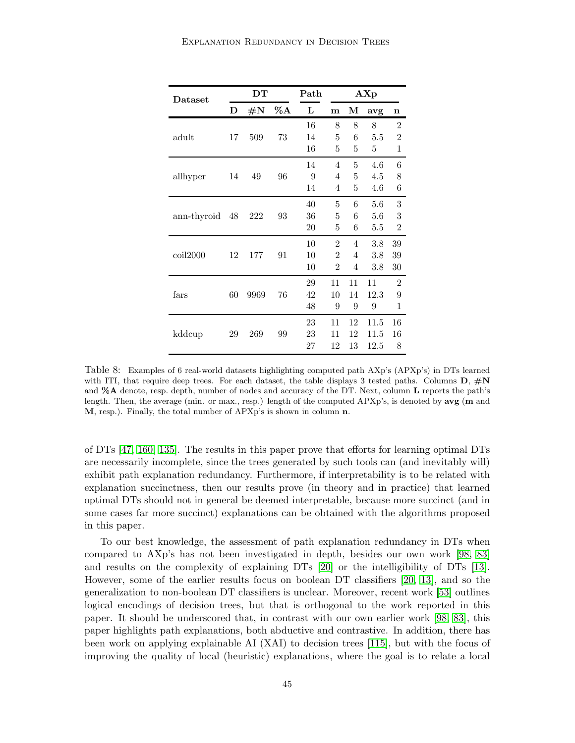<span id="page-44-0"></span>

| Dataset     |    | DТ             |        | Path |                | AXp            |      |                |  |  |
|-------------|----|----------------|--------|------|----------------|----------------|------|----------------|--|--|
|             | D  | $\#\mathrm{N}$ | $\%$ A | L    | $\mathbf{m}$   | М              | avg  | $\mathbf n$    |  |  |
|             |    |                |        | 16   | 8              | 8              | 8    | $\overline{2}$ |  |  |
| adult       | 17 | 509            | 73     | 14   | 5              | 6              | 5.5  | $\overline{2}$ |  |  |
|             |    |                |        | 16   | 5              | 5              | 5    | 1              |  |  |
|             |    |                |        | 14   | $\overline{4}$ | 5              | 4.6  | 6              |  |  |
| allhyper    | 14 | 49             | 96     | 9    | 4              | 5              | 4.5  | 8              |  |  |
|             |    |                |        | 14   | 4              | 5              | 4.6  | 6              |  |  |
|             |    |                |        | 40   | 5              | 6              | 5.6  | 3              |  |  |
| ann-thyroid | 48 | 222            | 93     | 36   | 5              | 6              | 5.6  | 3              |  |  |
|             |    |                |        | 20   | 5              | 6              | 5.5  | $\overline{2}$ |  |  |
|             |    |                |        | 10   | $\overline{2}$ | 4              | 3.8  | 39             |  |  |
| $\coil2000$ | 12 | 177            | 91     | 10   | $\overline{2}$ | $\overline{4}$ | 3.8  | 39             |  |  |
|             |    |                |        | 10   | $\overline{2}$ | 4              | 3.8  | 30             |  |  |
|             |    |                |        | 29   | 11             | 11             | 11   | $\overline{2}$ |  |  |
| fars        | 60 | 9969           | 76     | 42   | 10             | 14             | 12.3 | 9              |  |  |
|             |    |                |        | 48   | 9              | 9              | 9    | 1              |  |  |
|             |    |                |        | 23   | 11             | 12             | 11.5 | 16             |  |  |
| kddcup      | 29 | 269            | 99     | 23   | 11             | 12             | 11.5 | 16             |  |  |
|             |    |                |        | 27   | 12             | 13             | 12.5 | 8              |  |  |

Table 8: Examples of 6 real-world datasets highlighting computed path AXp's (APXp's) in DTs learned with ITI, that require deep trees. For each dataset, the table displays 3 tested paths. Columns  $D, \#N$ and %A denote, resp. depth, number of nodes and accuracy of the DT. Next, column L reports the path's length. Then, the average (min. or max., resp.) length of the computed APXp's, is denoted by avg (m and M, resp.). Finally, the total number of APXp's is shown in column n.

of DTs [\[47,](#page-50-0) [160,](#page-57-0) [135\]](#page-55-1). The results in this paper prove that efforts for learning optimal DTs are necessarily incomplete, since the trees generated by such tools can (and inevitably will) exhibit path explanation redundancy. Furthermore, if interpretability is to be related with explanation succinctness, then our results prove (in theory and in practice) that learned optimal DTs should not in general be deemed interpretable, because more succinct (and in some cases far more succinct) explanations can be obtained with the algorithms proposed in this paper.

To our best knowledge, the assessment of path explanation redundancy in DTs when compared to AXp's has not been investigated in depth, besides our own work [\[98,](#page-53-2) [83\]](#page-52-5) and results on the complexity of explaining DTs [\[20\]](#page-48-11) or the intelligibility of DTs [\[13\]](#page-47-11). However, some of the earlier results focus on boolean DT classifiers [\[20,](#page-48-11) [13\]](#page-47-11), and so the generalization to non-boolean DT classifiers is unclear. Moreover, recent work [\[53\]](#page-50-14) outlines logical encodings of decision trees, but that is orthogonal to the work reported in this paper. It should be underscored that, in contrast with our own earlier work [\[98,](#page-53-2) [83\]](#page-52-5), this paper highlights path explanations, both abductive and contrastive. In addition, there has been work on applying explainable AI (XAI) to decision trees [\[115\]](#page-54-0), but with the focus of improving the quality of local (heuristic) explanations, where the goal is to relate a local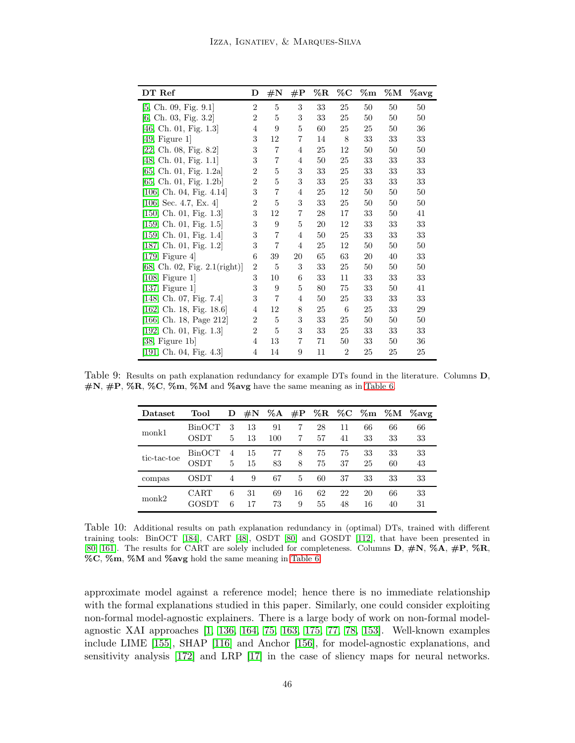<span id="page-45-0"></span>

| DT Ref                           | D              | $\#\mathrm{N}$ | $\rm \#P$      | $\%\mathrm{R}$ | $\%{\rm C}$    | $\% \mathrm{m}$ | $\% {\rm M}$ | $\%$ avg |
|----------------------------------|----------------|----------------|----------------|----------------|----------------|-----------------|--------------|----------|
| [5, Ch. 09, Fig. 9.1]            | $\overline{2}$ | 5              | 3              | 33             | 25             | 50              | 50           | 50       |
| [6, Ch. 03, Fig. 3.2]            | $\overline{2}$ | 5              | 3              | 33             | 25             | 50              | 50           | 50       |
| [46, Ch. 01, Fig. $1.3$ ]        | 4              | 9              | 5              | 60             | 25             | 25              | 50           | 36       |
| [49, Figure 1]                   | 3              | 12             | 7              | 14             | 8              | 33              | 33           | 33       |
| [22, Ch. 08, Fig. 8.2]           | 3              | $\overline{7}$ | 4              | 25             | 12             | 50              | 50           | 50       |
| [48, Ch. 01, Fig. 1.1]           | 3              | 7              | $\overline{4}$ | 50             | 25             | 33              | 33           | 33       |
| [65, Ch. 01, Fig. 1.2a]          | $\overline{2}$ | 5              | 3              | 33             | 25             | 33              | 33           | 33       |
| [65, Ch. 01, Fig. $1.2b$ ]       | $\overline{2}$ | 5              | 3              | 33             | 25             | 33              | 33           | 33       |
| [106, Ch. 04, Fig. 4.14]         | 3              | $\overline{7}$ | $\overline{4}$ | 25             | 12             | 50              | 50           | 50       |
| [106, Sec. 4.7, Ex. 4]           | $\overline{2}$ | 5              | 3              | 33             | 25             | 50              | 50           | 50       |
| [150, Ch. 01, Fig. 1.3]          | 3              | 12             | $\overline{7}$ | 28             | 17             | 33              | 50           | 41       |
| [159, Ch. 01, Fig. $1.5$ ]       | 3              | 9              | 5              | 20             | 12             | 33              | 33           | 33       |
| [159, Ch. 01, Fig. 1.4]          | 3              | $\overline{7}$ | $\overline{4}$ | 50             | 25             | 33              | 33           | 33       |
| [187, Ch. 01, Fig. 1.2]          | 3              | 7              | $\overline{4}$ | 25             | 12             | 50              | 50           | 50       |
| [179, Figure 4]                  | 6              | $39\,$         | $20\,$         | 65             | 63             | 20              | 40           | 33       |
| [68, Ch. 02, Fig. $2.1$ (right)] | $\overline{2}$ | 5              | 3              | 33             | 25             | 50              | 50           | 50       |
| [108, Figure 1]                  | 3              | 10             | 6              | 33             | 11             | 33              | 33           | 33       |
| $[137,$ Figure 1]                | 3              | 9              | 5              | 80             | 75             | 33              | 50           | 41       |
| [148, Ch. 07, Fig. 7.4]          | 3              | 7              | 4              | 50             | 25             | 33              | 33           | 33       |
| [162, Ch. 18, Fig. 18.6]         | 4              | 12             | 8              | 25             | 6              | 25              | 33           | 29       |
| [166, Ch. 18, Page 212]          | 2              | 5              | 3              | 33             | 25             | 50              | 50           | 50       |
| [192, Ch. 01, Fig. $1.3$ ]       | $\overline{2}$ | 5              | 3              | 33             | 25             | 33              | 33           | 33       |
| [38, Figure 1b]                  | 4              | 13             | 7              | 71             | 50             | 33              | 50           | 36       |
| [191, Ch. 04, Fig. 4.3]          | 4              | 14             | 9              | 11             | $\overline{2}$ | 25              | 25           | 25       |

<span id="page-45-1"></span>Table 9: Results on path explanation redundancy for example DTs found in the literature. Columns D,  $\#N$ ,  $\#P$ , %R, %C, %m, %M and %avg have the same meaning as in [Table 6.](#page-42-0)

| Dataset     | Tool          | D              | $\#\mathrm{N}$ | $\% A$   | $\#P$   |          | $\%R \quad \%C \quad \%m$ |          | $\% {\bf M}$         | $\%$ avg |
|-------------|---------------|----------------|----------------|----------|---------|----------|---------------------------|----------|----------------------|----------|
| monk1       | BinOCT        | 3              | 13             | 91       |         | 28       | 11                        | 66       | 66                   | 66       |
|             | OSDT          | 5              | 13             | 100      |         | 57       | 41                        | 33       | 33                   | 33       |
|             | <b>BinOCT</b> | $\overline{4}$ | 15             | 77       | 8       | 75       | 75                        | 33       | 33                   | 33       |
| tic-tac-toe | OSDT          | 5              | 15             | 83       | 8       | 75       | 37                        | 25       | 60<br>33<br>66<br>40 | 43       |
| compas      | OSDT          | 4              | 9              | 67       | 5       | 60       | 37                        | 33       |                      | 33       |
| $m$ onk $2$ | CART<br>GOSDT | 6<br>6         | 31<br>17       | 69<br>73 | 16<br>9 | 62<br>55 | 22<br>48                  | 20<br>16 |                      | 33<br>31 |

Table 10: Additional results on path explanation redundancy in (optimal) DTs, trained with different training tools: BinOCT [\[184\]](#page-58-4), CART [\[48\]](#page-50-5), OSDT [\[80\]](#page-52-0) and GOSDT [\[112\]](#page-54-1), that have been presented in [\[80,](#page-52-0) [161\]](#page-57-4). The results for CART are solely included for completeness. Columns D, #N, %A, #P, %R, %C, %m, %M and %avg hold the same meaning in [Table 6.](#page-42-0)

approximate model against a reference model; hence there is no immediate relationship with the formal explanations studied in this paper. Similarly, one could consider exploiting non-formal model-agnostic explainers. There is a large body of work on non-formal modelagnostic XAI approaches [\[1,](#page-47-14) [136,](#page-55-12) [164,](#page-57-10) [75,](#page-51-7) [163,](#page-57-11) [175,](#page-58-10) [77,](#page-52-11) [78,](#page-52-12) [153\]](#page-56-9). Well-known examples include LIME [\[155\]](#page-56-15), SHAP [\[116\]](#page-54-15) and Anchor [\[156\]](#page-56-16), for model-agnostic explanations, and sensitivity analysis [\[172\]](#page-57-14) and LRP [\[17\]](#page-48-13) in the case of sliency maps for neural networks.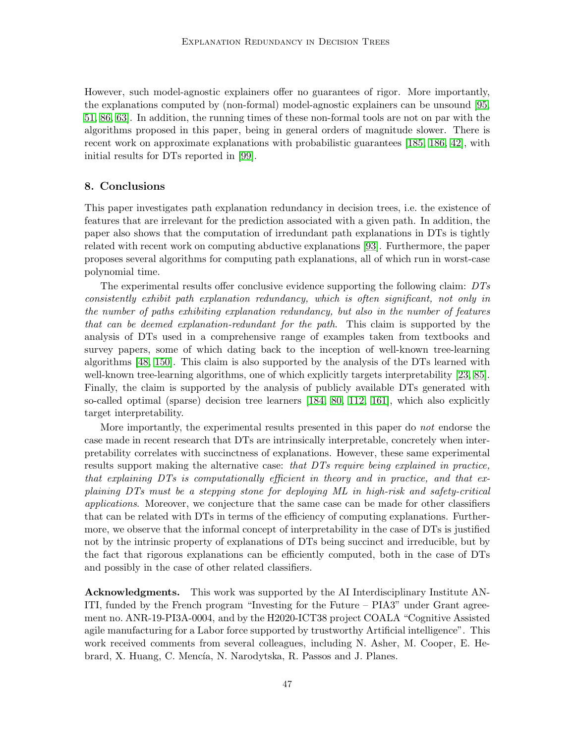However, such model-agnostic explainers offer no guarantees of rigor. More importantly, the explanations computed by (non-formal) model-agnostic explainers can be unsound [\[95,](#page-53-14) [51,](#page-50-15) [86,](#page-52-13) [63\]](#page-51-14). In addition, the running times of these non-formal tools are not on par with the algorithms proposed in this paper, being in general orders of magnitude slower. There is recent work on approximate explanations with probabilistic guarantees [\[185,](#page-58-9) [186,](#page-58-15) [42\]](#page-49-12), with initial results for DTs reported in [\[99\]](#page-53-15).

## <span id="page-46-0"></span>8. Conclusions

This paper investigates path explanation redundancy in decision trees, i.e. the existence of features that are irrelevant for the prediction associated with a given path. In addition, the paper also shows that the computation of irredundant path explanations in DTs is tightly related with recent work on computing abductive explanations [\[93\]](#page-52-3). Furthermore, the paper proposes several algorithms for computing path explanations, all of which run in worst-case polynomial time.

The experimental results offer conclusive evidence supporting the following claim: DTs consistently exhibit path explanation redundancy, which is often significant, not only in the number of paths exhibiting explanation redundancy, but also in the number of features that can be deemed explanation-redundant for the path. This claim is supported by the analysis of DTs used in a comprehensive range of examples taken from textbooks and survey papers, some of which dating back to the inception of well-known tree-learning algorithms [\[48,](#page-50-5) [150\]](#page-56-4). This claim is also supported by the analysis of the DTs learned with well-known tree-learning algorithms, one of which explicitly targets interpretability [\[23,](#page-48-8) [85\]](#page-52-6). Finally, the claim is supported by the analysis of publicly available DTs generated with so-called optimal (sparse) decision tree learners [\[184,](#page-58-4) [80,](#page-52-0) [112,](#page-54-1) [161\]](#page-57-4), which also explicitly target interpretability.

More importantly, the experimental results presented in this paper do not endorse the case made in recent research that DTs are intrinsically interpretable, concretely when interpretability correlates with succinctness of explanations. However, these same experimental results support making the alternative case: that  $DTs$  require being explained in practice, that explaining DTs is computationally efficient in theory and in practice, and that explaining DTs must be a stepping stone for deploying ML in high-risk and safety-critical applications. Moreover, we conjecture that the same case can be made for other classifiers that can be related with DTs in terms of the efficiency of computing explanations. Furthermore, we observe that the informal concept of interpretability in the case of DTs is justified not by the intrinsic property of explanations of DTs being succinct and irreducible, but by the fact that rigorous explanations can be efficiently computed, both in the case of DTs and possibly in the case of other related classifiers.

Acknowledgments. This work was supported by the AI Interdisciplinary Institute AN-ITI, funded by the French program "Investing for the Future – PIA3" under Grant agreement no. ANR-19-PI3A-0004, and by the H2020-ICT38 project COALA "Cognitive Assisted agile manufacturing for a Labor force supported by trustworthy Artificial intelligence". This work received comments from several colleagues, including N. Asher, M. Cooper, E. Hebrard, X. Huang, C. Mencía, N. Narodytska, R. Passos and J. Planes.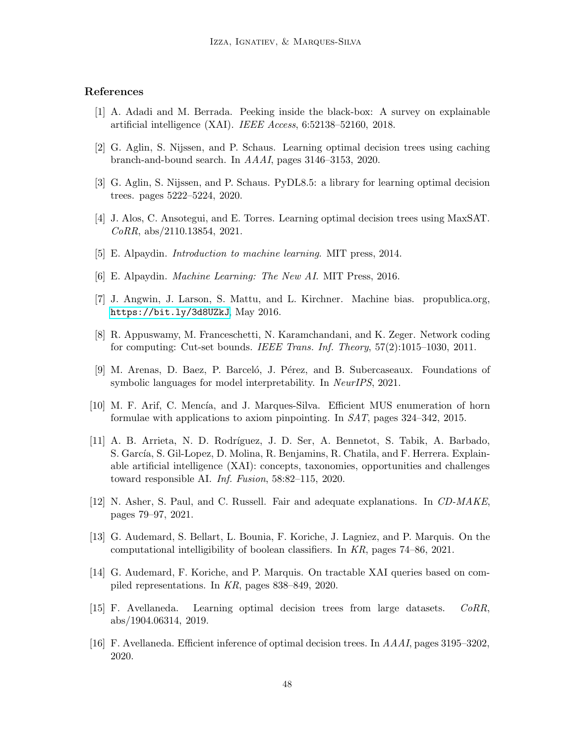# <span id="page-47-14"></span>References

- <span id="page-47-3"></span>[1] A. Adadi and M. Berrada. Peeking inside the black-box: A survey on explainable artificial intelligence (XAI). IEEE Access, 6:52138–52160, 2018.
- <span id="page-47-4"></span>[2] G. Aglin, S. Nijssen, and P. Schaus. Learning optimal decision trees using caching branch-and-bound search. In AAAI, pages 3146–3153, 2020.
- <span id="page-47-5"></span>[3] G. Aglin, S. Nijssen, and P. Schaus. PyDL8.5: a library for learning optimal decision trees. pages 5222–5224, 2020.
- <span id="page-47-7"></span>[4] J. Alos, C. Ansotegui, and E. Torres. Learning optimal decision trees using MaxSAT. CoRR, abs/2110.13854, 2021.
- <span id="page-47-15"></span>[5] E. Alpaydin. Introduction to machine learning. MIT press, 2014.
- <span id="page-47-9"></span>[6] E. Alpaydin. Machine Learning: The New AI. MIT Press, 2016.
- <span id="page-47-8"></span>[7] J. Angwin, J. Larson, S. Mattu, and L. Kirchner. Machine bias. propublica.org, <https://bit.ly/3d8UZkJ>, May 2016.
- <span id="page-47-13"></span>[8] R. Appuswamy, M. Franceschetti, N. Karamchandani, and K. Zeger. Network coding for computing: Cut-set bounds. IEEE Trans. Inf. Theory, 57(2):1015–1030, 2011.
- [9] M. Arenas, D. Baez, P. Barceló, J. Pérez, and B. Subercaseaux. Foundations of symbolic languages for model interpretability. In NeurIPS, 2021.
- <span id="page-47-6"></span><span id="page-47-0"></span>[10] M. F. Arif, C. Mencía, and J. Marques-Silva. Efficient MUS enumeration of horn formulae with applications to axiom pinpointing. In SAT, pages 324–342, 2015.
- [11] A. B. Arrieta, N. D. Rodr´ıguez, J. D. Ser, A. Bennetot, S. Tabik, A. Barbado, S. García, S. Gil-Lopez, D. Molina, R. Benjamins, R. Chatila, and F. Herrera. Explainable artificial intelligence (XAI): concepts, taxonomies, opportunities and challenges toward responsible AI. Inf. Fusion, 58:82–115, 2020.
- <span id="page-47-12"></span>[12] N. Asher, S. Paul, and C. Russell. Fair and adequate explanations. In CD-MAKE, pages 79–97, 2021.
- <span id="page-47-11"></span><span id="page-47-10"></span>[13] G. Audemard, S. Bellart, L. Bounia, F. Koriche, J. Lagniez, and P. Marquis. On the computational intelligibility of boolean classifiers. In KR, pages 74–86, 2021.
- <span id="page-47-1"></span>[14] G. Audemard, F. Koriche, and P. Marquis. On tractable XAI queries based on compiled representations. In KR, pages 838–849, 2020.
- [15] F. Avellaneda. Learning optimal decision trees from large datasets. CoRR, abs/1904.06314, 2019.
- <span id="page-47-2"></span>[16] F. Avellaneda. Efficient inference of optimal decision trees. In AAAI, pages 3195–3202, 2020.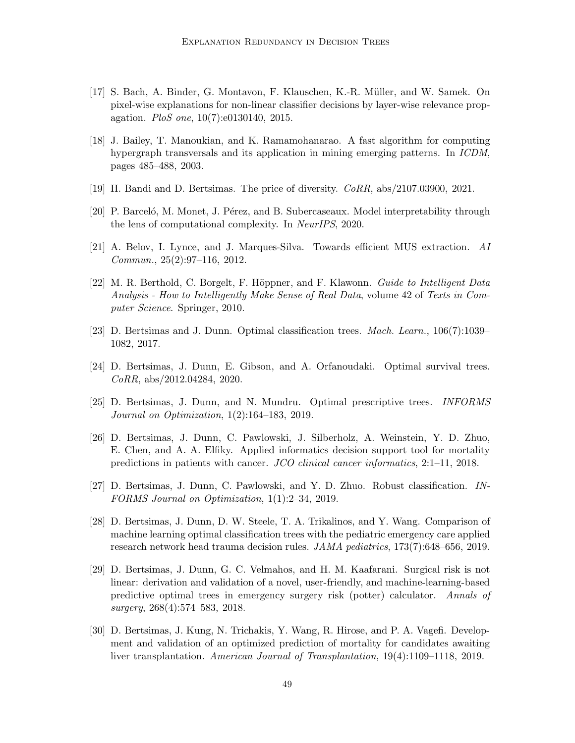- <span id="page-48-13"></span>[17] S. Bach, A. Binder, G. Montavon, F. Klauschen, K.-R. Müller, and W. Samek. On pixel-wise explanations for non-linear classifier decisions by layer-wise relevance propagation. PloS one, 10(7):e0130140, 2015.
- <span id="page-48-12"></span>[18] J. Bailey, T. Manoukian, and K. Ramamohanarao. A fast algorithm for computing hypergraph transversals and its application in mining emerging patterns. In ICDM, pages 485–488, 2003.
- <span id="page-48-11"></span><span id="page-48-7"></span>[19] H. Bandi and D. Bertsimas. The price of diversity. CoRR, abs/2107.03900, 2021.
- <span id="page-48-9"></span>[20] P. Barcelo, M. Monet, J. Pérez, and B. Subercaseaux. Model interpretability through the lens of computational complexity. In NeurIPS, 2020.
- <span id="page-48-10"></span>[21] A. Belov, I. Lynce, and J. Marques-Silva. Towards efficient MUS extraction. AI Commun., 25(2):97–116, 2012.
- [22] M. R. Berthold, C. Borgelt, F. Höppner, and F. Klawonn. Guide to Intelligent Data Analysis - How to Intelligently Make Sense of Real Data, volume 42 of Texts in Computer Science. Springer, 2010.
- <span id="page-48-8"></span><span id="page-48-6"></span>[23] D. Bertsimas and J. Dunn. Optimal classification trees. Mach. Learn., 106(7):1039– 1082, 2017.
- [24] D. Bertsimas, J. Dunn, E. Gibson, and A. Orfanoudaki. Optimal survival trees. CoRR, abs/2012.04284, 2020.
- <span id="page-48-3"></span>[25] D. Bertsimas, J. Dunn, and N. Mundru. Optimal prescriptive trees. INFORMS Journal on Optimization, 1(2):164–183, 2019.
- <span id="page-48-0"></span>[26] D. Bertsimas, J. Dunn, C. Pawlowski, J. Silberholz, A. Weinstein, Y. D. Zhuo, E. Chen, and A. A. Elfiky. Applied informatics decision support tool for mortality predictions in patients with cancer. JCO clinical cancer informatics, 2:1–11, 2018.
- <span id="page-48-4"></span><span id="page-48-2"></span>[27] D. Bertsimas, J. Dunn, C. Pawlowski, and Y. D. Zhuo. Robust classification. IN-FORMS Journal on Optimization, 1(1):2–34, 2019.
- [28] D. Bertsimas, J. Dunn, D. W. Steele, T. A. Trikalinos, and Y. Wang. Comparison of machine learning optimal classification trees with the pediatric emergency care applied research network head trauma decision rules. JAMA pediatrics, 173(7):648–656, 2019.
- <span id="page-48-1"></span>[29] D. Bertsimas, J. Dunn, G. C. Velmahos, and H. M. Kaafarani. Surgical risk is not linear: derivation and validation of a novel, user-friendly, and machine-learning-based predictive optimal trees in emergency surgery risk (potter) calculator. Annals of surgery, 268(4):574–583, 2018.
- <span id="page-48-5"></span>[30] D. Bertsimas, J. Kung, N. Trichakis, Y. Wang, R. Hirose, and P. A. Vagefi. Development and validation of an optimized prediction of mortality for candidates awaiting liver transplantation. American Journal of Transplantation, 19(4):1109–1118, 2019.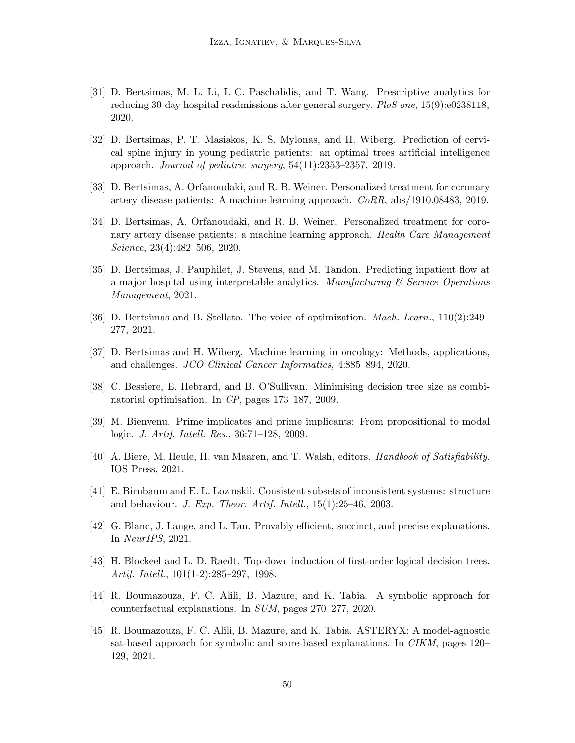- <span id="page-49-4"></span>[31] D. Bertsimas, M. L. Li, I. C. Paschalidis, and T. Wang. Prescriptive analytics for reducing 30-day hospital readmissions after general surgery. PloS one, 15(9):e0238118, 2020.
- <span id="page-49-0"></span>[32] D. Bertsimas, P. T. Masiakos, K. S. Mylonas, and H. Wiberg. Prediction of cervical spine injury in young pediatric patients: an optimal trees artificial intelligence approach. Journal of pediatric surgery, 54(11):2353–2357, 2019.
- <span id="page-49-2"></span><span id="page-49-1"></span>[33] D. Bertsimas, A. Orfanoudaki, and R. B. Weiner. Personalized treatment for coronary artery disease patients: A machine learning approach. CoRR, abs/1910.08483, 2019.
- [34] D. Bertsimas, A. Orfanoudaki, and R. B. Weiner. Personalized treatment for coronary artery disease patients: a machine learning approach. Health Care Management Science, 23(4):482–506, 2020.
- <span id="page-49-6"></span>[35] D. Bertsimas, J. Pauphilet, J. Stevens, and M. Tandon. Predicting inpatient flow at a major hospital using interpretable analytics. Manufacturing  $\mathscr C$  Service Operations Management, 2021.
- <span id="page-49-5"></span><span id="page-49-3"></span>[36] D. Bertsimas and B. Stellato. The voice of optimization. Mach. Learn., 110(2):249– 277, 2021.
- <span id="page-49-7"></span>[37] D. Bertsimas and H. Wiberg. Machine learning in oncology: Methods, applications, and challenges. JCO Clinical Cancer Informatics, 4:885–894, 2020.
- <span id="page-49-13"></span>[38] C. Bessiere, E. Hebrard, and B. O'Sullivan. Minimising decision tree size as combinatorial optimisation. In CP, pages 173–187, 2009.
- <span id="page-49-8"></span>[39] M. Bienvenu. Prime implicates and prime implicants: From propositional to modal logic. J. Artif. Intell. Res., 36:71–128, 2009.
- [40] A. Biere, M. Heule, H. van Maaren, and T. Walsh, editors. Handbook of Satisfiability. IOS Press, 2021.
- <span id="page-49-14"></span>[41] E. Birnbaum and E. L. Lozinskii. Consistent subsets of inconsistent systems: structure and behaviour. J. Exp. Theor. Artif. Intell., 15(1):25–46, 2003.
- <span id="page-49-12"></span><span id="page-49-9"></span>[42] G. Blanc, J. Lange, and L. Tan. Provably efficient, succinct, and precise explanations. In NeurIPS, 2021.
- [43] H. Blockeel and L. D. Raedt. Top-down induction of first-order logical decision trees. Artif. Intell., 101(1-2):285–297, 1998.
- <span id="page-49-11"></span><span id="page-49-10"></span>[44] R. Boumazouza, F. C. Alili, B. Mazure, and K. Tabia. A symbolic approach for counterfactual explanations. In SUM, pages 270–277, 2020.
- [45] R. Boumazouza, F. C. Alili, B. Mazure, and K. Tabia. ASTERYX: A model-agnostic sat-based approach for symbolic and score-based explanations. In CIKM, pages 120– 129, 2021.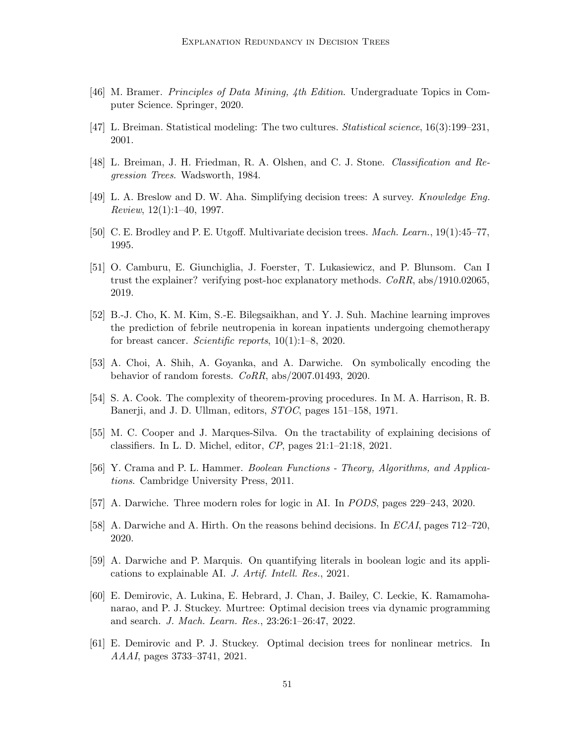- <span id="page-50-6"></span><span id="page-50-0"></span>[46] M. Bramer. Principles of Data Mining, 4th Edition. Undergraduate Topics in Computer Science. Springer, 2020.
- <span id="page-50-5"></span>[47] L. Breiman. Statistical modeling: The two cultures. Statistical science, 16(3):199–231, 2001.
- <span id="page-50-13"></span>[48] L. Breiman, J. H. Friedman, R. A. Olshen, and C. J. Stone. Classification and Regression Trees. Wadsworth, 1984.
- <span id="page-50-7"></span>[49] L. A. Breslow and D. W. Aha. Simplifying decision trees: A survey. Knowledge Eng. *Review*,  $12(1):1-40$ , 1997.
- <span id="page-50-15"></span>[50] C. E. Brodley and P. E. Utgoff. Multivariate decision trees. Mach. Learn., 19(1):45–77, 1995.
- [51] O. Camburu, E. Giunchiglia, J. Foerster, T. Lukasiewicz, and P. Blunsom. Can I trust the explainer? verifying post-hoc explanatory methods.  $CoRR$ , abs/1910.02065, 2019.
- <span id="page-50-1"></span>[52] B.-J. Cho, K. M. Kim, S.-E. Bilegsaikhan, and Y. J. Suh. Machine learning improves the prediction of febrile neutropenia in korean inpatients undergoing chemotherapy for breast cancer. Scientific reports,  $10(1):1-8$ , 2020.
- <span id="page-50-14"></span>[53] A. Choi, A. Shih, A. Goyanka, and A. Darwiche. On symbolically encoding the behavior of random forests. CoRR, abs/2007.01493, 2020.
- <span id="page-50-10"></span><span id="page-50-4"></span>[54] S. A. Cook. The complexity of theorem-proving procedures. In M. A. Harrison, R. B. Banerji, and J. D. Ullman, editors, *STOC*, pages 151–158, 1971.
- <span id="page-50-12"></span>[55] M. C. Cooper and J. Marques-Silva. On the tractability of explaining decisions of classifiers. In L. D. Michel, editor, CP, pages 21:1–21:18, 2021.
- <span id="page-50-8"></span>[56] Y. Crama and P. L. Hammer. Boolean Functions - Theory, Algorithms, and Applications. Cambridge University Press, 2011.
- <span id="page-50-9"></span>[57] A. Darwiche. Three modern roles for logic in AI. In PODS, pages 229–243, 2020.
- <span id="page-50-11"></span>[58] A. Darwiche and A. Hirth. On the reasons behind decisions. In ECAI, pages 712–720, 2020.
- <span id="page-50-3"></span>[59] A. Darwiche and P. Marquis. On quantifying literals in boolean logic and its applications to explainable AI. J. Artif. Intell. Res., 2021.
- [60] E. Demirovic, A. Lukina, E. Hebrard, J. Chan, J. Bailey, C. Leckie, K. Ramamohanarao, and P. J. Stuckey. Murtree: Optimal decision trees via dynamic programming and search. J. Mach. Learn. Res., 23:26:1–26:47, 2022.
- <span id="page-50-2"></span>[61] E. Demirovic and P. J. Stuckey. Optimal decision trees for nonlinear metrics. In AAAI, pages 3733–3741, 2021.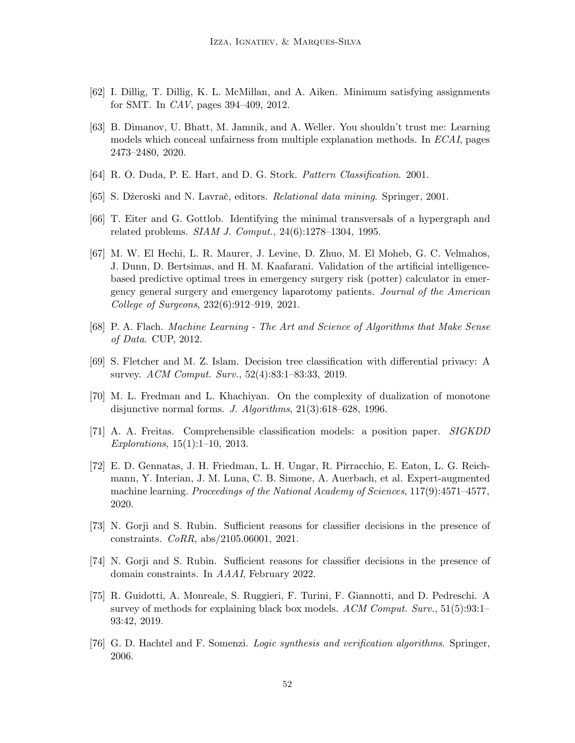- <span id="page-51-14"></span><span id="page-51-9"></span>[62] I. Dillig, T. Dillig, K. L. McMillan, and A. Aiken. Minimum satisfying assignments for SMT. In CAV, pages 394–409, 2012.
- [63] B. Dimanov, U. Bhatt, M. Jamnik, and A. Weller. You shouldn't trust me: Learning models which conceal unfairness from multiple explanation methods. In ECAI, pages 2473–2480, 2020.
- <span id="page-51-10"></span><span id="page-51-5"></span>[64] R. O. Duda, P. E. Hart, and D. G. Stork. Pattern Classification. 2001.
- <span id="page-51-11"></span>[65] S. Džeroski and N. Lavrač, editors. *Relational data mining*. Springer, 2001.
- <span id="page-51-2"></span>[66] T. Eiter and G. Gottlob. Identifying the minimal transversals of a hypergraph and related problems. SIAM J. Comput., 24(6):1278–1304, 1995.
- [67] M. W. El Hechi, L. R. Maurer, J. Levine, D. Zhuo, M. El Moheb, G. C. Velmahos, J. Dunn, D. Bertsimas, and H. M. Kaafarani. Validation of the artificial intelligencebased predictive optimal trees in emergency surgery risk (potter) calculator in emergency general surgery and emergency laparotomy patients. Journal of the American College of Surgeons, 232(6):912–919, 2021.
- <span id="page-51-4"></span><span id="page-51-0"></span>[68] P. A. Flach. Machine Learning - The Art and Science of Algorithms that Make Sense of Data. CUP, 2012.
- [69] S. Fletcher and M. Z. Islam. Decision tree classification with differential privacy: A survey. ACM Comput. Surv., 52(4):83:1–83:33, 2019.
- <span id="page-51-13"></span>[70] M. L. Fredman and L. Khachiyan. On the complexity of dualization of monotone disjunctive normal forms. J. Algorithms, 21(3):618–628, 1996.
- <span id="page-51-3"></span>[71] A. A. Freitas. Comprehensible classification models: a position paper. SIGKDD Explorations, 15(1):1–10, 2013.
- <span id="page-51-1"></span>[72] E. D. Gennatas, J. H. Friedman, L. H. Ungar, R. Pirracchio, E. Eaton, L. G. Reichmann, Y. Interian, J. M. Luna, C. B. Simone, A. Auerbach, et al. Expert-augmented machine learning. *Proceedings of the National Academy of Sciences*, 117(9):4571–4577, 2020.
- <span id="page-51-12"></span>[73] N. Gorji and S. Rubin. Sufficient reasons for classifier decisions in the presence of constraints. CoRR, abs/2105.06001, 2021.
- <span id="page-51-6"></span>[74] N. Gorji and S. Rubin. Sufficient reasons for classifier decisions in the presence of domain constraints. In AAAI, February 2022.
- <span id="page-51-7"></span>[75] R. Guidotti, A. Monreale, S. Ruggieri, F. Turini, F. Giannotti, and D. Pedreschi. A survey of methods for explaining black box models.  $ACM$  Comput.  $Surv, 51(5):93:1-$ 93:42, 2019.
- <span id="page-51-8"></span>[76] G. D. Hachtel and F. Somenzi. Logic synthesis and verification algorithms. Springer, 2006.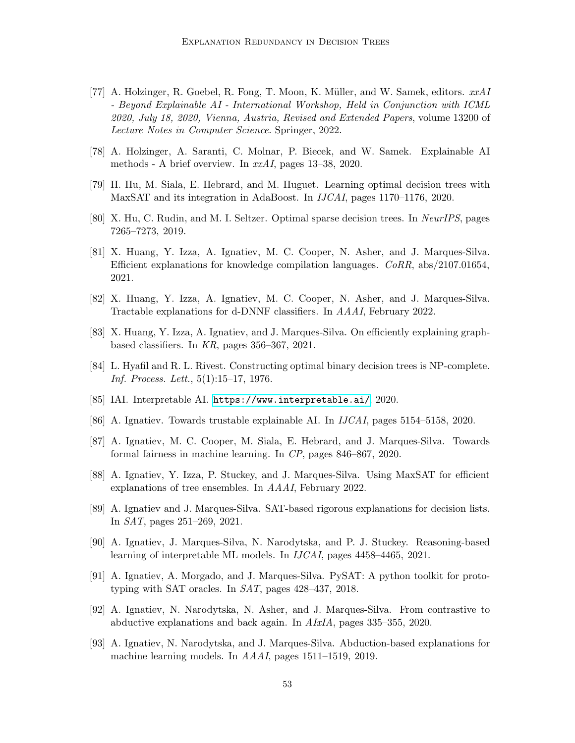- <span id="page-52-11"></span>[77] A. Holzinger, R. Goebel, R. Fong, T. Moon, K. Müller, and W. Samek, editors.  $xxAI$ - Beyond Explainable AI - International Workshop, Held in Conjunction with ICML 2020, July 18, 2020, Vienna, Austria, Revised and Extended Papers, volume 13200 of Lecture Notes in Computer Science. Springer, 2022.
- <span id="page-52-12"></span><span id="page-52-1"></span>[78] A. Holzinger, A. Saranti, C. Molnar, P. Biecek, and W. Samek. Explainable AI methods - A brief overview. In xxAI, pages 13–38, 2020.
- <span id="page-52-0"></span>[79] H. Hu, M. Siala, E. Hebrard, and M. Huguet. Learning optimal decision trees with MaxSAT and its integration in AdaBoost. In IJCAI, pages 1170–1176, 2020.
- <span id="page-52-8"></span>[80] X. Hu, C. Rudin, and M. I. Seltzer. Optimal sparse decision trees. In NeurIPS, pages 7265–7273, 2019.
- [81] X. Huang, Y. Izza, A. Ignatiev, M. C. Cooper, N. Asher, and J. Marques-Silva. Efficient explanations for knowledge compilation languages. CoRR, abs/2107.01654, 2021.
- <span id="page-52-7"></span><span id="page-52-5"></span>[82] X. Huang, Y. Izza, A. Ignatiev, M. C. Cooper, N. Asher, and J. Marques-Silva. Tractable explanations for d-DNNF classifiers. In AAAI, February 2022.
- <span id="page-52-2"></span>[83] X. Huang, Y. Izza, A. Ignatiev, and J. Marques-Silva. On efficiently explaining graphbased classifiers. In KR, pages 356–367, 2021.
- <span id="page-52-6"></span>[84] L. Hyafil and R. L. Rivest. Constructing optimal binary decision trees is NP-complete. Inf. Process. Lett., 5(1):15–17, 1976.
- <span id="page-52-13"></span>[85] IAI. Interpretable AI. <https://www.interpretable.ai/>, 2020.
- <span id="page-52-14"></span>[86] A. Ignatiev. Towards trustable explainable AI. In IJCAI, pages 5154–5158, 2020.
- <span id="page-52-10"></span>[87] A. Ignatiev, M. C. Cooper, M. Siala, E. Hebrard, and J. Marques-Silva. Towards formal fairness in machine learning. In CP, pages 846–867, 2020.
- <span id="page-52-9"></span>[88] A. Ignatiev, Y. Izza, P. Stuckey, and J. Marques-Silva. Using MaxSAT for efficient explanations of tree ensembles. In AAAI, February 2022.
- <span id="page-52-15"></span>[89] A. Ignatiev and J. Marques-Silva. SAT-based rigorous explanations for decision lists. In SAT, pages 251–269, 2021.
- <span id="page-52-16"></span>[90] A. Ignatiev, J. Marques-Silva, N. Narodytska, and P. J. Stuckey. Reasoning-based learning of interpretable ML models. In IJCAI, pages 4458–4465, 2021.
- [91] A. Ignatiev, A. Morgado, and J. Marques-Silva. PySAT: A python toolkit for prototyping with SAT oracles. In SAT, pages 428–437, 2018.
- <span id="page-52-4"></span>[92] A. Ignatiev, N. Narodytska, N. Asher, and J. Marques-Silva. From contrastive to abductive explanations and back again. In AIxIA, pages 335–355, 2020.
- <span id="page-52-3"></span>[93] A. Ignatiev, N. Narodytska, and J. Marques-Silva. Abduction-based explanations for machine learning models. In AAAI, pages 1511–1519, 2019.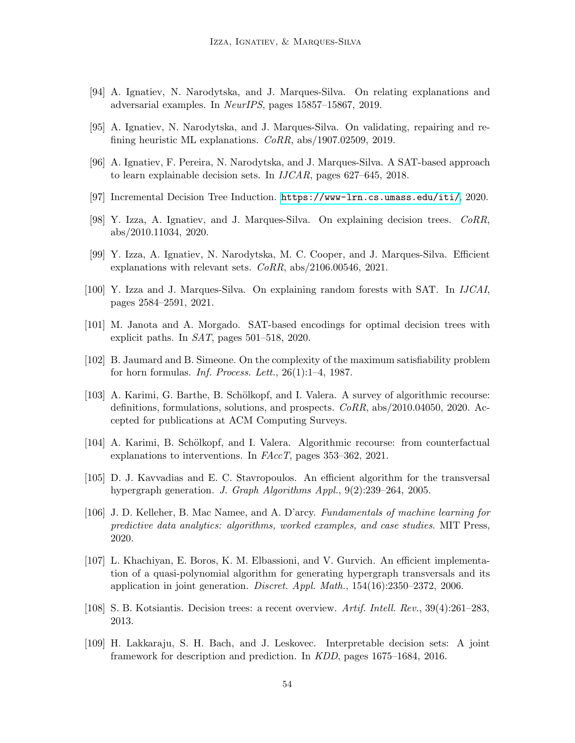- <span id="page-53-14"></span><span id="page-53-3"></span>[94] A. Ignatiev, N. Narodytska, and J. Marques-Silva. On relating explanations and adversarial examples. In NeurIPS, pages 15857–15867, 2019.
- <span id="page-53-9"></span>[95] A. Ignatiev, N. Narodytska, and J. Marques-Silva. On validating, repairing and refining heuristic ML explanations. CoRR, abs/1907.02509, 2019.
- <span id="page-53-13"></span>[96] A. Ignatiev, F. Pereira, N. Narodytska, and J. Marques-Silva. A SAT-based approach to learn explainable decision sets. In IJCAR, pages 627–645, 2018.
- <span id="page-53-2"></span>[97] Incremental Decision Tree Induction. <https://www-lrn.cs.umass.edu/iti/>, 2020.
- <span id="page-53-15"></span>[98] Y. Izza, A. Ignatiev, and J. Marques-Silva. On explaining decision trees. CoRR, abs/2010.11034, 2020.
- [99] Y. Izza, A. Ignatiev, N. Narodytska, M. C. Cooper, and J. Marques-Silva. Efficient explanations with relevant sets. CoRR, abs/2106.00546, 2021.
- <span id="page-53-4"></span>[100] Y. Izza and J. Marques-Silva. On explaining random forests with SAT. In IJCAI, pages 2584–2591, 2021.
- <span id="page-53-10"></span><span id="page-53-1"></span>[101] M. Janota and A. Morgado. SAT-based encodings for optimal decision trees with explicit paths. In SAT, pages 501–518, 2020.
- <span id="page-53-6"></span>[102] B. Jaumard and B. Simeone. On the complexity of the maximum satisfiability problem for horn formulas. Inf. Process. Lett.,  $26(1):1-4$ , 1987.
- [103] A. Karimi, G. Barthe, B. Schölkopf, and I. Valera. A survey of algorithmic recourse: definitions, formulations, solutions, and prospects. CoRR, abs/2010.04050, 2020. Accepted for publications at ACM Computing Surveys.
- <span id="page-53-11"></span><span id="page-53-5"></span>[104] A. Karimi, B. Schölkopf, and I. Valera. Algorithmic recourse: from counterfactual explanations to interventions. In FAccT, pages 353-362, 2021.
- <span id="page-53-7"></span>[105] D. J. Kavvadias and E. C. Stavropoulos. An efficient algorithm for the transversal hypergraph generation. J. Graph Algorithms Appl., 9(2):239–264, 2005.
- [106] J. D. Kelleher, B. Mac Namee, and A. D'arcy. Fundamentals of machine learning for predictive data analytics: algorithms, worked examples, and case studies. MIT Press, 2020.
- <span id="page-53-12"></span>[107] L. Khachiyan, E. Boros, K. M. Elbassioni, and V. Gurvich. An efficient implementation of a quasi-polynomial algorithm for generating hypergraph transversals and its application in joint generation. Discret. Appl. Math.,  $154(16):2350-2372$ , 2006.
- <span id="page-53-8"></span><span id="page-53-0"></span>[108] S. B. Kotsiantis. Decision trees: a recent overview. Artif. Intell. Rev., 39(4):261–283, 2013.
- [109] H. Lakkaraju, S. H. Bach, and J. Leskovec. Interpretable decision sets: A joint framework for description and prediction. In KDD, pages 1675–1684, 2016.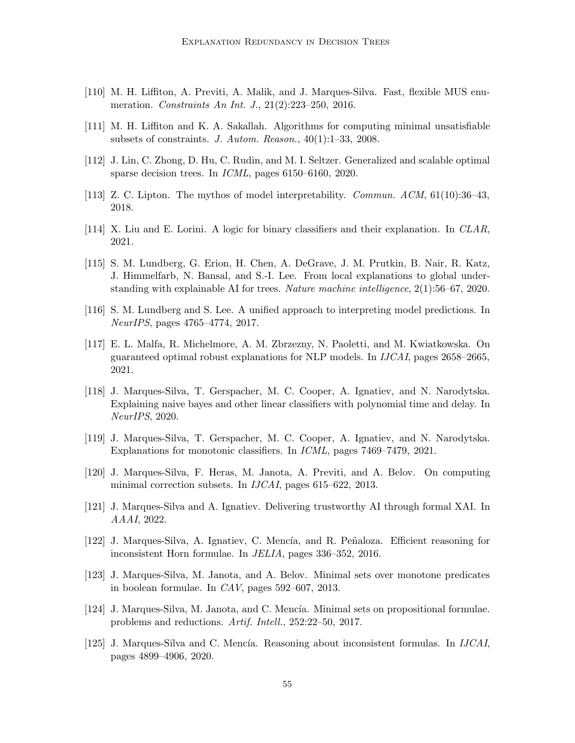- <span id="page-54-14"></span><span id="page-54-5"></span>[110] M. H. Liffiton, A. Previti, A. Malik, and J. Marques-Silva. Fast, flexible MUS enumeration. Constraints An Int. J., 21(2):223–250, 2016.
- <span id="page-54-1"></span>[111] M. H. Liffiton and K. A. Sakallah. Algorithms for computing minimal unsatisfiable subsets of constraints. J. Autom. Reason., 40(1):1–33, 2008.
- <span id="page-54-2"></span>[112] J. Lin, C. Zhong, D. Hu, C. Rudin, and M. I. Seltzer. Generalized and scalable optimal sparse decision trees. In ICML, pages 6150–6160, 2020.
- <span id="page-54-12"></span>[113] Z. C. Lipton. The mythos of model interpretability. Commun. ACM, 61(10):36–43, 2018.
- <span id="page-54-0"></span>[114] X. Liu and E. Lorini. A logic for binary classifiers and their explanation. In CLAR, 2021.
- [115] S. M. Lundberg, G. Erion, H. Chen, A. DeGrave, J. M. Prutkin, B. Nair, R. Katz, J. Himmelfarb, N. Bansal, and S.-I. Lee. From local explanations to global understanding with explainable AI for trees. Nature machine intelligence, 2(1):56–67, 2020.
- <span id="page-54-15"></span><span id="page-54-11"></span>[116] S. M. Lundberg and S. Lee. A unified approach to interpreting model predictions. In NeurIPS, pages 4765–4774, 2017.
- [117] E. L. Malfa, R. Michelmore, A. M. Zbrzezny, N. Paoletti, and M. Kwiatkowska. On guaranteed optimal robust explanations for NLP models. In IJCAI, pages 2658–2665, 2021.
- <span id="page-54-9"></span>[118] J. Marques-Silva, T. Gerspacher, M. C. Cooper, A. Ignatiev, and N. Narodytska. Explaining naive bayes and other linear classifiers with polynomial time and delay. In NeurIPS, 2020.
- <span id="page-54-10"></span><span id="page-54-3"></span>[119] J. Marques-Silva, T. Gerspacher, M. C. Cooper, A. Ignatiev, and N. Narodytska. Explanations for monotonic classifiers. In ICML, pages 7469–7479, 2021.
- [120] J. Marques-Silva, F. Heras, M. Janota, A. Previti, and A. Belov. On computing minimal correction subsets. In *IJCAI*, pages 615–622, 2013.
- <span id="page-54-13"></span><span id="page-54-6"></span>[121] J. Marques-Silva and A. Ignatiev. Delivering trustworthy AI through formal XAI. In AAAI, 2022.
- [122] J. Marques-Silva, A. Ignatiev, C. Mencía, and R. Peñaloza. Efficient reasoning for inconsistent Horn formulae. In JELIA, pages 336–352, 2016.
- <span id="page-54-7"></span><span id="page-54-4"></span>[123] J. Marques-Silva, M. Janota, and A. Belov. Minimal sets over monotone predicates in boolean formulae. In CAV, pages 592–607, 2013.
- [124] J. Marques-Silva, M. Janota, and C. Mencía. Minimal sets on propositional formulae. problems and reductions. Artif. Intell., 252:22–50, 2017.
- <span id="page-54-8"></span>[125] J. Marques-Silva and C. Mencía. Reasoning about inconsistent formulas. In *IJCAI*, pages 4899–4906, 2020.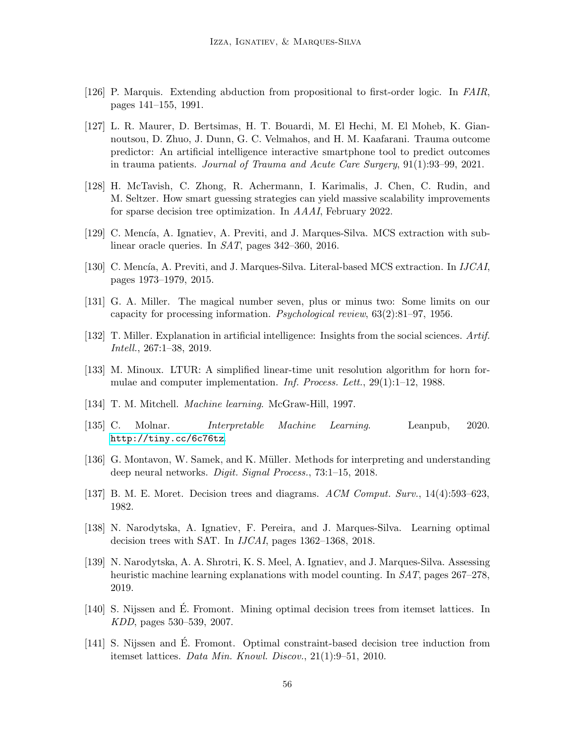- <span id="page-55-13"></span><span id="page-55-2"></span>[126] P. Marquis. Extending abduction from propositional to first-order logic. In FAIR, pages 141–155, 1991.
- [127] L. R. Maurer, D. Bertsimas, H. T. Bouardi, M. El Hechi, M. El Moheb, K. Giannoutsou, D. Zhuo, J. Dunn, G. C. Velmahos, and H. M. Kaafarani. Trauma outcome predictor: An artificial intelligence interactive smartphone tool to predict outcomes in trauma patients. Journal of Trauma and Acute Care Surgery, 91(1):93–99, 2021.
- <span id="page-55-6"></span>[128] H. McTavish, C. Zhong, R. Achermann, I. Karimalis, J. Chen, C. Rudin, and M. Seltzer. How smart guessing strategies can yield massive scalability improvements for sparse decision tree optimization. In AAAI, February 2022.
- <span id="page-55-9"></span><span id="page-55-8"></span>[129] C. Mencía, A. Ignatiev, A. Previti, and J. Marques-Silva. MCS extraction with sublinear oracle queries. In SAT, pages 342–360, 2016.
- <span id="page-55-0"></span>[130] C. Mencía, A. Previti, and J. Marques-Silva. Literal-based MCS extraction. In *IJCAI*, pages 1973–1979, 2015.
- <span id="page-55-7"></span>[131] G. A. Miller. The magical number seven, plus or minus two: Some limits on our capacity for processing information. Psychological review, 63(2):81–97, 1956.
- <span id="page-55-15"></span>[132] T. Miller. Explanation in artificial intelligence: Insights from the social sciences. Artif. Intell., 267:1–38, 2019.
- <span id="page-55-10"></span>[133] M. Minoux. LTUR: A simplified linear-time unit resolution algorithm for horn formulae and computer implementation. Inf. Process. Lett., 29(1):1–12, 1988.
- <span id="page-55-1"></span>[134] T. M. Mitchell. Machine learning. McGraw-Hill, 1997.
- [135] C. Molnar. Interpretable Machine Learning. Leanpub, 2020. <http://tiny.cc/6c76tz>.
- <span id="page-55-14"></span><span id="page-55-12"></span>[136] G. Montavon, W. Samek, and K. Müller. Methods for interpreting and understanding deep neural networks. Digit. Signal Process., 73:1–15, 2018.
- <span id="page-55-5"></span>[137] B. M. E. Moret. Decision trees and diagrams. ACM Comput. Surv., 14(4):593–623, 1982.
- <span id="page-55-11"></span>[138] N. Narodytska, A. Ignatiev, F. Pereira, and J. Marques-Silva. Learning optimal decision trees with SAT. In IJCAI, pages 1362–1368, 2018.
- [139] N. Narodytska, A. A. Shrotri, K. S. Meel, A. Ignatiev, and J. Marques-Silva. Assessing heuristic machine learning explanations with model counting. In SAT, pages 267–278, 2019.
- <span id="page-55-3"></span>[140] S. Nijssen and É. Fromont. Mining optimal decision trees from itemset lattices. In KDD, pages 530–539, 2007.
- <span id="page-55-4"></span>[141] S. Nijssen and É. Fromont. Optimal constraint-based decision tree induction from itemset lattices. Data Min. Knowl. Discov., 21(1):9–51, 2010.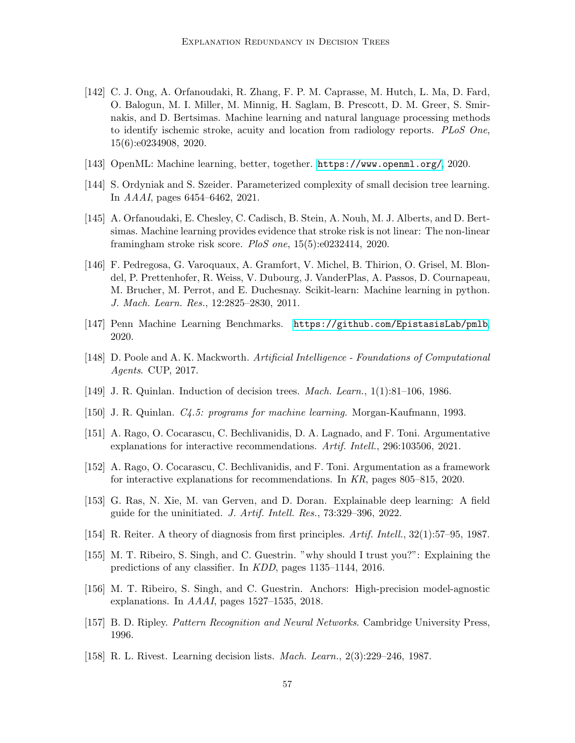- <span id="page-56-0"></span>[142] C. J. Ong, A. Orfanoudaki, R. Zhang, F. P. M. Caprasse, M. Hutch, L. Ma, D. Fard, O. Balogun, M. I. Miller, M. Minnig, H. Saglam, B. Prescott, D. M. Greer, S. Smirnakis, and D. Bertsimas. Machine learning and natural language processing methods to identify ischemic stroke, acuity and location from radiology reports. PLoS One, 15(6):e0234908, 2020.
- <span id="page-56-14"></span><span id="page-56-2"></span>[143] OpenML: Machine learning, better, together. <https://www.openml.org/>, 2020.
- <span id="page-56-1"></span>[144] S. Ordyniak and S. Szeider. Parameterized complexity of small decision tree learning. In AAAI, pages 6454–6462, 2021.
- [145] A. Orfanoudaki, E. Chesley, C. Cadisch, B. Stein, A. Nouh, M. J. Alberts, and D. Bertsimas. Machine learning provides evidence that stroke risk is not linear: The non-linear framingham stroke risk score. PloS one,  $15(5):e0232414$ , 2020.
- <span id="page-56-12"></span>[146] F. Pedregosa, G. Varoquaux, A. Gramfort, V. Michel, B. Thirion, O. Grisel, M. Blondel, P. Prettenhofer, R. Weiss, V. Dubourg, J. VanderPlas, A. Passos, D. Cournapeau, M. Brucher, M. Perrot, and E. Duchesnay. Scikit-learn: Machine learning in python. J. Mach. Learn. Res., 12:2825–2830, 2011.
- <span id="page-56-13"></span><span id="page-56-6"></span>[147] Penn Machine Learning Benchmarks. <https://github.com/EpistasisLab/pmlb>, 2020.
- <span id="page-56-3"></span>[148] D. Poole and A. K. Mackworth. Artificial Intelligence - Foundations of Computational Agents. CUP, 2017.
- <span id="page-56-4"></span>[149] J. R. Quinlan. Induction of decision trees. Mach. Learn., 1(1):81–106, 1986.
- <span id="page-56-8"></span>[150] J. R. Quinlan. C4.5: programs for machine learning. Morgan-Kaufmann, 1993.
- <span id="page-56-7"></span>[151] A. Rago, O. Cocarascu, C. Bechlivanidis, D. A. Lagnado, and F. Toni. Argumentative explanations for interactive recommendations. Artif. Intell., 296:103506, 2021.
- <span id="page-56-9"></span>[152] A. Rago, O. Cocarascu, C. Bechlivanidis, and F. Toni. Argumentation as a framework for interactive explanations for recommendations. In KR, pages 805–815, 2020.
- <span id="page-56-10"></span>[153] G. Ras, N. Xie, M. van Gerven, and D. Doran. Explainable deep learning: A field guide for the uninitiated. J. Artif. Intell. Res., 73:329–396, 2022.
- <span id="page-56-15"></span>[154] R. Reiter. A theory of diagnosis from first principles. Artif. Intell., 32(1):57–95, 1987.
- [155] M. T. Ribeiro, S. Singh, and C. Guestrin. "why should I trust you?": Explaining the predictions of any classifier. In KDD, pages 1135–1144, 2016.
- <span id="page-56-16"></span>[156] M. T. Ribeiro, S. Singh, and C. Guestrin. Anchors: High-precision model-agnostic explanations. In AAAI, pages 1527–1535, 2018.
- <span id="page-56-11"></span><span id="page-56-5"></span>[157] B. D. Ripley. Pattern Recognition and Neural Networks. Cambridge University Press, 1996.
- [158] R. L. Rivest. Learning decision lists. Mach. Learn., 2(3):229–246, 1987.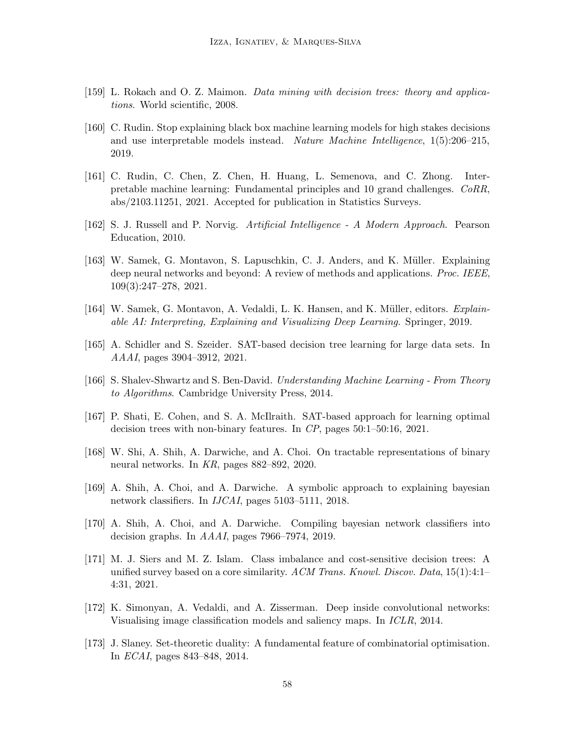- <span id="page-57-13"></span><span id="page-57-0"></span>[159] L. Rokach and O. Z. Maimon. Data mining with decision trees: theory and applications. World scientific, 2008.
- [160] C. Rudin. Stop explaining black box machine learning models for high stakes decisions and use interpretable models instead. Nature Machine Intelligence, 1(5):206–215, 2019.
- <span id="page-57-4"></span>[161] C. Rudin, C. Chen, Z. Chen, H. Huang, L. Semenova, and C. Zhong. Interpretable machine learning: Fundamental principles and 10 grand challenges. CoRR, abs/2103.11251, 2021. Accepted for publication in Statistics Surveys.
- <span id="page-57-11"></span><span id="page-57-6"></span>[162] S. J. Russell and P. Norvig. Artificial Intelligence - A Modern Approach. Pearson Education, 2010.
- [163] W. Samek, G. Montavon, S. Lapuschkin, C. J. Anders, and K. Müller. Explaining deep neural networks and beyond: A review of methods and applications. Proc. IEEE, 109(3):247–278, 2021.
- <span id="page-57-10"></span><span id="page-57-2"></span>[164] W. Samek, G. Montavon, A. Vedaldi, L. K. Hansen, and K. Müller, editors. *Explain*able AI: Interpreting, Explaining and Visualizing Deep Learning. Springer, 2019.
- <span id="page-57-7"></span>[165] A. Schidler and S. Szeider. SAT-based decision tree learning for large data sets. In AAAI, pages 3904–3912, 2021.
- <span id="page-57-3"></span>[166] S. Shalev-Shwartz and S. Ben-David. Understanding Machine Learning - From Theory to Algorithms. Cambridge University Press, 2014.
- <span id="page-57-9"></span>[167] P. Shati, E. Cohen, and S. A. McIlraith. SAT-based approach for learning optimal decision trees with non-binary features. In CP, pages 50:1–50:16, 2021.
- <span id="page-57-5"></span>[168] W. Shi, A. Shih, A. Darwiche, and A. Choi. On tractable representations of binary neural networks. In KR, pages 882–892, 2020.
- <span id="page-57-8"></span>[169] A. Shih, A. Choi, and A. Darwiche. A symbolic approach to explaining bayesian network classifiers. In IJCAI, pages 5103–5111, 2018.
- <span id="page-57-1"></span>[170] A. Shih, A. Choi, and A. Darwiche. Compiling bayesian network classifiers into decision graphs. In AAAI, pages 7966–7974, 2019.
- [171] M. J. Siers and M. Z. Islam. Class imbalance and cost-sensitive decision trees: A unified survey based on a core similarity. ACM Trans. Knowl. Discov. Data,  $15(1):4:1-$ 4:31, 2021.
- <span id="page-57-14"></span>[172] K. Simonyan, A. Vedaldi, and A. Zisserman. Deep inside convolutional networks: Visualising image classification models and saliency maps. In ICLR, 2014.
- <span id="page-57-12"></span>[173] J. Slaney. Set-theoretic duality: A fundamental feature of combinatorial optimisation. In ECAI, pages 843–848, 2014.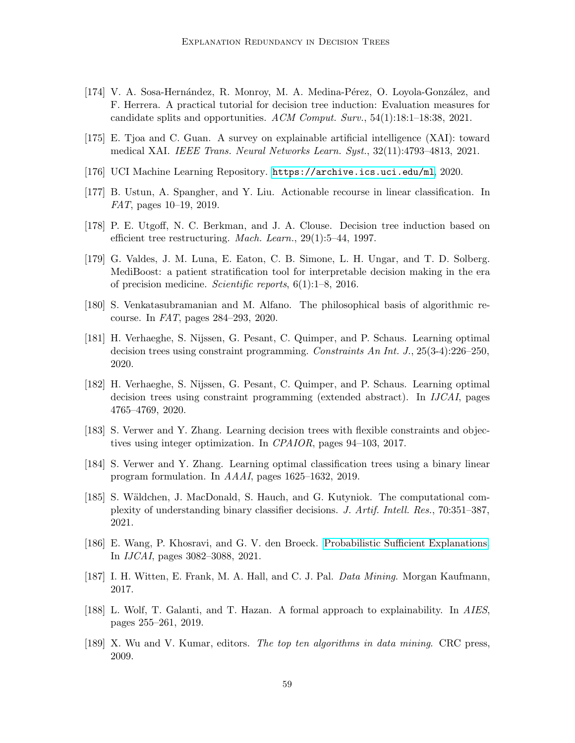- <span id="page-58-2"></span>[174] V. A. Sosa-Hernández, R. Monroy, M. A. Medina-Pérez, O. Loyola-González, and F. Herrera. A practical tutorial for decision tree induction: Evaluation measures for candidate splits and opportunities. ACM Comput. Surv., 54(1):18:1–18:38, 2021.
- <span id="page-58-14"></span><span id="page-58-10"></span>[175] E. Tjoa and C. Guan. A survey on explainable artificial intelligence (XAI): toward medical XAI. IEEE Trans. Neural Networks Learn. Syst., 32(11):4793–4813, 2021.
- <span id="page-58-11"></span>[176] UCI Machine Learning Repository. <https://archive.ics.uci.edu/ml>, 2020.
- <span id="page-58-7"></span>[177] B. Ustun, A. Spangher, and Y. Liu. Actionable recourse in linear classification. In FAT, pages 10–19, 2019.
- <span id="page-58-1"></span>[178] P. E. Utgoff, N. C. Berkman, and J. A. Clouse. Decision tree induction based on efficient tree restructuring. Mach. Learn., 29(1):5–44, 1997.
- [179] G. Valdes, J. M. Luna, E. Eaton, C. B. Simone, L. H. Ungar, and T. D. Solberg. MediBoost: a patient stratification tool for interpretable decision making in the era of precision medicine. Scientific reports, 6(1):1–8, 2016.
- <span id="page-58-12"></span><span id="page-58-5"></span>[180] S. Venkatasubramanian and M. Alfano. The philosophical basis of algorithmic recourse. In FAT, pages 284–293, 2020.
- [181] H. Verhaeghe, S. Nijssen, G. Pesant, C. Quimper, and P. Schaus. Learning optimal decision trees using constraint programming. Constraints An Int. J., 25(3-4):226–250, 2020.
- <span id="page-58-6"></span>[182] H. Verhaeghe, S. Nijssen, G. Pesant, C. Quimper, and P. Schaus. Learning optimal decision trees using constraint programming (extended abstract). In *IJCAI*, pages 4765–4769, 2020.
- <span id="page-58-4"></span><span id="page-58-3"></span>[183] S. Verwer and Y. Zhang. Learning decision trees with flexible constraints and objectives using integer optimization. In CPAIOR, pages 94–103, 2017.
- <span id="page-58-9"></span>[184] S. Verwer and Y. Zhang. Learning optimal classification trees using a binary linear program formulation. In AAAI, pages 1625–1632, 2019.
- [185] S. Wäldchen, J. MacDonald, S. Hauch, and G. Kutyniok. The computational complexity of understanding binary classifier decisions. J. Artif. Intell. Res., 70:351–387, 2021.
- <span id="page-58-15"></span><span id="page-58-13"></span>[186] E. Wang, P. Khosravi, and G. V. den Broeck. [Probabilistic Sufficient Explanations.](https://doi.org/10.24963/ijcai.2021/424) In IJCAI, pages 3082–3088, 2021.
- <span id="page-58-8"></span>[187] I. H. Witten, E. Frank, M. A. Hall, and C. J. Pal. Data Mining. Morgan Kaufmann, 2017.
- <span id="page-58-0"></span>[188] L. Wolf, T. Galanti, and T. Hazan. A formal approach to explainability. In AIES, pages 255–261, 2019.
- [189] X. Wu and V. Kumar, editors. The top ten algorithms in data mining. CRC press, 2009.